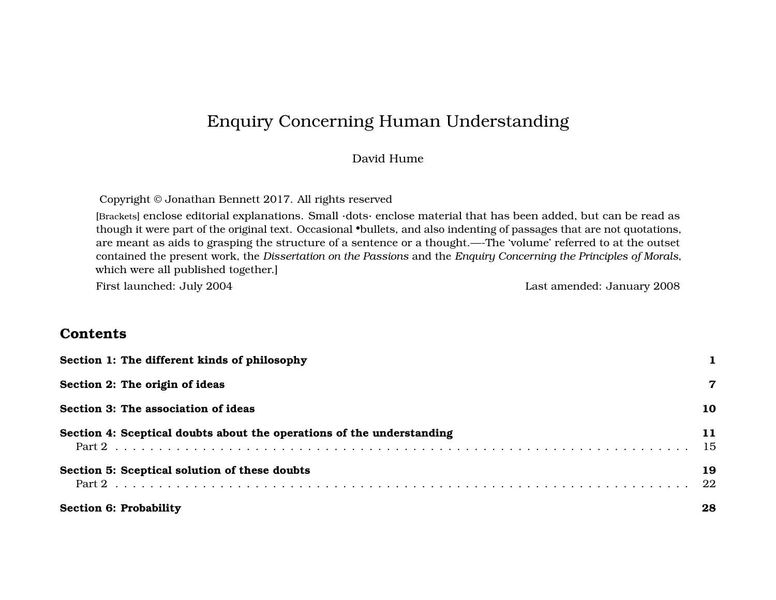# Enquiry Concerning Human Understanding

#### David Hume

Copyright © Jonathan Bennett 2017. All rights reserved

[Brackets] enclose editorial explanations. Small ·dots· enclose material that has been added, but can be read as though it were part of the original text. Occasional •bullets, and also indenting of passages that are not quotations, are meant as aids to grasping the structure of a sentence or a thought.—-The 'volume' referred to at the outset contained the present work, the *Dissertation on the Passions* and the *Enquiry Concerning the Principles of Morals*, which were all published together.]

First launched: July 2004 **Last amended: January 2008** 

# **Contents**

| Section 1: The different kinds of philosophy                          |    |
|-----------------------------------------------------------------------|----|
| Section 2: The origin of ideas                                        |    |
| Section 3: The association of ideas                                   | 10 |
| Section 4: Sceptical doubts about the operations of the understanding | 11 |
| Section 5: Sceptical solution of these doubts                         | 19 |
| <b>Section 6: Probability</b>                                         | 28 |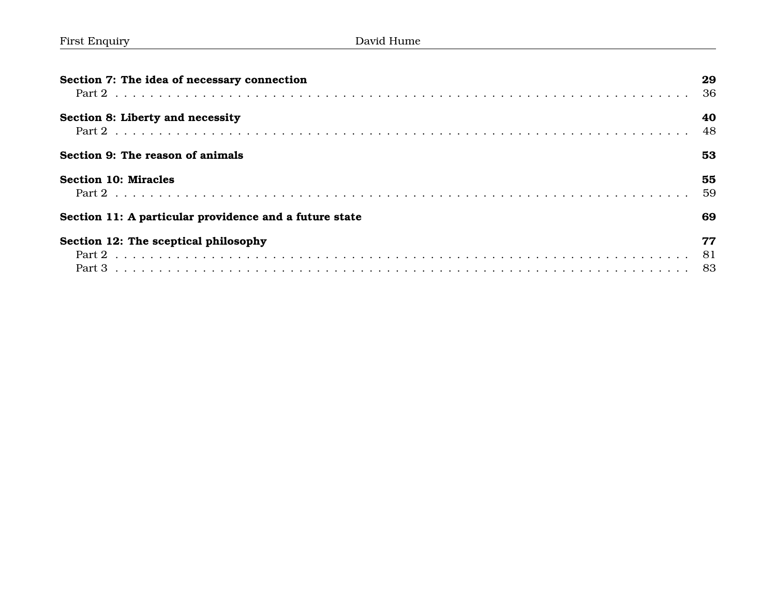| Section 7: The idea of necessary connection            | 29       |
|--------------------------------------------------------|----------|
| Section 8: Liberty and necessity                       | 40       |
| Section 9: The reason of animals                       | 53       |
| <b>Section 10: Miracles</b>                            | 55<br>59 |
| Section 11: A particular providence and a future state | 69       |
| Section 12: The sceptical philosophy                   | 77       |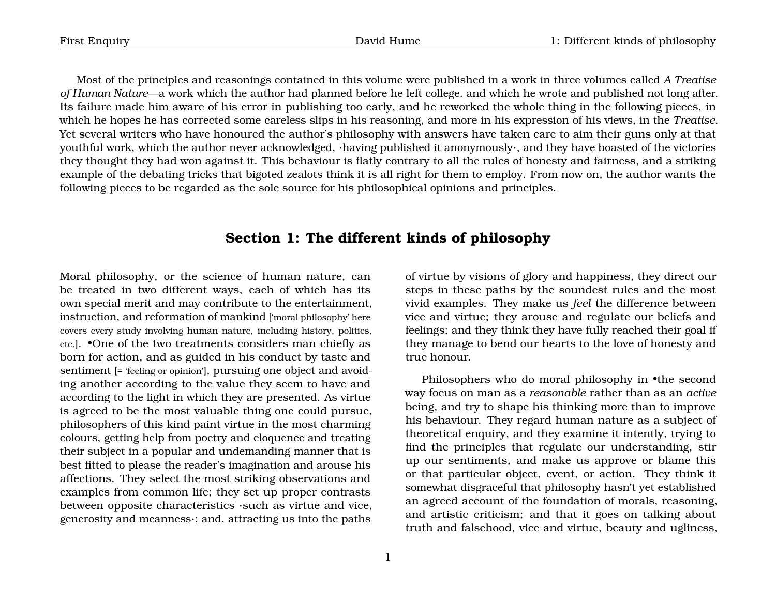Most of the principles and reasonings contained in this volume were published in a work in three volumes called *A Treatise of Human Nature*—a work which the author had planned before he left college, and which he wrote and published not long after. Its failure made him aware of his error in publishing too early, and he reworked the whole thing in the following pieces, in which he hopes he has corrected some careless slips in his reasoning, and more in his expression of his views, in the *Treatise*. Yet several writers who have honoured the author's philosophy with answers have taken care to aim their guns only at that youthful work, which the author never acknowledged, ·having published it anonymously·, and they have boasted of the victories they thought they had won against it. This behaviour is flatly contrary to all the rules of honesty and fairness, and a striking example of the debating tricks that bigoted zealots think it is all right for them to employ. From now on, the author wants the following pieces to be regarded as the sole source for his philosophical opinions and principles.

## <span id="page-2-0"></span>**Section 1: The different kinds of philosophy**

Moral philosophy, or the science of human nature, can be treated in two different ways, each of which has its own special merit and may contribute to the entertainment, instruction, and reformation of mankind ['moral philosophy' here covers every study involving human nature, including history, politics, etc.]. •One of the two treatments considers man chiefly as born for action, and as guided in his conduct by taste and sentiment [= 'feeling or opinion'], pursuing one object and avoiding another according to the value they seem to have and according to the light in which they are presented. As virtue is agreed to be the most valuable thing one could pursue, philosophers of this kind paint virtue in the most charming colours, getting help from poetry and eloquence and treating their subject in a popular and undemanding manner that is best fitted to please the reader's imagination and arouse his affections. They select the most striking observations and examples from common life; they set up proper contrasts between opposite characteristics ·such as virtue and vice, generosity and meanness·; and, attracting us into the paths

of virtue by visions of glory and happiness, they direct our steps in these paths by the soundest rules and the most vivid examples. They make us *feel* the difference between vice and virtue; they arouse and regulate our beliefs and feelings; and they think they have fully reached their goal if they manage to bend our hearts to the love of honesty and true honour.

Philosophers who do moral philosophy in •the second way focus on man as a *reasonable* rather than as an *active* being, and try to shape his thinking more than to improve his behaviour. They regard human nature as a subject of theoretical enquiry, and they examine it intently, trying to find the principles that regulate our understanding, stir up our sentiments, and make us approve or blame this or that particular object, event, or action. They think it somewhat disgraceful that philosophy hasn't yet established an agreed account of the foundation of morals, reasoning, and artistic criticism; and that it goes on talking about truth and falsehood, vice and virtue, beauty and ugliness,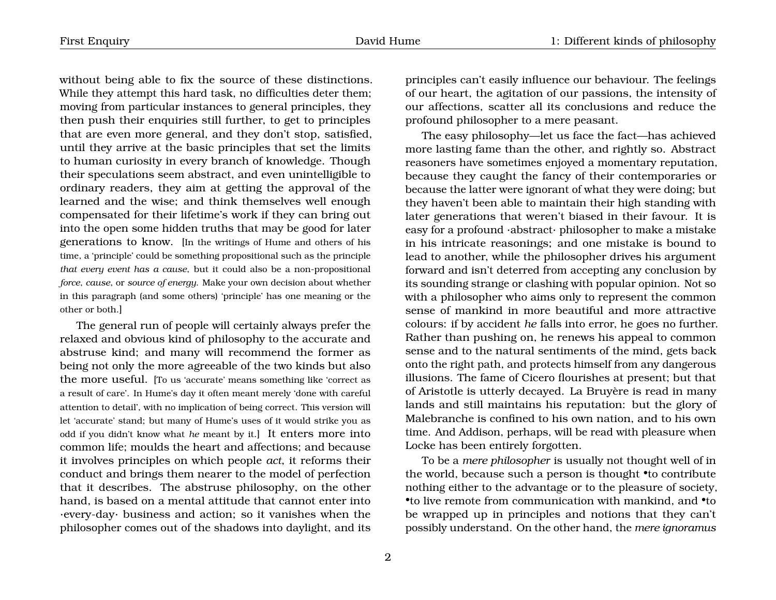without being able to fix the source of these distinctions. While they attempt this hard task, no difficulties deter them; moving from particular instances to general principles, they then push their enquiries still further, to get to principles that are even more general, and they don't stop, satisfied, until they arrive at the basic principles that set the limits to human curiosity in every branch of knowledge. Though their speculations seem abstract, and even unintelligible to ordinary readers, they aim at getting the approval of the learned and the wise; and think themselves well enough compensated for their lifetime's work if they can bring out into the open some hidden truths that may be good for later generations to know. [In the writings of Hume and others of his time, a 'principle' could be something propositional such as the principle *that every event has a cause*, but it could also be a non-propositional *force*, *cause*, or *source of energy*. Make your own decision about whether in this paragraph (and some others) 'principle' has one meaning or the other or both.]

The general run of people will certainly always prefer the relaxed and obvious kind of philosophy to the accurate and abstruse kind; and many will recommend the former as being not only the more agreeable of the two kinds but also the more useful. [To us 'accurate' means something like 'correct as a result of care'. In Hume's day it often meant merely 'done with careful attention to detail', with no implication of being correct. This version will let 'accurate' stand; but many of Hume's uses of it would strike you as odd if you didn't know what *he* meant by it.] It enters more into common life; moulds the heart and affections; and because it involves principles on which people *act*, it reforms their conduct and brings them nearer to the model of perfection that it describes. The abstruse philosophy, on the other hand, is based on a mental attitude that cannot enter into ·every-day· business and action; so it vanishes when the philosopher comes out of the shadows into daylight, and its

principles can't easily influence our behaviour. The feelings of our heart, the agitation of our passions, the intensity of our affections, scatter all its conclusions and reduce the profound philosopher to a mere peasant.

The easy philosophy—let us face the fact—has achieved more lasting fame than the other, and rightly so. Abstract reasoners have sometimes enjoyed a momentary reputation, because they caught the fancy of their contemporaries or because the latter were ignorant of what they were doing; but they haven't been able to maintain their high standing with later generations that weren't biased in their favour. It is easy for a profound ·abstract· philosopher to make a mistake in his intricate reasonings; and one mistake is bound to lead to another, while the philosopher drives his argument forward and isn't deterred from accepting any conclusion by its sounding strange or clashing with popular opinion. Not so with a philosopher who aims only to represent the common sense of mankind in more beautiful and more attractive colours: if by accident *he* falls into error, he goes no further. Rather than pushing on, he renews his appeal to common sense and to the natural sentiments of the mind, gets back onto the right path, and protects himself from any dangerous illusions. The fame of Cicero flourishes at present; but that of Aristotle is utterly decayed. La Bruyère is read in many lands and still maintains his reputation: but the glory of Malebranche is confined to his own nation, and to his own time. And Addison, perhaps, will be read with pleasure when Locke has been entirely forgotten.

To be a *mere philosopher* is usually not thought well of in the world, because such a person is thought •to contribute nothing either to the advantage or to the pleasure of society, •to live remote from communication with mankind, and •to be wrapped up in principles and notions that they can't possibly understand. On the other hand, the *mere ignoramus*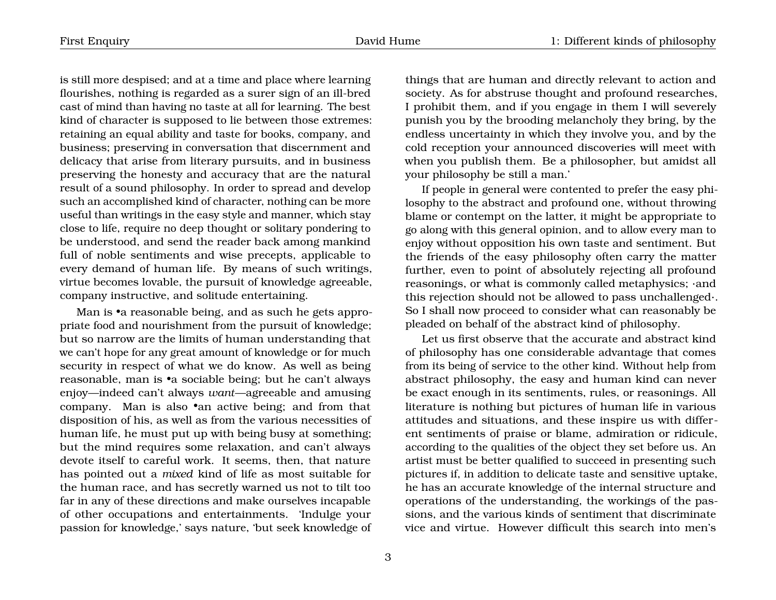is still more despised; and at a time and place where learning flourishes, nothing is regarded as a surer sign of an ill-bred cast of mind than having no taste at all for learning. The best kind of character is supposed to lie between those extremes: retaining an equal ability and taste for books, company, and business; preserving in conversation that discernment and delicacy that arise from literary pursuits, and in business preserving the honesty and accuracy that are the natural result of a sound philosophy. In order to spread and develop such an accomplished kind of character, nothing can be more useful than writings in the easy style and manner, which stay close to life, require no deep thought or solitary pondering to be understood, and send the reader back among mankind full of noble sentiments and wise precepts, applicable to every demand of human life. By means of such writings, virtue becomes lovable, the pursuit of knowledge agreeable, company instructive, and solitude entertaining.

Man is •a reasonable being, and as such he gets appropriate food and nourishment from the pursuit of knowledge; but so narrow are the limits of human understanding that we can't hope for any great amount of knowledge or for much security in respect of what we do know. As well as being reasonable, man is •a sociable being; but he can't always enjoy—indeed can't always *want*—agreeable and amusing company. Man is also •an active being; and from that disposition of his, as well as from the various necessities of human life, he must put up with being busy at something; but the mind requires some relaxation, and can't always devote itself to careful work. It seems, then, that nature has pointed out a *mixed* kind of life as most suitable for the human race, and has secretly warned us not to tilt too far in any of these directions and make ourselves incapable of other occupations and entertainments. 'Indulge your passion for knowledge,' says nature, 'but seek knowledge of

things that are human and directly relevant to action and society. As for abstruse thought and profound researches, I prohibit them, and if you engage in them I will severely punish you by the brooding melancholy they bring, by the endless uncertainty in which they involve you, and by the cold reception your announced discoveries will meet with when you publish them. Be a philosopher, but amidst all your philosophy be still a man.'

If people in general were contented to prefer the easy philosophy to the abstract and profound one, without throwing blame or contempt on the latter, it might be appropriate to go along with this general opinion, and to allow every man to enjoy without opposition his own taste and sentiment. But the friends of the easy philosophy often carry the matter further, even to point of absolutely rejecting all profound reasonings, or what is commonly called metaphysics; ·and this rejection should not be allowed to pass unchallenged·. So I shall now proceed to consider what can reasonably be pleaded on behalf of the abstract kind of philosophy.

Let us first observe that the accurate and abstract kind of philosophy has one considerable advantage that comes from its being of service to the other kind. Without help from abstract philosophy, the easy and human kind can never be exact enough in its sentiments, rules, or reasonings. All literature is nothing but pictures of human life in various attitudes and situations, and these inspire us with different sentiments of praise or blame, admiration or ridicule, according to the qualities of the object they set before us. An artist must be better qualified to succeed in presenting such pictures if, in addition to delicate taste and sensitive uptake, he has an accurate knowledge of the internal structure and operations of the understanding, the workings of the passions, and the various kinds of sentiment that discriminate vice and virtue. However difficult this search into men's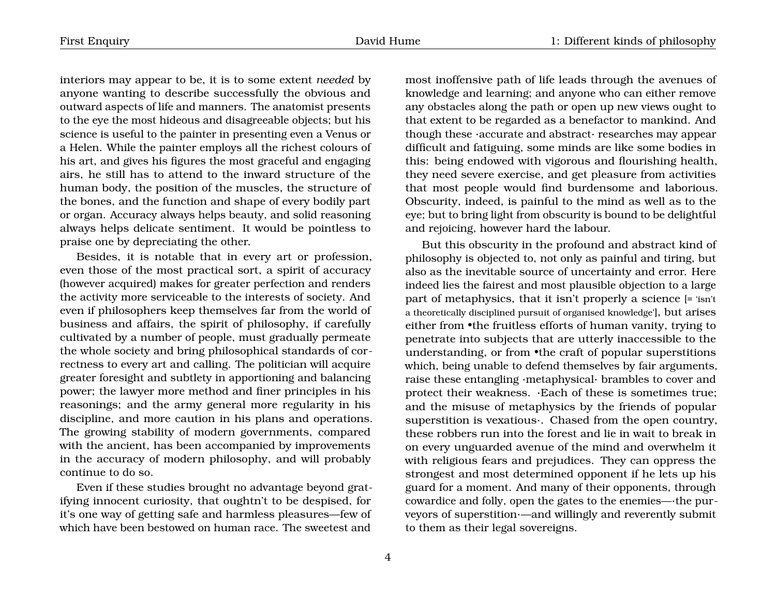interiors may appear to be, it is to some extent *needed* by anyone wanting to describe successfully the obvious and outward aspects of life and manners. The anatomist presents to the eye the most hideous and disagreeable objects; but his science is useful to the painter in presenting even a Venus or a Helen. While the painter employs all the richest colours of his art, and gives his figures the most graceful and engaging airs, he still has to attend to the inward structure of the human body, the position of the muscles, the structure of the bones, and the function and shape of every bodily part or organ. Accuracy always helps beauty, and solid reasoning always helps delicate sentiment. It would be pointless to praise one by depreciating the other.

Besides, it is notable that in every art or profession, even those of the most practical sort, a spirit of accuracy (however acquired) makes for greater perfection and renders the activity more serviceable to the interests of society. And even if philosophers keep themselves far from the world of business and affairs, the spirit of philosophy, if carefully cultivated by a number of people, must gradually permeate the whole society and bring philosophical standards of correctness to every art and calling. The politician will acquire greater foresight and subtlety in apportioning and balancing power; the lawyer more method and finer principles in his reasonings; and the army general more regularity in his discipline, and more caution in his plans and operations. The growing stability of modern governments, compared with the ancient, has been accompanied by improvements in the accuracy of modern philosophy, and will probably continue to do so.

Even if these studies brought no advantage beyond gratifying innocent curiosity, that oughtn't to be despised, for it's one way of getting safe and harmless pleasures—few of which have been bestowed on human race. The sweetest and

most inoffensive path of life leads through the avenues of knowledge and learning; and anyone who can either remove any obstacles along the path or open up new views ought to that extent to be regarded as a benefactor to mankind. And though these ·accurate and abstract· researches may appear difficult and fatiguing, some minds are like some bodies in this: being endowed with vigorous and flourishing health, they need severe exercise, and get pleasure from activities that most people would find burdensome and laborious. Obscurity, indeed, is painful to the mind as well as to the eye; but to bring light from obscurity is bound to be delightful and rejoicing, however hard the labour.

But this obscurity in the profound and abstract kind of philosophy is objected to, not only as painful and tiring, but also as the inevitable source of uncertainty and error. Here indeed lies the fairest and most plausible objection to a large part of metaphysics, that it isn't properly a science [= 'isn't a theoretically disciplined pursuit of organised knowledge'], but arises either from •the fruitless efforts of human vanity, trying to penetrate into subjects that are utterly inaccessible to the understanding, or from •the craft of popular superstitions which, being unable to defend themselves by fair arguments, raise these entangling ·metaphysical· brambles to cover and protect their weakness. ·Each of these is sometimes true; and the misuse of metaphysics by the friends of popular superstition is vexatious·. Chased from the open country, these robbers run into the forest and lie in wait to break in on every unguarded avenue of the mind and overwhelm it with religious fears and prejudices. They can oppress the strongest and most determined opponent if he lets up his guard for a moment. And many of their opponents, through cowardice and folly, open the gates to the enemies—·the purveyors of superstition·—and willingly and reverently submit to them as their legal sovereigns.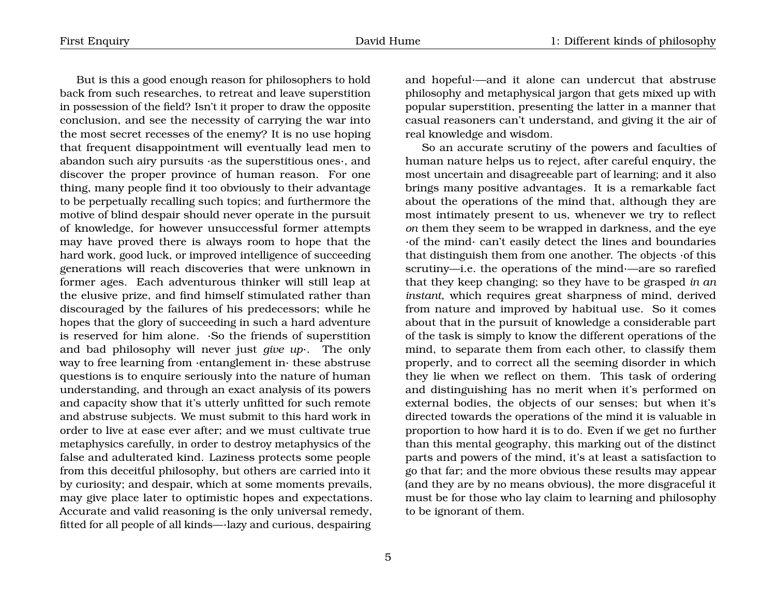But is this a good enough reason for philosophers to hold back from such researches, to retreat and leave superstition in possession of the field? Isn't it proper to draw the opposite conclusion, and see the necessity of carrying the war into the most secret recesses of the enemy? It is no use hoping that frequent disappointment will eventually lead men to abandon such airy pursuits ·as the superstitious ones·, and discover the proper province of human reason. For one thing, many people find it too obviously to their advantage to be perpetually recalling such topics; and furthermore the motive of blind despair should never operate in the pursuit of knowledge, for however unsuccessful former attempts may have proved there is always room to hope that the hard work, good luck, or improved intelligence of succeeding generations will reach discoveries that were unknown in former ages. Each adventurous thinker will still leap at the elusive prize, and find himself stimulated rather than discouraged by the failures of his predecessors; while he hopes that the glory of succeeding in such a hard adventure is reserved for him alone. ·So the friends of superstition and bad philosophy will never just *give up*·. The only way to free learning from ·entanglement in· these abstruse questions is to enquire seriously into the nature of human understanding, and through an exact analysis of its powers and capacity show that it's utterly unfitted for such remote and abstruse subjects. We must submit to this hard work in order to live at ease ever after; and we must cultivate true metaphysics carefully, in order to destroy metaphysics of the false and adulterated kind. Laziness protects some people from this deceitful philosophy, but others are carried into it by curiosity; and despair, which at some moments prevails, may give place later to optimistic hopes and expectations. Accurate and valid reasoning is the only universal remedy, fitted for all people of all kinds—·lazy and curious, despairing

5

and hopeful·—and it alone can undercut that abstruse philosophy and metaphysical jargon that gets mixed up with popular superstition, presenting the latter in a manner that casual reasoners can't understand, and giving it the air of real knowledge and wisdom.

So an accurate scrutiny of the powers and faculties of human nature helps us to reject, after careful enquiry, the most uncertain and disagreeable part of learning; and it also brings many positive advantages. It is a remarkable fact about the operations of the mind that, although they are most intimately present to us, whenever we try to reflect *on* them they seem to be wrapped in darkness, and the eye ·of the mind· can't easily detect the lines and boundaries that distinguish them from one another. The objects ·of this scrutiny—i.e. the operations of the mind·—are so rarefied that they keep changing; so they have to be grasped *in an instant*, which requires great sharpness of mind, derived from nature and improved by habitual use. So it comes about that in the pursuit of knowledge a considerable part of the task is simply to know the different operations of the mind, to separate them from each other, to classify them properly, and to correct all the seeming disorder in which they lie when we reflect on them. This task of ordering and distinguishing has no merit when it's performed on external bodies, the objects of our senses; but when it's directed towards the operations of the mind it is valuable in proportion to how hard it is to do. Even if we get no further than this mental geography, this marking out of the distinct parts and powers of the mind, it's at least a satisfaction to go that far; and the more obvious these results may appear (and they are by no means obvious), the more disgraceful it must be for those who lay claim to learning and philosophy to be ignorant of them.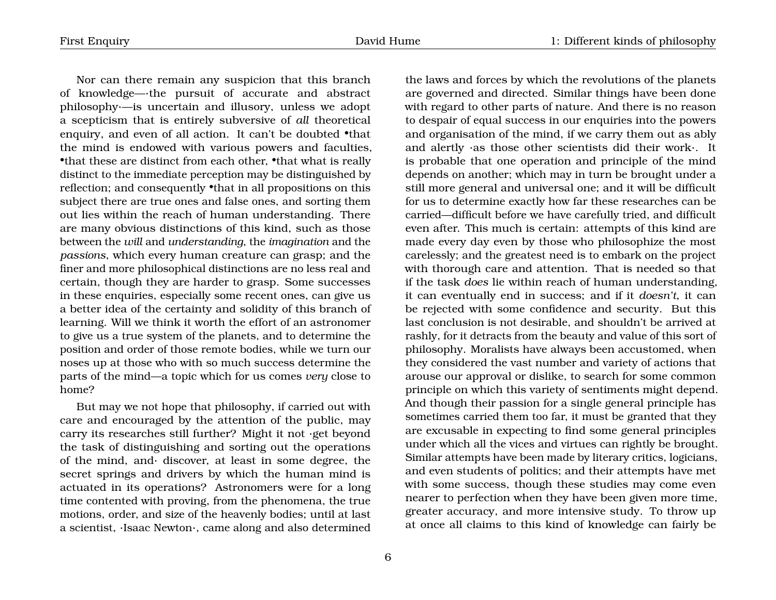Nor can there remain any suspicion that this branch of knowledge—·the pursuit of accurate and abstract philosophy·—is uncertain and illusory, unless we adopt a scepticism that is entirely subversive of *all* theoretical enquiry, and even of all action. It can't be doubted •that the mind is endowed with various powers and faculties, •that these are distinct from each other, •that what is really distinct to the immediate perception may be distinguished by reflection; and consequently •that in all propositions on this subject there are true ones and false ones, and sorting them out lies within the reach of human understanding. There are many obvious distinctions of this kind, such as those between the *will* and *understanding*, the *imagination* and the *passions*, which every human creature can grasp; and the finer and more philosophical distinctions are no less real and certain, though they are harder to grasp. Some successes in these enquiries, especially some recent ones, can give us a better idea of the certainty and solidity of this branch of learning. Will we think it worth the effort of an astronomer to give us a true system of the planets, and to determine the position and order of those remote bodies, while we turn our noses up at those who with so much success determine the parts of the mind—a topic which for us comes *very* close to home?

But may we not hope that philosophy, if carried out with care and encouraged by the attention of the public, may carry its researches still further? Might it not ·get beyond the task of distinguishing and sorting out the operations of the mind, and· discover, at least in some degree, the secret springs and drivers by which the human mind is actuated in its operations? Astronomers were for a long time contented with proving, from the phenomena, the true motions, order, and size of the heavenly bodies; until at last a scientist, ·Isaac Newton·, came along and also determined

the laws and forces by which the revolutions of the planets are governed and directed. Similar things have been done with regard to other parts of nature. And there is no reason to despair of equal success in our enquiries into the powers and organisation of the mind, if we carry them out as ably and alertly ·as those other scientists did their work·. It is probable that one operation and principle of the mind depends on another; which may in turn be brought under a still more general and universal one; and it will be difficult for us to determine exactly how far these researches can be carried—difficult before we have carefully tried, and difficult even after. This much is certain: attempts of this kind are made every day even by those who philosophize the most carelessly; and the greatest need is to embark on the project with thorough care and attention. That is needed so that if the task *does* lie within reach of human understanding, it can eventually end in success; and if it *doesn't*, it can be rejected with some confidence and security. But this last conclusion is not desirable, and shouldn't be arrived at rashly, for it detracts from the beauty and value of this sort of philosophy. Moralists have always been accustomed, when they considered the vast number and variety of actions that arouse our approval or dislike, to search for some common principle on which this variety of sentiments might depend. And though their passion for a single general principle has sometimes carried them too far, it must be granted that they are excusable in expecting to find some general principles under which all the vices and virtues can rightly be brought. Similar attempts have been made by literary critics, logicians, and even students of politics; and their attempts have met with some success, though these studies may come even nearer to perfection when they have been given more time, greater accuracy, and more intensive study. To throw up at once all claims to this kind of knowledge can fairly be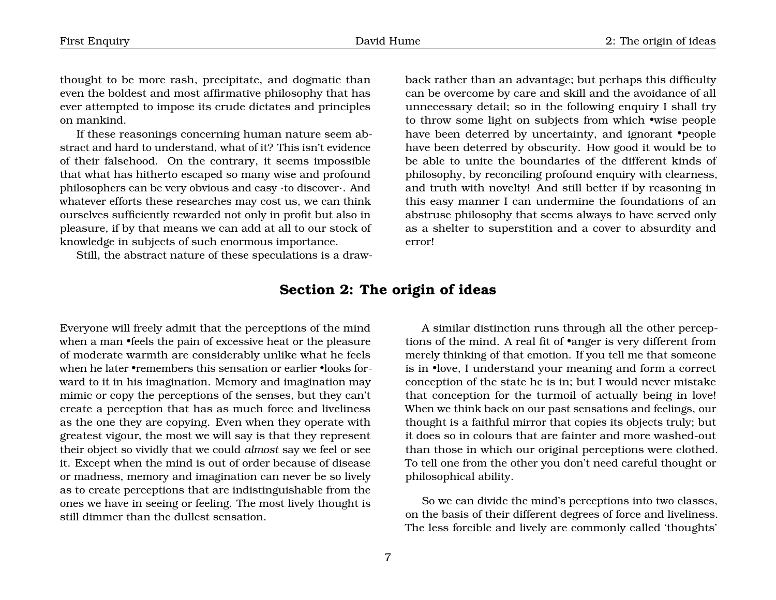thought to be more rash, precipitate, and dogmatic than even the boldest and most affirmative philosophy that has ever attempted to impose its crude dictates and principles on mankind.

If these reasonings concerning human nature seem abstract and hard to understand, what of it? This isn't evidence of their falsehood. On the contrary, it seems impossible that what has hitherto escaped so many wise and profound philosophers can be very obvious and easy ·to discover·. And whatever efforts these researches may cost us, we can think ourselves sufficiently rewarded not only in profit but also in pleasure, if by that means we can add at all to our stock of knowledge in subjects of such enormous importance.

Still, the abstract nature of these speculations is a draw-

back rather than an advantage; but perhaps this difficulty can be overcome by care and skill and the avoidance of all unnecessary detail; so in the following enquiry I shall try to throw some light on subjects from which •wise people have been deterred by uncertainty, and ignorant *•*people have been deterred by obscurity. How good it would be to be able to unite the boundaries of the different kinds of philosophy, by reconciling profound enquiry with clearness, and truth with novelty! And still better if by reasoning in this easy manner I can undermine the foundations of an abstruse philosophy that seems always to have served only as a shelter to superstition and a cover to absurdity and error!

## <span id="page-8-0"></span>**Section 2: The origin of ideas**

Everyone will freely admit that the perceptions of the mind when a man •feels the pain of excessive heat or the pleasure of moderate warmth are considerably unlike what he feels when he later •remembers this sensation or earlier •looks forward to it in his imagination. Memory and imagination may mimic or copy the perceptions of the senses, but they can't create a perception that has as much force and liveliness as the one they are copying. Even when they operate with greatest vigour, the most we will say is that they represent their object so vividly that we could *almost* say we feel or see it. Except when the mind is out of order because of disease or madness, memory and imagination can never be so lively as to create perceptions that are indistinguishable from the ones we have in seeing or feeling. The most lively thought is still dimmer than the dullest sensation.

A similar distinction runs through all the other perceptions of the mind. A real fit of •anger is very different from merely thinking of that emotion. If you tell me that someone is in •love, I understand your meaning and form a correct conception of the state he is in; but I would never mistake that conception for the turmoil of actually being in love! When we think back on our past sensations and feelings, our thought is a faithful mirror that copies its objects truly; but it does so in colours that are fainter and more washed-out than those in which our original perceptions were clothed. To tell one from the other you don't need careful thought or philosophical ability.

So we can divide the mind's perceptions into two classes, on the basis of their different degrees of force and liveliness. The less forcible and lively are commonly called 'thoughts'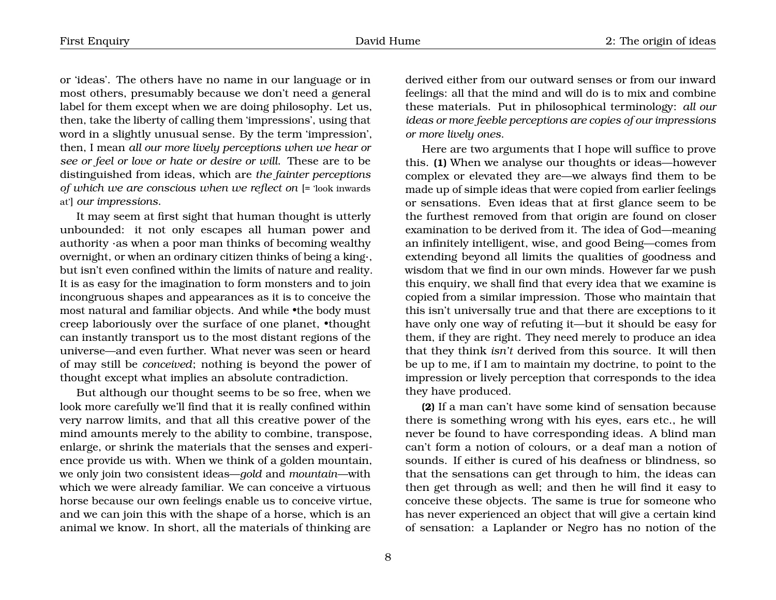or 'ideas'. The others have no name in our language or in most others, presumably because we don't need a general label for them except when we are doing philosophy. Let us, then, take the liberty of calling them 'impressions', using that word in a slightly unusual sense. By the term 'impression', then, I mean *all our more lively perceptions when we hear or see or feel or love or hate or desire or will*. These are to be distinguished from ideas, which are *the fainter perceptions of which we are conscious when we reflect on* [= 'look inwards at'] *our impressions*.

It may seem at first sight that human thought is utterly unbounded: it not only escapes all human power and authority ·as when a poor man thinks of becoming wealthy overnight, or when an ordinary citizen thinks of being a king·, but isn't even confined within the limits of nature and reality. It is as easy for the imagination to form monsters and to join incongruous shapes and appearances as it is to conceive the most natural and familiar objects. And while •the body must creep laboriously over the surface of one planet, •thought can instantly transport us to the most distant regions of the universe—and even further. What never was seen or heard of may still be *conceived*; nothing is beyond the power of thought except what implies an absolute contradiction.

But although our thought seems to be so free, when we look more carefully we'll find that it is really confined within very narrow limits, and that all this creative power of the mind amounts merely to the ability to combine, transpose, enlarge, or shrink the materials that the senses and experience provide us with. When we think of a golden mountain, we only join two consistent ideas—*gold* and *mountain*—with which we were already familiar. We can conceive a virtuous horse because our own feelings enable us to conceive virtue, and we can join this with the shape of a horse, which is an animal we know. In short, all the materials of thinking are

derived either from our outward senses or from our inward feelings: all that the mind and will do is to mix and combine these materials. Put in philosophical terminology: *all our ideas or more feeble perceptions are copies of our impressions or more lively ones*.

Here are two arguments that I hope will suffice to prove this. **(1)** When we analyse our thoughts or ideas—however complex or elevated they are—we always find them to be made up of simple ideas that were copied from earlier feelings or sensations. Even ideas that at first glance seem to be the furthest removed from that origin are found on closer examination to be derived from it. The idea of God—meaning an infinitely intelligent, wise, and good Being—comes from extending beyond all limits the qualities of goodness and wisdom that we find in our own minds. However far we push this enquiry, we shall find that every idea that we examine is copied from a similar impression. Those who maintain that this isn't universally true and that there are exceptions to it have only one way of refuting it—but it should be easy for them, if they are right. They need merely to produce an idea that they think *isn't* derived from this source. It will then be up to me, if I am to maintain my doctrine, to point to the impression or lively perception that corresponds to the idea they have produced.

**(2)** If a man can't have some kind of sensation because there is something wrong with his eyes, ears etc., he will never be found to have corresponding ideas. A blind man can't form a notion of colours, or a deaf man a notion of sounds. If either is cured of his deafness or blindness, so that the sensations can get through to him, the ideas can then get through as well; and then he will find it easy to conceive these objects. The same is true for someone who has never experienced an object that will give a certain kind of sensation: a Laplander or Negro has no notion of the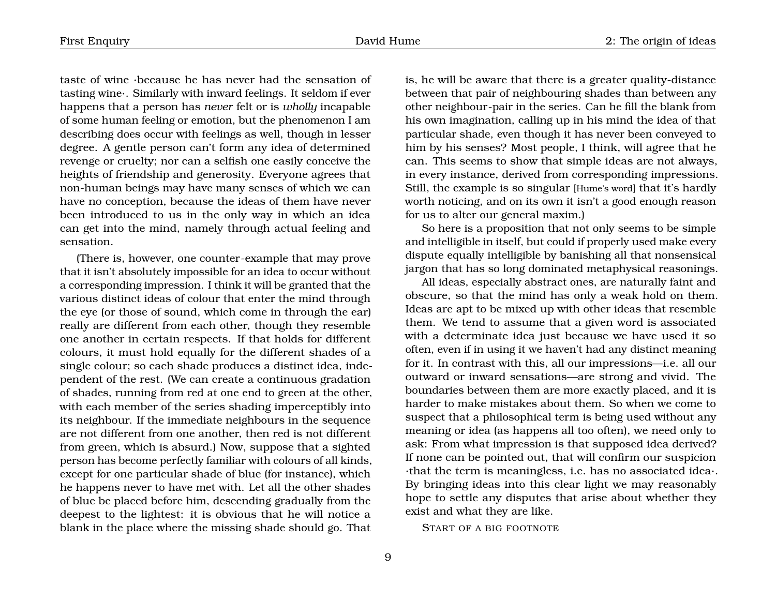taste of wine ·because he has never had the sensation of tasting wine·. Similarly with inward feelings. It seldom if ever happens that a person has *never* felt or is *wholly* incapable of some human feeling or emotion, but the phenomenon I am describing does occur with feelings as well, though in lesser degree. A gentle person can't form any idea of determined revenge or cruelty; nor can a selfish one easily conceive the heights of friendship and generosity. Everyone agrees that non-human beings may have many senses of which we can have no conception, because the ideas of them have never been introduced to us in the only way in which an idea can get into the mind, namely through actual feeling and sensation.

(There is, however, one counter-example that may prove that it isn't absolutely impossible for an idea to occur without a corresponding impression. I think it will be granted that the various distinct ideas of colour that enter the mind through the eye (or those of sound, which come in through the ear) really are different from each other, though they resemble one another in certain respects. If that holds for different colours, it must hold equally for the different shades of a single colour; so each shade produces a distinct idea, independent of the rest. (We can create a continuous gradation of shades, running from red at one end to green at the other, with each member of the series shading imperceptibly into its neighbour. If the immediate neighbours in the sequence are not different from one another, then red is not different from green, which is absurd.) Now, suppose that a sighted person has become perfectly familiar with colours of all kinds, except for one particular shade of blue (for instance), which he happens never to have met with. Let all the other shades of blue be placed before him, descending gradually from the deepest to the lightest: it is obvious that he will notice a blank in the place where the missing shade should go. That

is, he will be aware that there is a greater quality-distance between that pair of neighbouring shades than between any other neighbour-pair in the series. Can he fill the blank from his own imagination, calling up in his mind the idea of that particular shade, even though it has never been conveyed to him by his senses? Most people, I think, will agree that he can. This seems to show that simple ideas are not always, in every instance, derived from corresponding impressions. Still, the example is so singular [Hume's word] that it's hardly worth noticing, and on its own it isn't a good enough reason for us to alter our general maxim.)

So here is a proposition that not only seems to be simple and intelligible in itself, but could if properly used make every dispute equally intelligible by banishing all that nonsensical jargon that has so long dominated metaphysical reasonings.

All ideas, especially abstract ones, are naturally faint and obscure, so that the mind has only a weak hold on them. Ideas are apt to be mixed up with other ideas that resemble them. We tend to assume that a given word is associated with a determinate idea just because we have used it so often, even if in using it we haven't had any distinct meaning for it. In contrast with this, all our impressions—i.e. all our outward or inward sensations—are strong and vivid. The boundaries between them are more exactly placed, and it is harder to make mistakes about them. So when we come to suspect that a philosophical term is being used without any meaning or idea (as happens all too often), we need only to ask: From what impression is that supposed idea derived? If none can be pointed out, that will confirm our suspicion ·that the term is meaningless, i.e. has no associated idea·. By bringing ideas into this clear light we may reasonably hope to settle any disputes that arise about whether they exist and what they are like.

START OF A BIG FOOTNOTE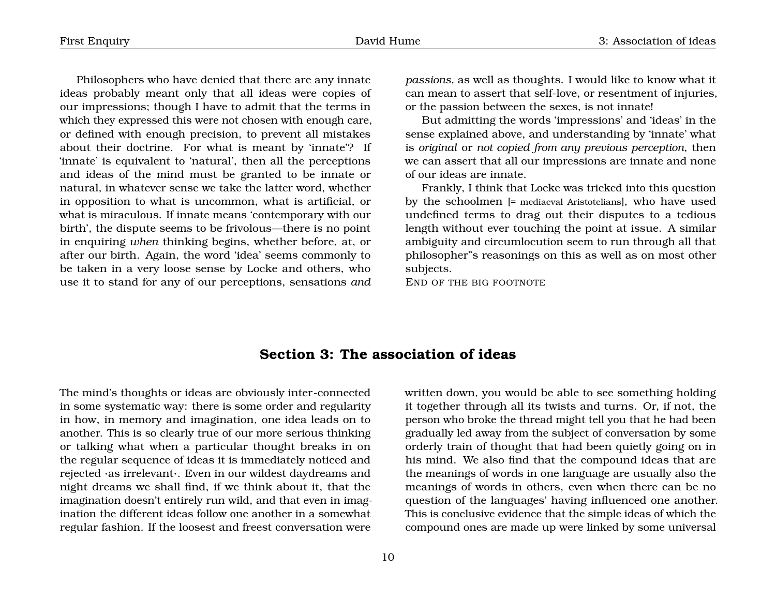Philosophers who have denied that there are any innate ideas probably meant only that all ideas were copies of our impressions; though I have to admit that the terms in which they expressed this were not chosen with enough care, or defined with enough precision, to prevent all mistakes about their doctrine. For what is meant by 'innate'? If 'innate' is equivalent to 'natural', then all the perceptions and ideas of the mind must be granted to be innate or natural, in whatever sense we take the latter word, whether in opposition to what is uncommon, what is artificial, or what is miraculous. If innate means 'contemporary with our birth', the dispute seems to be frivolous—there is no point in enquiring *when* thinking begins, whether before, at, or after our birth. Again, the word 'idea' seems commonly to be taken in a very loose sense by Locke and others, who use it to stand for any of our perceptions, sensations *and*

*passions,* as well as thoughts. I would like to know what it can mean to assert that self-love, or resentment of injuries, or the passion between the sexes, is not innate!

But admitting the words 'impressions' and 'ideas' in the sense explained above, and understanding by 'innate' what is *original* or *not copied from any previous perception*, then we can assert that all our impressions are innate and none of our ideas are innate.

Frankly, I think that Locke was tricked into this question by the schoolmen [= mediaeval Aristotelians], who have used undefined terms to drag out their disputes to a tedious length without ever touching the point at issue. A similar ambiguity and circumlocution seem to run through all that philosopher"s reasonings on this as well as on most other subjects.

END OF THE BIG FOOTNOTE

# <span id="page-11-0"></span>**Section 3: The association of ideas**

The mind's thoughts or ideas are obviously inter-connected in some systematic way: there is some order and regularity in how, in memory and imagination, one idea leads on to another. This is so clearly true of our more serious thinking or talking what when a particular thought breaks in on the regular sequence of ideas it is immediately noticed and rejected ·as irrelevant·. Even in our wildest daydreams and night dreams we shall find, if we think about it, that the imagination doesn't entirely run wild, and that even in imagination the different ideas follow one another in a somewhat regular fashion. If the loosest and freest conversation were

written down, you would be able to see something holding it together through all its twists and turns. Or, if not, the person who broke the thread might tell you that he had been gradually led away from the subject of conversation by some orderly train of thought that had been quietly going on in his mind. We also find that the compound ideas that are the meanings of words in one language are usually also the meanings of words in others, even when there can be no question of the languages' having influenced one another. This is conclusive evidence that the simple ideas of which the compound ones are made up were linked by some universal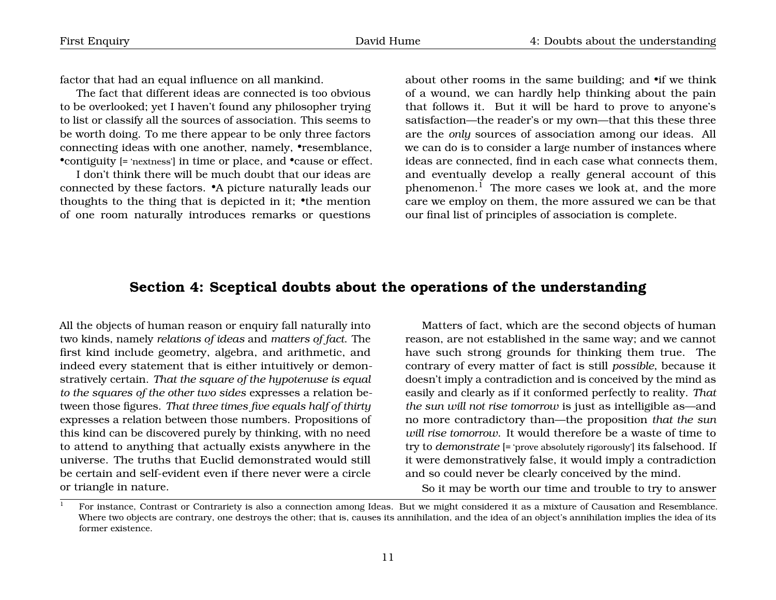factor that had an equal influence on all mankind.

The fact that different ideas are connected is too obvious to be overlooked; yet I haven't found any philosopher trying to list or classify all the sources of association. This seems to be worth doing. To me there appear to be only three factors connecting ideas with one another, namely, •resemblance, •contiguity [= 'nextness'] in time or place, and •cause or effect.

I don't think there will be much doubt that our ideas are connected by these factors. •A picture naturally leads our thoughts to the thing that is depicted in it; •the mention of one room naturally introduces remarks or questions

about other rooms in the same building; and •if we think of a wound, we can hardly help thinking about the pain that follows it. But it will be hard to prove to anyone's satisfaction—the reader's or my own—that this these three are the *only* sources of association among our ideas. All we can do is to consider a large number of instances where ideas are connected, find in each case what connects them, and eventually develop a really general account of this phenomenon.<sup>[1](#page-12-1)</sup> The more cases we look at, and the more care we employ on them, the more assured we can be that our final list of principles of association is complete.

## <span id="page-12-0"></span>**Section 4: Sceptical doubts about the operations of the understanding**

All the objects of human reason or enquiry fall naturally into two kinds, namely *relations of ideas* and *matters of fact*. The first kind include geometry, algebra, and arithmetic, and indeed every statement that is either intuitively or demonstratively certain. *That the square of the hypotenuse is equal to the squares of the other two sides* expresses a relation between those figures. *That three times five equals half of thirty* expresses a relation between those numbers. Propositions of this kind can be discovered purely by thinking, with no need to attend to anything that actually exists anywhere in the universe. The truths that Euclid demonstrated would still be certain and self-evident even if there never were a circle or triangle in nature.

Matters of fact, which are the second objects of human reason, are not established in the same way; and we cannot have such strong grounds for thinking them true. The contrary of every matter of fact is still *possible*, because it doesn't imply a contradiction and is conceived by the mind as easily and clearly as if it conformed perfectly to reality. *That the sun will not rise tomorrow* is just as intelligible as—and no more contradictory than—the proposition *that the sun will rise tomorrow*. It would therefore be a waste of time to try to *demonstrate* [= 'prove absolutely rigorously'] its falsehood. If it were demonstratively false, it would imply a contradiction and so could never be clearly conceived by the mind.

So it may be worth our time and trouble to try to answer

<span id="page-12-1"></span><sup>&</sup>lt;sup>1</sup> For instance, Contrast or Contrariety is also a connection among Ideas. But we might considered it as a mixture of Causation and Resemblance. Where two objects are contrary, one destroys the other; that is, causes its annihilation, and the idea of an object's annihilation implies the idea of its former existence.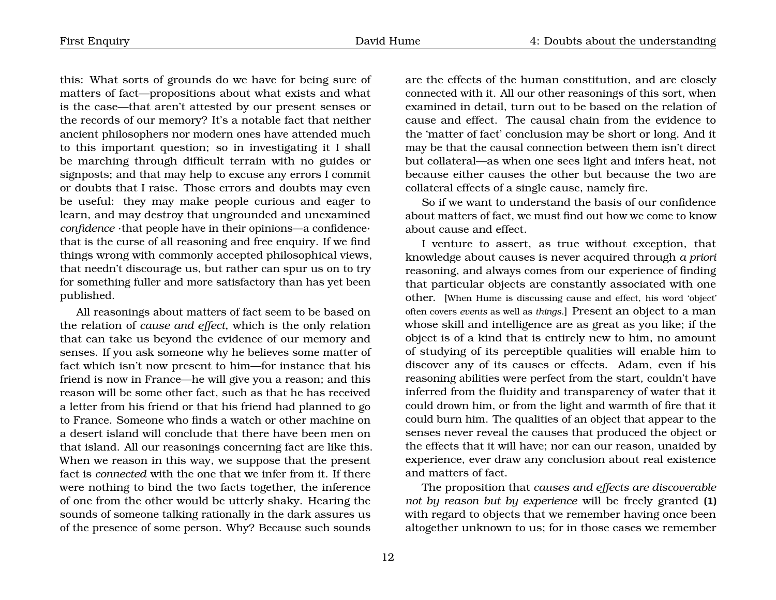First Enquiry **Example 2018** David Hume 4: Doubts about the understanding

this: What sorts of grounds do we have for being sure of matters of fact—propositions about what exists and what is the case—that aren't attested by our present senses or the records of our memory? It's a notable fact that neither ancient philosophers nor modern ones have attended much to this important question; so in investigating it I shall be marching through difficult terrain with no guides or signposts; and that may help to excuse any errors I commit or doubts that I raise. Those errors and doubts may even be useful: they may make people curious and eager to learn, and may destroy that ungrounded and unexamined *confidence* ·that people have in their opinions—a confidence· that is the curse of all reasoning and free enquiry. If we find things wrong with commonly accepted philosophical views, that needn't discourage us, but rather can spur us on to try for something fuller and more satisfactory than has yet been published.

All reasonings about matters of fact seem to be based on the relation of *cause and effect*, which is the only relation that can take us beyond the evidence of our memory and senses. If you ask someone why he believes some matter of fact which isn't now present to him—for instance that his friend is now in France—he will give you a reason; and this reason will be some other fact, such as that he has received a letter from his friend or that his friend had planned to go to France. Someone who finds a watch or other machine on a desert island will conclude that there have been men on that island. All our reasonings concerning fact are like this. When we reason in this way, we suppose that the present fact is *connected* with the one that we infer from it. If there were nothing to bind the two facts together, the inference of one from the other would be utterly shaky. Hearing the sounds of someone talking rationally in the dark assures us of the presence of some person. Why? Because such sounds

are the effects of the human constitution, and are closely connected with it. All our other reasonings of this sort, when examined in detail, turn out to be based on the relation of cause and effect. The causal chain from the evidence to the 'matter of fact' conclusion may be short or long. And it may be that the causal connection between them isn't direct but collateral—as when one sees light and infers heat, not because either causes the other but because the two are collateral effects of a single cause, namely fire.

So if we want to understand the basis of our confidence about matters of fact, we must find out how we come to know about cause and effect.

I venture to assert, as true without exception, that knowledge about causes is never acquired through *a priori* reasoning, and always comes from our experience of finding that particular objects are constantly associated with one other. [When Hume is discussing cause and effect, his word 'object' often covers *events* as well as *things*.] Present an object to a man whose skill and intelligence are as great as you like; if the object is of a kind that is entirely new to him, no amount of studying of its perceptible qualities will enable him to discover any of its causes or effects. Adam, even if his reasoning abilities were perfect from the start, couldn't have inferred from the fluidity and transparency of water that it could drown him, or from the light and warmth of fire that it could burn him. The qualities of an object that appear to the senses never reveal the causes that produced the object or the effects that it will have; nor can our reason, unaided by experience, ever draw any conclusion about real existence and matters of fact.

The proposition that *causes and effects are discoverable not by reason but by experience* will be freely granted **(1)** with regard to objects that we remember having once been altogether unknown to us; for in those cases we remember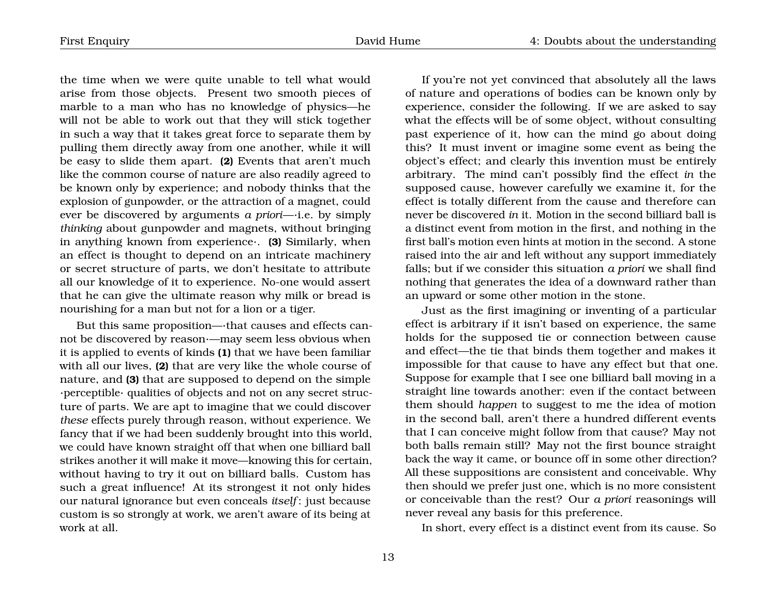the time when we were quite unable to tell what would arise from those objects. Present two smooth pieces of marble to a man who has no knowledge of physics—he will not be able to work out that they will stick together in such a way that it takes great force to separate them by pulling them directly away from one another, while it will be easy to slide them apart. **(2)** Events that aren't much like the common course of nature are also readily agreed to be known only by experience; and nobody thinks that the explosion of gunpowder, or the attraction of a magnet, could ever be discovered by arguments *a priori*—·i.e. by simply *thinking* about gunpowder and magnets, without bringing in anything known from experience·. **(3)** Similarly, when an effect is thought to depend on an intricate machinery or secret structure of parts, we don't hesitate to attribute all our knowledge of it to experience. No-one would assert that he can give the ultimate reason why milk or bread is nourishing for a man but not for a lion or a tiger.

But this same proposition—·that causes and effects cannot be discovered by reason·—may seem less obvious when it is applied to events of kinds **(1)** that we have been familiar with all our lives, **(2)** that are very like the whole course of nature, and **(3)** that are supposed to depend on the simple ·perceptible· qualities of objects and not on any secret structure of parts. We are apt to imagine that we could discover *these* effects purely through reason, without experience. We fancy that if we had been suddenly brought into this world, we could have known straight off that when one billiard ball strikes another it will make it move—knowing this for certain, without having to try it out on billiard balls. Custom has such a great influence! At its strongest it not only hides our natural ignorance but even conceals *itself* : just because custom is so strongly at work, we aren't aware of its being at work at all.

If you're not yet convinced that absolutely all the laws of nature and operations of bodies can be known only by experience, consider the following. If we are asked to say what the effects will be of some object, without consulting past experience of it, how can the mind go about doing this? It must invent or imagine some event as being the object's effect; and clearly this invention must be entirely arbitrary. The mind can't possibly find the effect *in* the supposed cause, however carefully we examine it, for the effect is totally different from the cause and therefore can never be discovered *in* it. Motion in the second billiard ball is a distinct event from motion in the first, and nothing in the first ball's motion even hints at motion in the second. A stone raised into the air and left without any support immediately falls; but if we consider this situation *a priori* we shall find nothing that generates the idea of a downward rather than an upward or some other motion in the stone.

Just as the first imagining or inventing of a particular effect is arbitrary if it isn't based on experience, the same holds for the supposed tie or connection between cause and effect—the tie that binds them together and makes it impossible for that cause to have any effect but that one. Suppose for example that I see one billiard ball moving in a straight line towards another: even if the contact between them should *happen* to suggest to me the idea of motion in the second ball, aren't there a hundred different events that I can conceive might follow from that cause? May not both balls remain still? May not the first bounce straight back the way it came, or bounce off in some other direction? All these suppositions are consistent and conceivable. Why then should we prefer just one, which is no more consistent or conceivable than the rest? Our *a priori* reasonings will never reveal any basis for this preference.

In short, every effect is a distinct event from its cause. So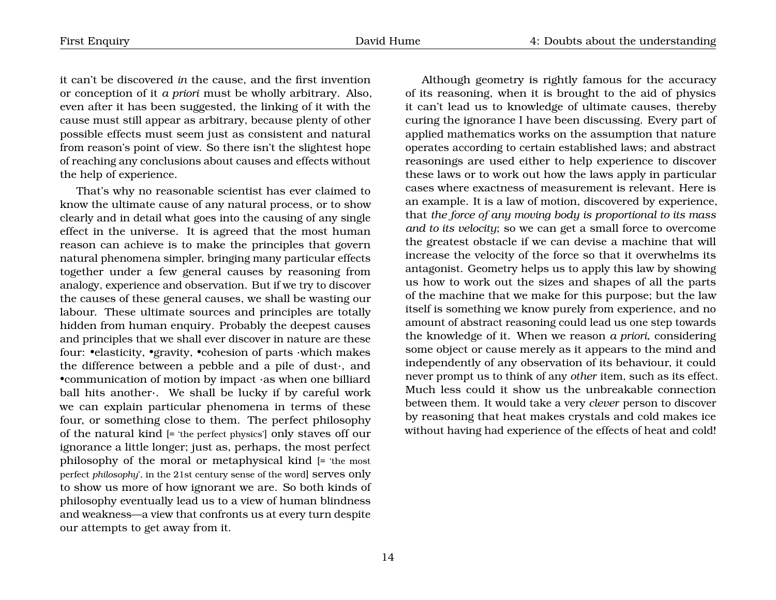it can't be discovered *in* the cause, and the first invention or conception of it *a priori* must be wholly arbitrary. Also, even after it has been suggested, the linking of it with the cause must still appear as arbitrary, because plenty of other possible effects must seem just as consistent and natural from reason's point of view. So there isn't the slightest hope of reaching any conclusions about causes and effects without the help of experience.

That's why no reasonable scientist has ever claimed to know the ultimate cause of any natural process, or to show clearly and in detail what goes into the causing of any single effect in the universe. It is agreed that the most human reason can achieve is to make the principles that govern natural phenomena simpler, bringing many particular effects together under a few general causes by reasoning from analogy, experience and observation. But if we try to discover the causes of these general causes, we shall be wasting our labour. These ultimate sources and principles are totally hidden from human enquiry. Probably the deepest causes and principles that we shall ever discover in nature are these four: •elasticity, •gravity, •cohesion of parts ·which makes the difference between a pebble and a pile of dust·, and •communication of motion by impact ·as when one billiard ball hits another·. We shall be lucky if by careful work we can explain particular phenomena in terms of these four, or something close to them. The perfect philosophy of the natural kind [= 'the perfect physics'] only staves off our ignorance a little longer; just as, perhaps, the most perfect philosophy of the moral or metaphysical kind [= 'the most perfect *philosophy*', in the 21st century sense of the word] serves only to show us more of how ignorant we are. So both kinds of philosophy eventually lead us to a view of human blindness and weakness—a view that confronts us at every turn despite our attempts to get away from it.

Although geometry is rightly famous for the accuracy of its reasoning, when it is brought to the aid of physics it can't lead us to knowledge of ultimate causes, thereby curing the ignorance I have been discussing. Every part of applied mathematics works on the assumption that nature operates according to certain established laws; and abstract reasonings are used either to help experience to discover these laws or to work out how the laws apply in particular cases where exactness of measurement is relevant. Here is an example. It is a law of motion, discovered by experience, that *the force of any moving body is proportional to its mass and to its velocity*; so we can get a small force to overcome the greatest obstacle if we can devise a machine that will increase the velocity of the force so that it overwhelms its antagonist. Geometry helps us to apply this law by showing us how to work out the sizes and shapes of all the parts of the machine that we make for this purpose; but the law itself is something we know purely from experience, and no amount of abstract reasoning could lead us one step towards the knowledge of it. When we reason *a priori*, considering some object or cause merely as it appears to the mind and independently of any observation of its behaviour, it could never prompt us to think of any *other* item, such as its effect. Much less could it show us the unbreakable connection between them. It would take a very *clever* person to discover by reasoning that heat makes crystals and cold makes ice without having had experience of the effects of heat and cold!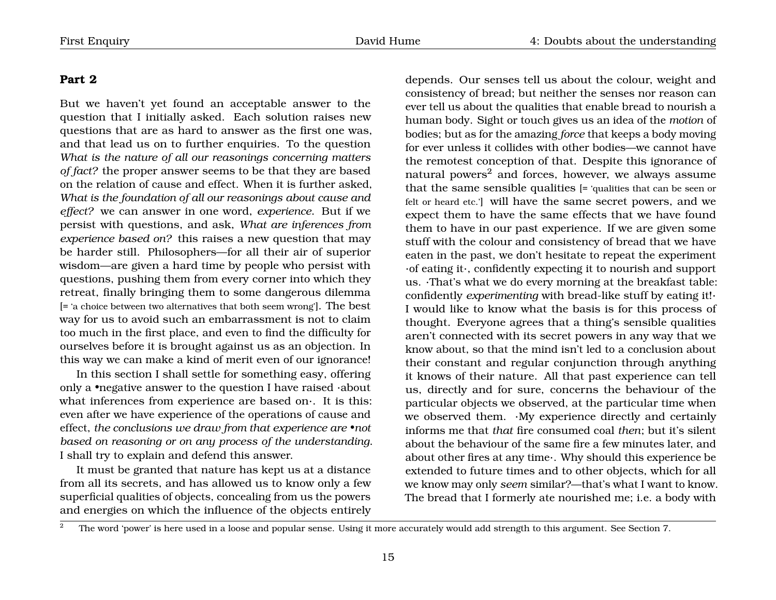#### <span id="page-16-0"></span>**Part 2**

But we haven't yet found an acceptable answer to the question that I initially asked. Each solution raises new questions that are as hard to answer as the first one was, and that lead us on to further enquiries. To the question *What is the nature of all our reasonings concerning matters of fact?* the proper answer seems to be that they are based on the relation of cause and effect. When it is further asked, *What is the foundation of all our reasonings about cause and effect?* we can answer in one word, *experience*. But if we persist with questions, and ask, *What are inferences from experience based on?* this raises a new question that may be harder still. Philosophers—for all their air of superior wisdom—are given a hard time by people who persist with questions, pushing them from every corner into which they retreat, finally bringing them to some dangerous dilemma [= 'a choice between two alternatives that both seem wrong']. The best way for us to avoid such an embarrassment is not to claim too much in the first place, and even to find the difficulty for ourselves before it is brought against us as an objection. In this way we can make a kind of merit even of our ignorance!

In this section I shall settle for something easy, offering only a •negative answer to the question I have raised ·about what inferences from experience are based on·. It is this: even after we have experience of the operations of cause and effect, *the conclusions we draw from that experience are* •*not based on reasoning or on any process of the understanding*. I shall try to explain and defend this answer.

It must be granted that nature has kept us at a distance from all its secrets, and has allowed us to know only a few superficial qualities of objects, concealing from us the powers and energies on which the influence of the objects entirely

depends. Our senses tell us about the colour, weight and consistency of bread; but neither the senses nor reason can ever tell us about the qualities that enable bread to nourish a human body. Sight or touch gives us an idea of the *motion* of bodies; but as for the amazing *force* that keeps a body moving for ever unless it collides with other bodies—we cannot have the remotest conception of that. Despite this ignorance of natural powers<sup>[2](#page-16-1)</sup> and forces, however, we always assume that the same sensible qualities [= 'qualities that can be seen or felt or heard etc.'] will have the same secret powers, and we expect them to have the same effects that we have found them to have in our past experience. If we are given some stuff with the colour and consistency of bread that we have eaten in the past, we don't hesitate to repeat the experiment ·of eating it·, confidently expecting it to nourish and support us. ·That's what we do every morning at the breakfast table: confidently *experimenting* with bread-like stuff by eating it!· I would like to know what the basis is for this process of thought. Everyone agrees that a thing's sensible qualities aren't connected with its secret powers in any way that we know about, so that the mind isn't led to a conclusion about their constant and regular conjunction through anything it knows of their nature. All that past experience can tell us, directly and for sure, concerns the behaviour of the particular objects we observed, at the particular time when we observed them. ·My experience directly and certainly informs me that *that* fire consumed coal *then*; but it's silent about the behaviour of the same fire a few minutes later, and about other fires at any time·. Why should this experience be extended to future times and to other objects, which for all we know may only *seem* similar?—that's what I want to know. The bread that I formerly ate nourished me; i.e. a body with

<span id="page-16-1"></span><sup>2</sup> The word 'power' is here used in a loose and popular sense. Using it more accurately would add strength to this argument. See Section 7.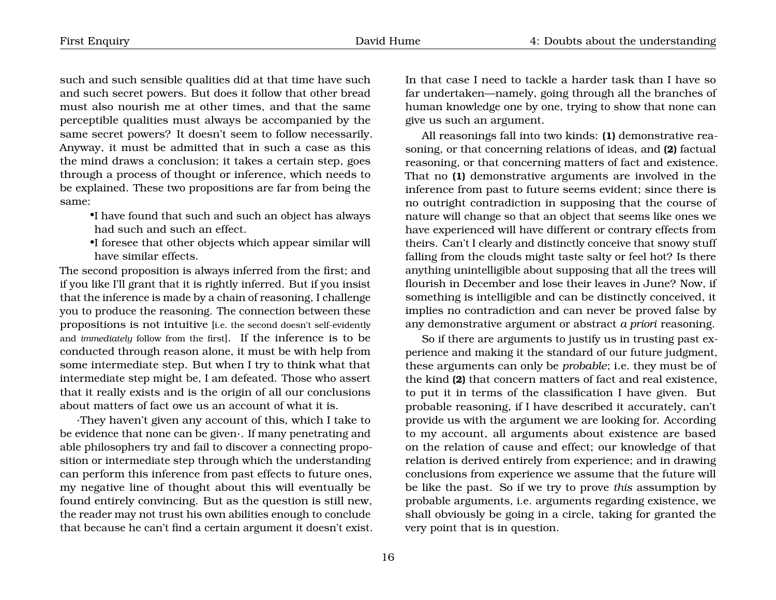such and such sensible qualities did at that time have such and such secret powers. But does it follow that other bread must also nourish me at other times, and that the same perceptible qualities must always be accompanied by the same secret powers? It doesn't seem to follow necessarily. Anyway, it must be admitted that in such a case as this the mind draws a conclusion; it takes a certain step, goes through a process of thought or inference, which needs to be explained. These two propositions are far from being the same:

•I have found that such and such an object has always had such and such an effect.

•I foresee that other objects which appear similar will have similar effects.

The second proposition is always inferred from the first; and if you like I'll grant that it is rightly inferred. But if you insist that the inference is made by a chain of reasoning, I challenge you to produce the reasoning. The connection between these propositions is not intuitive [i.e. the second doesn't self-evidently and *immediately* follow from the first]. If the inference is to be conducted through reason alone, it must be with help from some intermediate step. But when I try to think what that intermediate step might be, I am defeated. Those who assert that it really exists and is the origin of all our conclusions about matters of fact owe us an account of what it is.

·They haven't given any account of this, which I take to be evidence that none can be given·. If many penetrating and able philosophers try and fail to discover a connecting proposition or intermediate step through which the understanding can perform this inference from past effects to future ones, my negative line of thought about this will eventually be found entirely convincing. But as the question is still new, the reader may not trust his own abilities enough to conclude that because he can't find a certain argument it doesn't exist.

In that case I need to tackle a harder task than I have so far undertaken—namely, going through all the branches of human knowledge one by one, trying to show that none can give us such an argument.

All reasonings fall into two kinds: **(1)** demonstrative reasoning, or that concerning relations of ideas, and **(2)** factual reasoning, or that concerning matters of fact and existence. That no **(1)** demonstrative arguments are involved in the inference from past to future seems evident; since there is no outright contradiction in supposing that the course of nature will change so that an object that seems like ones we have experienced will have different or contrary effects from theirs. Can't I clearly and distinctly conceive that snowy stuff falling from the clouds might taste salty or feel hot? Is there anything unintelligible about supposing that all the trees will flourish in December and lose their leaves in June? Now, if something is intelligible and can be distinctly conceived, it implies no contradiction and can never be proved false by any demonstrative argument or abstract *a priori* reasoning.

So if there are arguments to justify us in trusting past experience and making it the standard of our future judgment, these arguments can only be *probable*; i.e. they must be of the kind **(2)** that concern matters of fact and real existence, to put it in terms of the classification I have given. But probable reasoning, if I have described it accurately, can't provide us with the argument we are looking for. According to my account, all arguments about existence are based on the relation of cause and effect; our knowledge of that relation is derived entirely from experience; and in drawing conclusions from experience we assume that the future will be like the past. So if we try to prove *this* assumption by probable arguments, i.e. arguments regarding existence, we shall obviously be going in a circle, taking for granted the very point that is in question.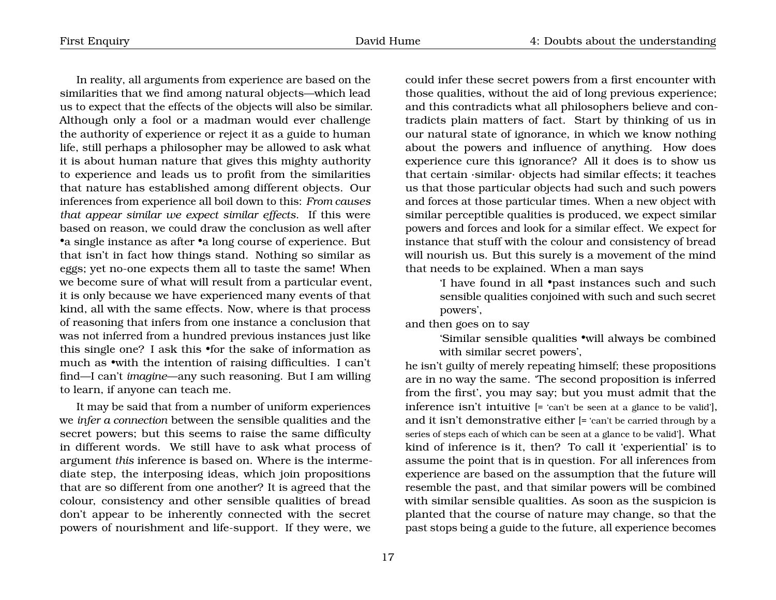In reality, all arguments from experience are based on the similarities that we find among natural objects—which lead us to expect that the effects of the objects will also be similar. Although only a fool or a madman would ever challenge the authority of experience or reject it as a guide to human life, still perhaps a philosopher may be allowed to ask what it is about human nature that gives this mighty authority to experience and leads us to profit from the similarities that nature has established among different objects. Our inferences from experience all boil down to this: *From causes that appear similar we expect similar effects*. If this were based on reason, we could draw the conclusion as well after •a single instance as after •a long course of experience. But that isn't in fact how things stand. Nothing so similar as eggs; yet no-one expects them all to taste the same! When we become sure of what will result from a particular event, it is only because we have experienced many events of that kind, all with the same effects. Now, where is that process of reasoning that infers from one instance a conclusion that was not inferred from a hundred previous instances just like this single one? I ask this •for the sake of information as much as •with the intention of raising difficulties. I can't find—I can't *imagine*—any such reasoning. But I am willing to learn, if anyone can teach me.

It may be said that from a number of uniform experiences we *infer a connection* between the sensible qualities and the secret powers; but this seems to raise the same difficulty in different words. We still have to ask what process of argument *this* inference is based on. Where is the intermediate step, the interposing ideas, which join propositions that are so different from one another? It is agreed that the colour, consistency and other sensible qualities of bread don't appear to be inherently connected with the secret powers of nourishment and life-support. If they were, we

could infer these secret powers from a first encounter with those qualities, without the aid of long previous experience; and this contradicts what all philosophers believe and contradicts plain matters of fact. Start by thinking of us in our natural state of ignorance, in which we know nothing about the powers and influence of anything. How does experience cure this ignorance? All it does is to show us that certain ·similar· objects had similar effects; it teaches us that those particular objects had such and such powers and forces at those particular times. When a new object with similar perceptible qualities is produced, we expect similar powers and forces and look for a similar effect. We expect for instance that stuff with the colour and consistency of bread will nourish us. But this surely is a movement of the mind that needs to be explained. When a man says

> 'I have found in all •past instances such and such sensible qualities conjoined with such and such secret powers',

and then goes on to say

'Similar sensible qualities •will always be combined with similar secret powers',

he isn't guilty of merely repeating himself; these propositions are in no way the same. 'The second proposition is inferred from the first', you may say; but you must admit that the inference isn't intuitive [= 'can't be seen at a glance to be valid'], and it isn't demonstrative either [= 'can't be carried through by a series of steps each of which can be seen at a glance to be valid']. What kind of inference is it, then? To call it 'experiential' is to assume the point that is in question. For all inferences from experience are based on the assumption that the future will resemble the past, and that similar powers will be combined with similar sensible qualities. As soon as the suspicion is planted that the course of nature may change, so that the past stops being a guide to the future, all experience becomes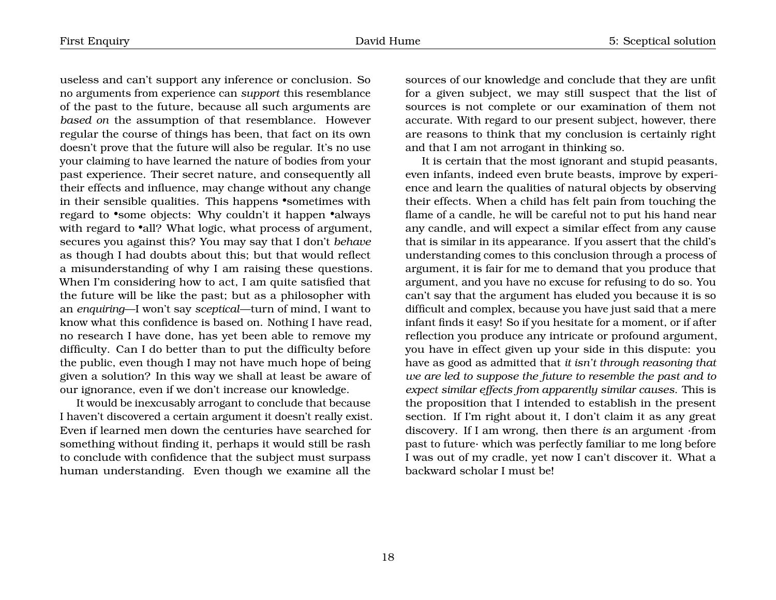useless and can't support any inference or conclusion. So no arguments from experience can *support* this resemblance of the past to the future, because all such arguments are *based on* the assumption of that resemblance. However regular the course of things has been, that fact on its own doesn't prove that the future will also be regular. It's no use your claiming to have learned the nature of bodies from your past experience. Their secret nature, and consequently all their effects and influence, may change without any change in their sensible qualities. This happens •sometimes with regard to •some objects: Why couldn't it happen •always with regard to •all? What logic, what process of argument, secures you against this? You may say that I don't *behave* as though I had doubts about this; but that would reflect a misunderstanding of why I am raising these questions. When I'm considering how to act, I am quite satisfied that the future will be like the past; but as a philosopher with an *enquiring*—I won't say *sceptical*—turn of mind, I want to know what this confidence is based on. Nothing I have read, no research I have done, has yet been able to remove my difficulty. Can I do better than to put the difficulty before the public, even though I may not have much hope of being given a solution? In this way we shall at least be aware of our ignorance, even if we don't increase our knowledge.

It would be inexcusably arrogant to conclude that because I haven't discovered a certain argument it doesn't really exist. Even if learned men down the centuries have searched for something without finding it, perhaps it would still be rash to conclude with confidence that the subject must surpass human understanding. Even though we examine all the

sources of our knowledge and conclude that they are unfit for a given subject, we may still suspect that the list of sources is not complete or our examination of them not accurate. With regard to our present subject, however, there are reasons to think that my conclusion is certainly right and that I am not arrogant in thinking so.

It is certain that the most ignorant and stupid peasants, even infants, indeed even brute beasts, improve by experience and learn the qualities of natural objects by observing their effects. When a child has felt pain from touching the flame of a candle, he will be careful not to put his hand near any candle, and will expect a similar effect from any cause that is similar in its appearance. If you assert that the child's understanding comes to this conclusion through a process of argument, it is fair for me to demand that you produce that argument, and you have no excuse for refusing to do so. You can't say that the argument has eluded you because it is so difficult and complex, because you have just said that a mere infant finds it easy! So if you hesitate for a moment, or if after reflection you produce any intricate or profound argument, you have in effect given up your side in this dispute: you have as good as admitted that *it isn't through reasoning that we are led to suppose the future to resemble the past and to expect similar effects from apparently similar causes*. This is the proposition that I intended to establish in the present section. If I'm right about it, I don't claim it as any great discovery. If I am wrong, then there *is* an argument ·from past to future· which was perfectly familiar to me long before I was out of my cradle, yet now I can't discover it. What a backward scholar I must be!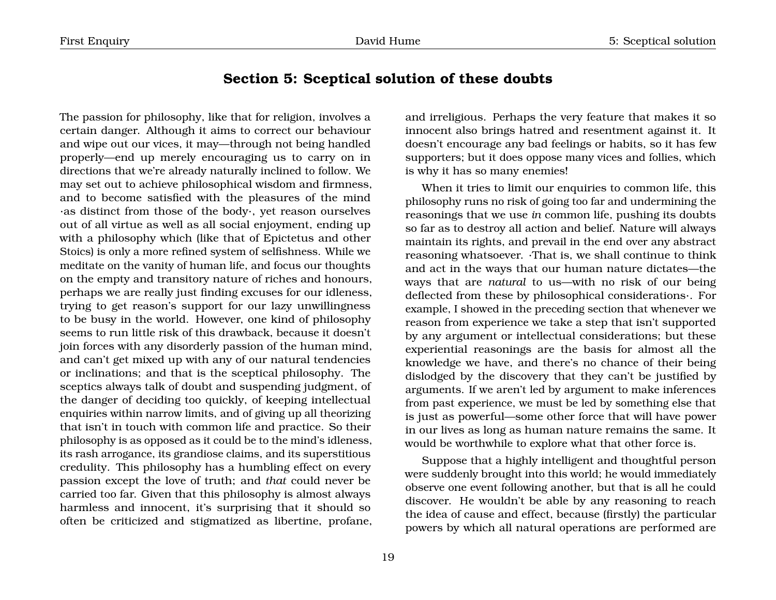# <span id="page-20-0"></span>**Section 5: Sceptical solution of these doubts**

The passion for philosophy, like that for religion, involves a certain danger. Although it aims to correct our behaviour and wipe out our vices, it may—through not being handled properly—end up merely encouraging us to carry on in directions that we're already naturally inclined to follow. We may set out to achieve philosophical wisdom and firmness, and to become satisfied with the pleasures of the mind ·as distinct from those of the body·, yet reason ourselves out of all virtue as well as all social enjoyment, ending up with a philosophy which (like that of Epictetus and other Stoics) is only a more refined system of selfishness. While we meditate on the vanity of human life, and focus our thoughts on the empty and transitory nature of riches and honours, perhaps we are really just finding excuses for our idleness, trying to get reason's support for our lazy unwillingness to be busy in the world. However, one kind of philosophy seems to run little risk of this drawback, because it doesn't join forces with any disorderly passion of the human mind, and can't get mixed up with any of our natural tendencies or inclinations; and that is the sceptical philosophy. The sceptics always talk of doubt and suspending judgment, of the danger of deciding too quickly, of keeping intellectual enquiries within narrow limits, and of giving up all theorizing that isn't in touch with common life and practice. So their philosophy is as opposed as it could be to the mind's idleness, its rash arrogance, its grandiose claims, and its superstitious credulity. This philosophy has a humbling effect on every passion except the love of truth; and *that* could never be carried too far. Given that this philosophy is almost always harmless and innocent, it's surprising that it should so often be criticized and stigmatized as libertine, profane,

and irreligious. Perhaps the very feature that makes it so innocent also brings hatred and resentment against it. It doesn't encourage any bad feelings or habits, so it has few supporters; but it does oppose many vices and follies, which is why it has so many enemies!

When it tries to limit our enquiries to common life, this philosophy runs no risk of going too far and undermining the reasonings that we use *in* common life, pushing its doubts so far as to destroy all action and belief. Nature will always maintain its rights, and prevail in the end over any abstract reasoning whatsoever. ·That is, we shall continue to think and act in the ways that our human nature dictates—the ways that are *natural* to us—with no risk of our being deflected from these by philosophical considerations·. For example, I showed in the preceding section that whenever we reason from experience we take a step that isn't supported by any argument or intellectual considerations; but these experiential reasonings are the basis for almost all the knowledge we have, and there's no chance of their being dislodged by the discovery that they can't be justified by arguments. If we aren't led by argument to make inferences from past experience, we must be led by something else that is just as powerful—some other force that will have power in our lives as long as human nature remains the same. It would be worthwhile to explore what that other force is.

Suppose that a highly intelligent and thoughtful person were suddenly brought into this world; he would immediately observe one event following another, but that is all he could discover. He wouldn't be able by any reasoning to reach the idea of cause and effect, because (firstly) the particular powers by which all natural operations are performed are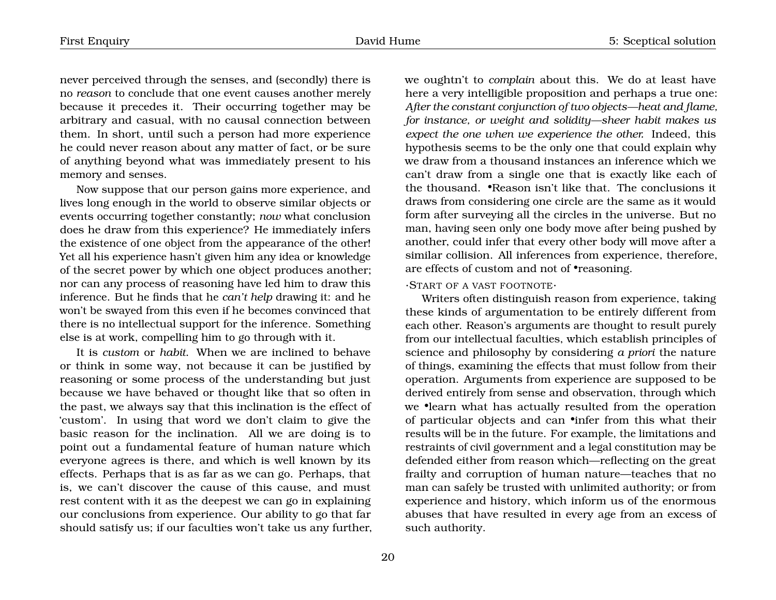never perceived through the senses, and (secondly) there is no *reason* to conclude that one event causes another merely because it precedes it. Their occurring together may be arbitrary and casual, with no causal connection between them. In short, until such a person had more experience he could never reason about any matter of fact, or be sure of anything beyond what was immediately present to his memory and senses.

Now suppose that our person gains more experience, and lives long enough in the world to observe similar objects or events occurring together constantly; *now* what conclusion does he draw from this experience? He immediately infers the existence of one object from the appearance of the other! Yet all his experience hasn't given him any idea or knowledge of the secret power by which one object produces another; nor can any process of reasoning have led him to draw this inference. But he finds that he *can't help* drawing it: and he won't be swayed from this even if he becomes convinced that there is no intellectual support for the inference. Something else is at work, compelling him to go through with it.

It is *custom* or *habit*. When we are inclined to behave or think in some way, not because it can be justified by reasoning or some process of the understanding but just because we have behaved or thought like that so often in the past, we always say that this inclination is the effect of 'custom'. In using that word we don't claim to give the basic reason for the inclination. All we are doing is to point out a fundamental feature of human nature which everyone agrees is there, and which is well known by its effects. Perhaps that is as far as we can go. Perhaps, that is, we can't discover the cause of this cause, and must rest content with it as the deepest we can go in explaining our conclusions from experience. Our ability to go that far should satisfy us; if our faculties won't take us any further,

we oughtn't to *complain* about this. We do at least have here a very intelligible proposition and perhaps a true one: *After the constant conjunction of two objects—heat and flame, for instance, or weight and solidity—sheer habit makes us expect the one when we experience the other.* Indeed, this hypothesis seems to be the only one that could explain why we draw from a thousand instances an inference which we can't draw from a single one that is exactly like each of the thousand. •Reason isn't like that. The conclusions it draws from considering one circle are the same as it would form after surveying all the circles in the universe. But no man, having seen only one body move after being pushed by another, could infer that every other body will move after a similar collision. All inferences from experience, therefore, are effects of custom and not of •reasoning.

#### · START OF A VAST FOOTNOTE·

Writers often distinguish reason from experience, taking these kinds of argumentation to be entirely different from each other. Reason's arguments are thought to result purely from our intellectual faculties, which establish principles of science and philosophy by considering *a priori* the nature of things, examining the effects that must follow from their operation. Arguments from experience are supposed to be derived entirely from sense and observation, through which we •learn what has actually resulted from the operation of particular objects and can •infer from this what their results will be in the future. For example, the limitations and restraints of civil government and a legal constitution may be defended either from reason which—reflecting on the great frailty and corruption of human nature—teaches that no man can safely be trusted with unlimited authority; or from experience and history, which inform us of the enormous abuses that have resulted in every age from an excess of such authority.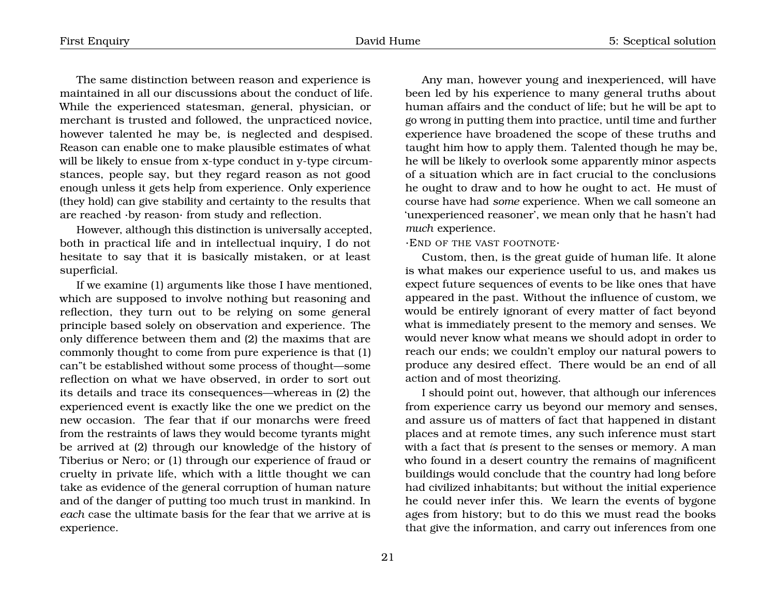The same distinction between reason and experience is maintained in all our discussions about the conduct of life. While the experienced statesman, general, physician, or merchant is trusted and followed, the unpracticed novice, however talented he may be, is neglected and despised. Reason can enable one to make plausible estimates of what will be likely to ensue from x-type conduct in y-type circumstances, people say, but they regard reason as not good enough unless it gets help from experience. Only experience (they hold) can give stability and certainty to the results that are reached ·by reason· from study and reflection.

However, although this distinction is universally accepted, both in practical life and in intellectual inquiry, I do not hesitate to say that it is basically mistaken, or at least superficial.

If we examine (1) arguments like those I have mentioned, which are supposed to involve nothing but reasoning and reflection, they turn out to be relying on some general principle based solely on observation and experience. The only difference between them and (2) the maxims that are commonly thought to come from pure experience is that (1) can"t be established without some process of thought—some reflection on what we have observed, in order to sort out its details and trace its consequences—whereas in (2) the experienced event is exactly like the one we predict on the new occasion. The fear that if our monarchs were freed from the restraints of laws they would become tyrants might be arrived at (2) through our knowledge of the history of Tiberius or Nero; or (1) through our experience of fraud or cruelty in private life, which with a little thought we can take as evidence of the general corruption of human nature and of the danger of putting too much trust in mankind. In *each* case the ultimate basis for the fear that we arrive at is experience.

Any man, however young and inexperienced, will have been led by his experience to many general truths about human affairs and the conduct of life; but he will be apt to go wrong in putting them into practice, until time and further experience have broadened the scope of these truths and taught him how to apply them. Talented though he may be, he will be likely to overlook some apparently minor aspects of a situation which are in fact crucial to the conclusions he ought to draw and to how he ought to act. He must of course have had *some* experience. When we call someone an 'unexperienced reasoner', we mean only that he hasn't had *much* experience.

#### ·END OF THE VAST FOOTNOTE·

Custom, then, is the great guide of human life. It alone is what makes our experience useful to us, and makes us expect future sequences of events to be like ones that have appeared in the past. Without the influence of custom, we would be entirely ignorant of every matter of fact beyond what is immediately present to the memory and senses. We would never know what means we should adopt in order to reach our ends; we couldn't employ our natural powers to produce any desired effect. There would be an end of all action and of most theorizing.

I should point out, however, that although our inferences from experience carry us beyond our memory and senses, and assure us of matters of fact that happened in distant places and at remote times, any such inference must start with a fact that *is* present to the senses or memory. A man who found in a desert country the remains of magnificent buildings would conclude that the country had long before had civilized inhabitants; but without the initial experience he could never infer this. We learn the events of bygone ages from history; but to do this we must read the books that give the information, and carry out inferences from one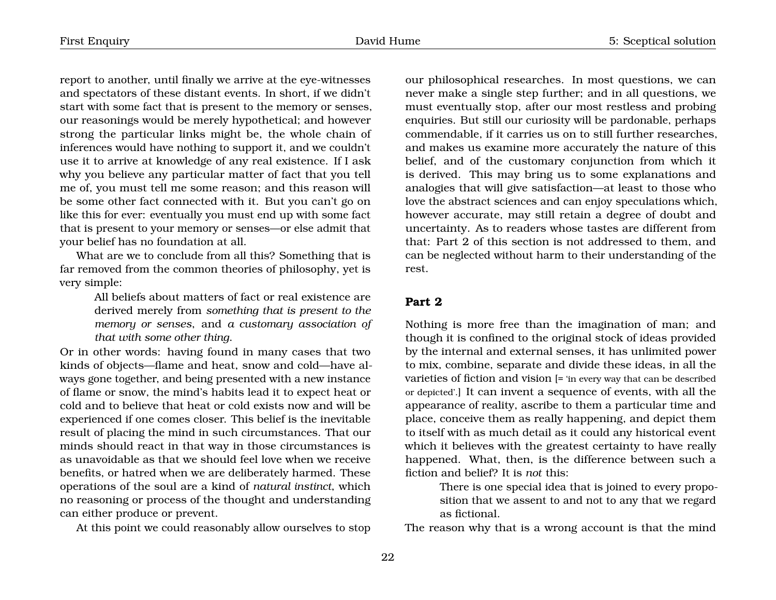report to another, until finally we arrive at the eye-witnesses and spectators of these distant events. In short, if we didn't start with some fact that is present to the memory or senses, our reasonings would be merely hypothetical; and however strong the particular links might be, the whole chain of inferences would have nothing to support it, and we couldn't use it to arrive at knowledge of any real existence. If I ask why you believe any particular matter of fact that you tell me of, you must tell me some reason; and this reason will be some other fact connected with it. But you can't go on like this for ever: eventually you must end up with some fact that is present to your memory or senses—or else admit that your belief has no foundation at all.

What are we to conclude from all this? Something that is far removed from the common theories of philosophy, yet is very simple:

> All beliefs about matters of fact or real existence are derived merely from *something that is present to the memory or senses*, and *a customary association of that with some other thing*.

Or in other words: having found in many cases that two kinds of objects—flame and heat, snow and cold—have always gone together, and being presented with a new instance of flame or snow, the mind's habits lead it to expect heat or cold and to believe that heat or cold exists now and will be experienced if one comes closer. This belief is the inevitable result of placing the mind in such circumstances. That our minds should react in that way in those circumstances is as unavoidable as that we should feel love when we receive benefits, or hatred when we are deliberately harmed. These operations of the soul are a kind of *natural instinct*, which no reasoning or process of the thought and understanding can either produce or prevent.

At this point we could reasonably allow ourselves to stop

our philosophical researches. In most questions, we can never make a single step further; and in all questions, we must eventually stop, after our most restless and probing enquiries. But still our curiosity will be pardonable, perhaps commendable, if it carries us on to still further researches, and makes us examine more accurately the nature of this belief, and of the customary conjunction from which it is derived. This may bring us to some explanations and analogies that will give satisfaction—at least to those who love the abstract sciences and can enjoy speculations which, however accurate, may still retain a degree of doubt and uncertainty. As to readers whose tastes are different from that: Part 2 of this section is not addressed to them, and can be neglected without harm to their understanding of the rest.

#### <span id="page-23-0"></span>**Part 2**

Nothing is more free than the imagination of man; and though it is confined to the original stock of ideas provided by the internal and external senses, it has unlimited power to mix, combine, separate and divide these ideas, in all the varieties of fiction and vision [= 'in every way that can be described or depicted'.] It can invent a sequence of events, with all the appearance of reality, ascribe to them a particular time and place, conceive them as really happening, and depict them to itself with as much detail as it could any historical event which it believes with the greatest certainty to have really happened. What, then, is the difference between such a fiction and belief? It is *not* this:

> There is one special idea that is joined to every proposition that we assent to and not to any that we regard as fictional.

The reason why that is a wrong account is that the mind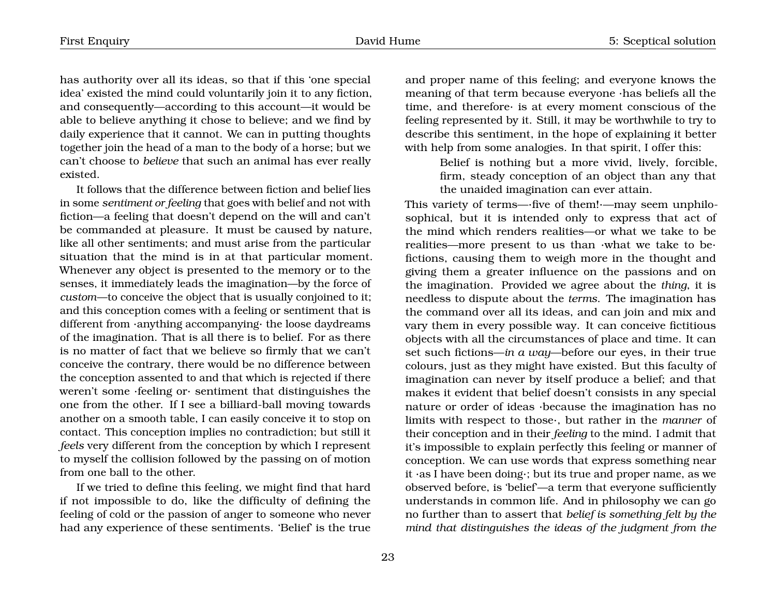has authority over all its ideas, so that if this 'one special idea' existed the mind could voluntarily join it to any fiction, and consequently—according to this account—it would be able to believe anything it chose to believe; and we find by daily experience that it cannot. We can in putting thoughts together join the head of a man to the body of a horse; but we can't choose to *believe* that such an animal has ever really existed.

It follows that the difference between fiction and belief lies in some *sentiment or feeling* that goes with belief and not with fiction—a feeling that doesn't depend on the will and can't be commanded at pleasure. It must be caused by nature, like all other sentiments; and must arise from the particular situation that the mind is in at that particular moment. Whenever any object is presented to the memory or to the senses, it immediately leads the imagination—by the force of *custom*—to conceive the object that is usually conjoined to it; and this conception comes with a feeling or sentiment that is different from ·anything accompanying· the loose daydreams of the imagination. That is all there is to belief. For as there is no matter of fact that we believe so firmly that we can't conceive the contrary, there would be no difference between the conception assented to and that which is rejected if there weren't some ·feeling or· sentiment that distinguishes the one from the other. If I see a billiard-ball moving towards another on a smooth table, I can easily conceive it to stop on contact. This conception implies no contradiction; but still it *feels* very different from the conception by which I represent to myself the collision followed by the passing on of motion from one ball to the other.

If we tried to define this feeling, we might find that hard if not impossible to do, like the difficulty of defining the feeling of cold or the passion of anger to someone who never had any experience of these sentiments. 'Belief' is the true

and proper name of this feeling; and everyone knows the meaning of that term because everyone ·has beliefs all the time, and therefore· is at every moment conscious of the feeling represented by it. Still, it may be worthwhile to try to describe this sentiment, in the hope of explaining it better with help from some analogies. In that spirit, I offer this:

> Belief is nothing but a more vivid, lively, forcible, firm, steady conception of an object than any that the unaided imagination can ever attain.

This variety of terms—·five of them!·—may seem unphilosophical, but it is intended only to express that act of the mind which renders realities—or what we take to be realities—more present to us than ·what we take to be· fictions, causing them to weigh more in the thought and giving them a greater influence on the passions and on the imagination. Provided we agree about the *thing*, it is needless to dispute about the *terms*. The imagination has the command over all its ideas, and can join and mix and vary them in every possible way. It can conceive fictitious objects with all the circumstances of place and time. It can set such fictions—*in a way*—before our eyes, in their true colours, just as they might have existed. But this faculty of imagination can never by itself produce a belief; and that makes it evident that belief doesn't consists in any special nature or order of ideas ·because the imagination has no limits with respect to those·, but rather in the *manner* of their conception and in their *feeling* to the mind. I admit that it's impossible to explain perfectly this feeling or manner of conception. We can use words that express something near it ·as I have been doing·; but its true and proper name, as we observed before, is 'belief'—a term that everyone sufficiently understands in common life. And in philosophy we can go no further than to assert that *belief is something felt by the mind that distinguishes the ideas of the judgment from the*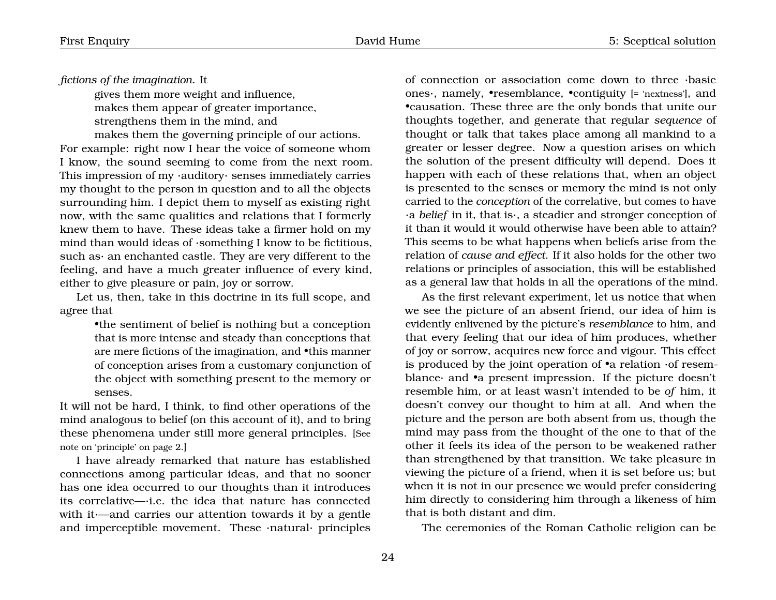*fictions of the imagination*. It

gives them more weight and influence,

makes them appear of greater importance,

strengthens them in the mind, and

makes them the governing principle of our actions.

For example: right now I hear the voice of someone whom I know, the sound seeming to come from the next room. This impression of my ·auditory· senses immediately carries my thought to the person in question and to all the objects surrounding him. I depict them to myself as existing right now, with the same qualities and relations that I formerly knew them to have. These ideas take a firmer hold on my mind than would ideas of ·something I know to be fictitious, such as· an enchanted castle. They are very different to the feeling, and have a much greater influence of every kind, either to give pleasure or pain, joy or sorrow.

Let us, then, take in this doctrine in its full scope, and agree that

> •the sentiment of belief is nothing but a conception that is more intense and steady than conceptions that are mere fictions of the imagination, and •this manner of conception arises from a customary conjunction of the object with something present to the memory or senses.

It will not be hard, I think, to find other operations of the mind analogous to belief (on this account of it), and to bring these phenomena under still more general principles. [See note on 'principle' on page 2.]

I have already remarked that nature has established connections among particular ideas, and that no sooner has one idea occurred to our thoughts than it introduces its correlative—·i.e. the idea that nature has connected with it·—and carries our attention towards it by a gentle and imperceptible movement. These ·natural· principles

of connection or association come down to three ·basic ones·, namely, •resemblance, •contiguity [= 'nextness'], and •causation. These three are the only bonds that unite our thoughts together, and generate that regular *sequence* of thought or talk that takes place among all mankind to a greater or lesser degree. Now a question arises on which the solution of the present difficulty will depend. Does it happen with each of these relations that, when an object is presented to the senses or memory the mind is not only carried to the *conception* of the correlative, but comes to have ·a *belief* in it, that is·, a steadier and stronger conception of it than it would it would otherwise have been able to attain? This seems to be what happens when beliefs arise from the relation of *cause and effect*. If it also holds for the other two relations or principles of association, this will be established as a general law that holds in all the operations of the mind.

As the first relevant experiment, let us notice that when we see the picture of an absent friend, our idea of him is evidently enlivened by the picture's *resemblance* to him, and that every feeling that our idea of him produces, whether of joy or sorrow, acquires new force and vigour. This effect is produced by the joint operation of •a relation ·of resemblance· and •a present impression. If the picture doesn't resemble him, or at least wasn't intended to be *of* him, it doesn't convey our thought to him at all. And when the picture and the person are both absent from us, though the mind may pass from the thought of the one to that of the other it feels its idea of the person to be weakened rather than strengthened by that transition. We take pleasure in viewing the picture of a friend, when it is set before us; but when it is not in our presence we would prefer considering him directly to considering him through a likeness of him that is both distant and dim.

The ceremonies of the Roman Catholic religion can be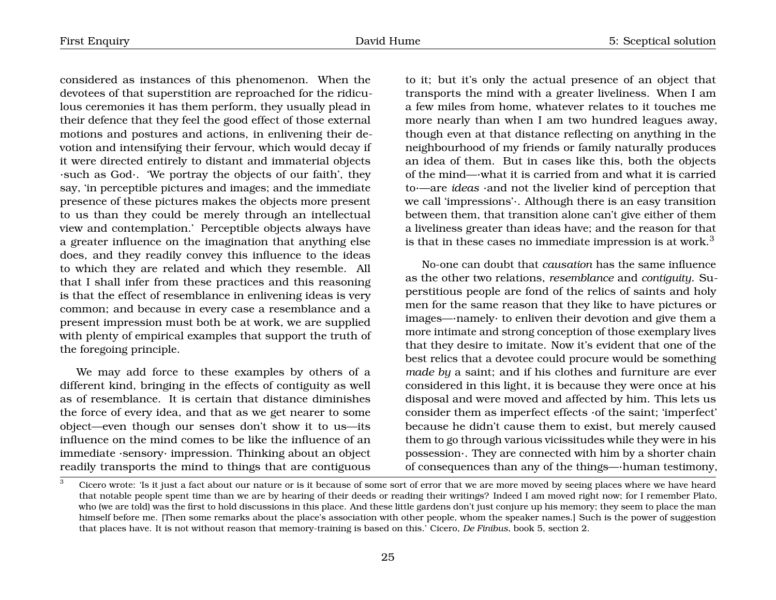considered as instances of this phenomenon. When the devotees of that superstition are reproached for the ridiculous ceremonies it has them perform, they usually plead in their defence that they feel the good effect of those external motions and postures and actions, in enlivening their devotion and intensifying their fervour, which would decay if it were directed entirely to distant and immaterial objects ·such as God·. 'We portray the objects of our faith', they say, 'in perceptible pictures and images; and the immediate presence of these pictures makes the objects more present to us than they could be merely through an intellectual view and contemplation.' Perceptible objects always have a greater influence on the imagination that anything else does, and they readily convey this influence to the ideas to which they are related and which they resemble. All that I shall infer from these practices and this reasoning is that the effect of resemblance in enlivening ideas is very common; and because in every case a resemblance and a present impression must both be at work, we are supplied with plenty of empirical examples that support the truth of the foregoing principle.

We may add force to these examples by others of a different kind, bringing in the effects of contiguity as well as of resemblance. It is certain that distance diminishes the force of every idea, and that as we get nearer to some object—even though our senses don't show it to us—its influence on the mind comes to be like the influence of an immediate ·sensory· impression. Thinking about an object readily transports the mind to things that are contiguous

to it; but it's only the actual presence of an object that transports the mind with a greater liveliness. When I am a few miles from home, whatever relates to it touches me more nearly than when I am two hundred leagues away, though even at that distance reflecting on anything in the neighbourhood of my friends or family naturally produces an idea of them. But in cases like this, both the objects of the mind—·what it is carried from and what it is carried to·—are *ideas* ·and not the livelier kind of perception that we call 'impressions'·. Although there is an easy transition between them, that transition alone can't give either of them a liveliness greater than ideas have; and the reason for that is that in these cases no immediate impression is at work.<sup>[3](#page-26-0)</sup>

No-one can doubt that *causation* has the same influence as the other two relations, *resemblance* and *contiguity.* Superstitious people are fond of the relics of saints and holy men for the same reason that they like to have pictures or images—·namely· to enliven their devotion and give them a more intimate and strong conception of those exemplary lives that they desire to imitate. Now it's evident that one of the best relics that a devotee could procure would be something *made by* a saint; and if his clothes and furniture are ever considered in this light, it is because they were once at his disposal and were moved and affected by him. This lets us consider them as imperfect effects ·of the saint; 'imperfect' because he didn't cause them to exist, but merely caused them to go through various vicissitudes while they were in his possession·. They are connected with him by a shorter chain of consequences than any of the things—·human testimony,

<span id="page-26-0"></span> $3$  Cicero wrote: 'Is it just a fact about our nature or is it because of some sort of error that we are more moved by seeing places where we have heard that notable people spent time than we are by hearing of their deeds or reading their writings? Indeed I am moved right now; for I remember Plato, who (we are told) was the first to hold discussions in this place. And these little gardens don't just conjure up his memory; they seem to place the man himself before me. [Then some remarks about the place's association with other people, whom the speaker names.] Such is the power of suggestion that places have. It is not without reason that memory-training is based on this.' Cicero, *De Finibus*, book 5, section 2.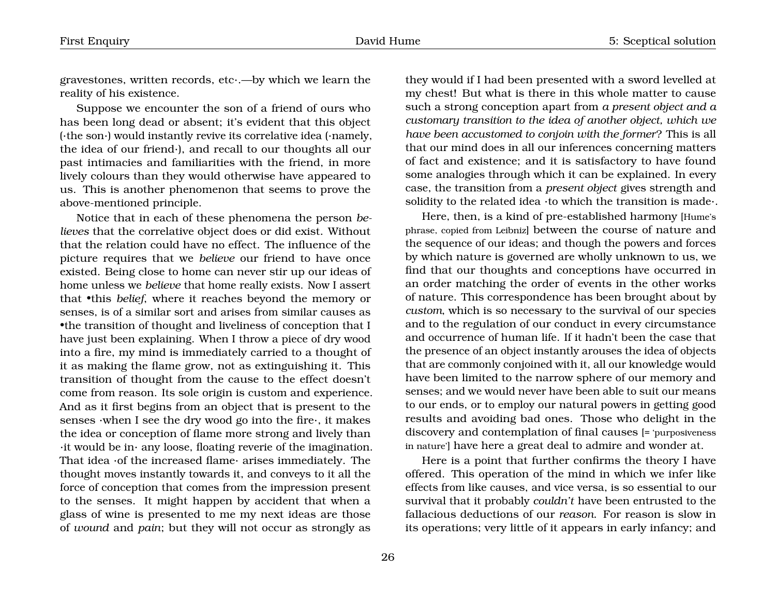gravestones, written records,  $etc.-by$  which we learn the reality of his existence.

Suppose we encounter the son of a friend of ours who has been long dead or absent; it's evident that this object (·the son·) would instantly revive its correlative idea (·namely, the idea of our friend·), and recall to our thoughts all our past intimacies and familiarities with the friend, in more lively colours than they would otherwise have appeared to us. This is another phenomenon that seems to prove the above-mentioned principle.

Notice that in each of these phenomena the person *believes* that the correlative object does or did exist. Without that the relation could have no effect. The influence of the picture requires that we *believe* our friend to have once existed. Being close to home can never stir up our ideas of home unless we *believe* that home really exists. Now I assert that •this *belief*, where it reaches beyond the memory or senses, is of a similar sort and arises from similar causes as •the transition of thought and liveliness of conception that I have just been explaining. When I throw a piece of dry wood into a fire, my mind is immediately carried to a thought of it as making the flame grow, not as extinguishing it. This transition of thought from the cause to the effect doesn't come from reason. Its sole origin is custom and experience. And as it first begins from an object that is present to the senses ·when I see the dry wood go into the fire·, it makes the idea or conception of flame more strong and lively than ·it would be in· any loose, floating reverie of the imagination. That idea ·of the increased flame· arises immediately. The thought moves instantly towards it, and conveys to it all the force of conception that comes from the impression present to the senses. It might happen by accident that when a glass of wine is presented to me my next ideas are those of *wound* and *pain*; but they will not occur as strongly as

they would if I had been presented with a sword levelled at my chest! But what is there in this whole matter to cause such a strong conception apart from *a present object and a customary transition to the idea of another object, which we have been accustomed to conjoin with the former*? This is all that our mind does in all our inferences concerning matters of fact and existence; and it is satisfactory to have found some analogies through which it can be explained. In every case, the transition from a *present object* gives strength and solidity to the related idea ·to which the transition is made·.

Here, then, is a kind of pre-established harmony [Hume's phrase, copied from Leibniz] between the course of nature and the sequence of our ideas; and though the powers and forces by which nature is governed are wholly unknown to us, we find that our thoughts and conceptions have occurred in an order matching the order of events in the other works of nature. This correspondence has been brought about by *custom*, which is so necessary to the survival of our species and to the regulation of our conduct in every circumstance and occurrence of human life. If it hadn't been the case that the presence of an object instantly arouses the idea of objects that are commonly conjoined with it, all our knowledge would have been limited to the narrow sphere of our memory and senses; and we would never have been able to suit our means to our ends, or to employ our natural powers in getting good results and avoiding bad ones. Those who delight in the discovery and contemplation of final causes [= 'purposiveness in nature'] have here a great deal to admire and wonder at.

Here is a point that further confirms the theory I have offered. This operation of the mind in which we infer like effects from like causes, and vice versa, is so essential to our survival that it probably *couldn't* have been entrusted to the fallacious deductions of our *reason*. For reason is slow in its operations; very little of it appears in early infancy; and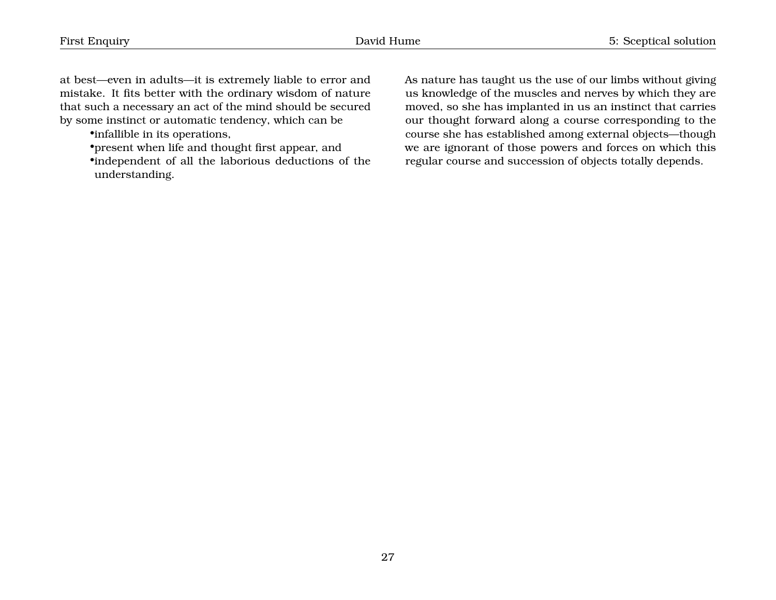at best—even in adults—it is extremely liable to error and mistake. It fits better with the ordinary wisdom of nature that such a necessary an act of the mind should be secured by some instinct or automatic tendency, which can be

•infallible in its operations,

•present when life and thought first appear, and

•independent of all the laborious deductions of the understanding.

As nature has taught us the use of our limbs without giving us knowledge of the muscles and nerves by which they are moved, so she has implanted in us an instinct that carries our thought forward along a course corresponding to the course she has established among external objects—though we are ignorant of those powers and forces on which this regular course and succession of objects totally depends.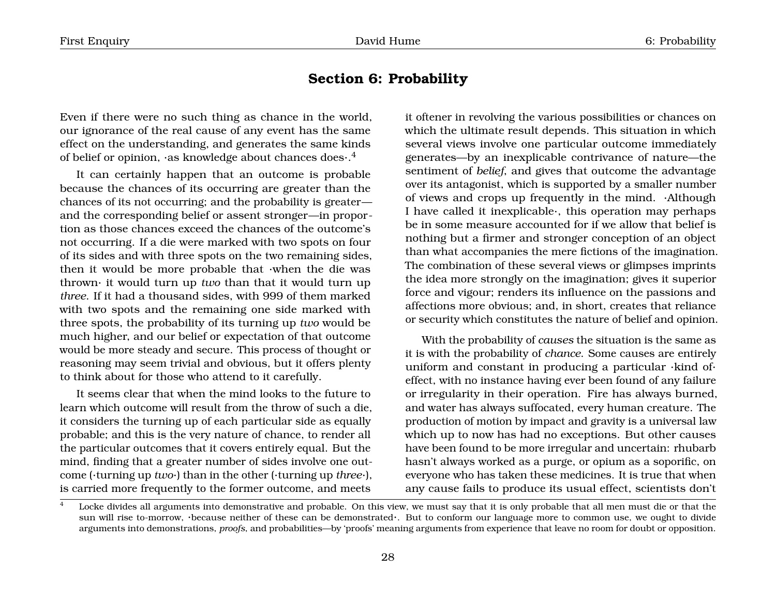# <span id="page-29-0"></span>**Section 6: Probability**

Even if there were no such thing as chance in the world, our ignorance of the real cause of any event has the same effect on the understanding, and generates the same kinds of belief or opinion,  $\cdot$ as knowledge about chances does $\cdot$ . $^4$  $^4$ 

It can certainly happen that an outcome is probable because the chances of its occurring are greater than the chances of its not occurring; and the probability is greater and the corresponding belief or assent stronger—in proportion as those chances exceed the chances of the outcome's not occurring. If a die were marked with two spots on four of its sides and with three spots on the two remaining sides, then it would be more probable that ·when the die was thrown· it would turn up *two* than that it would turn up *three*. If it had a thousand sides, with 999 of them marked with two spots and the remaining one side marked with three spots, the probability of its turning up *two* would be much higher, and our belief or expectation of that outcome would be more steady and secure. This process of thought or reasoning may seem trivial and obvious, but it offers plenty to think about for those who attend to it carefully.

It seems clear that when the mind looks to the future to learn which outcome will result from the throw of such a die, it considers the turning up of each particular side as equally probable; and this is the very nature of chance, to render all the particular outcomes that it covers entirely equal. But the mind, finding that a greater number of sides involve one outcome (·turning up *two*·) than in the other (·turning up *three*·), is carried more frequently to the former outcome, and meets

it oftener in revolving the various possibilities or chances on which the ultimate result depends. This situation in which several views involve one particular outcome immediately generates—by an inexplicable contrivance of nature—the sentiment of *belief*, and gives that outcome the advantage over its antagonist, which is supported by a smaller number of views and crops up frequently in the mind. ·Although I have called it inexplicable·, this operation may perhaps be in some measure accounted for if we allow that belief is nothing but a firmer and stronger conception of an object than what accompanies the mere fictions of the imagination. The combination of these several views or glimpses imprints the idea more strongly on the imagination; gives it superior force and vigour; renders its influence on the passions and affections more obvious; and, in short, creates that reliance or security which constitutes the nature of belief and opinion.

With the probability of *causes* the situation is the same as it is with the probability of *chance*. Some causes are entirely uniform and constant in producing a particular ·kind of· effect, with no instance having ever been found of any failure or irregularity in their operation. Fire has always burned, and water has always suffocated, every human creature. The production of motion by impact and gravity is a universal law which up to now has had no exceptions. But other causes have been found to be more irregular and uncertain: rhubarb hasn't always worked as a purge, or opium as a soporific, on everyone who has taken these medicines. It is true that when any cause fails to produce its usual effect, scientists don't

<span id="page-29-1"></span> $4$  Locke divides all arguments into demonstrative and probable. On this view, we must say that it is only probable that all men must die or that the sun will rise to-morrow, ·because neither of these can be demonstrated·. But to conform our language more to common use, we ought to divide arguments into demonstrations, *proofs*, and probabilities—by 'proofs' meaning arguments from experience that leave no room for doubt or opposition.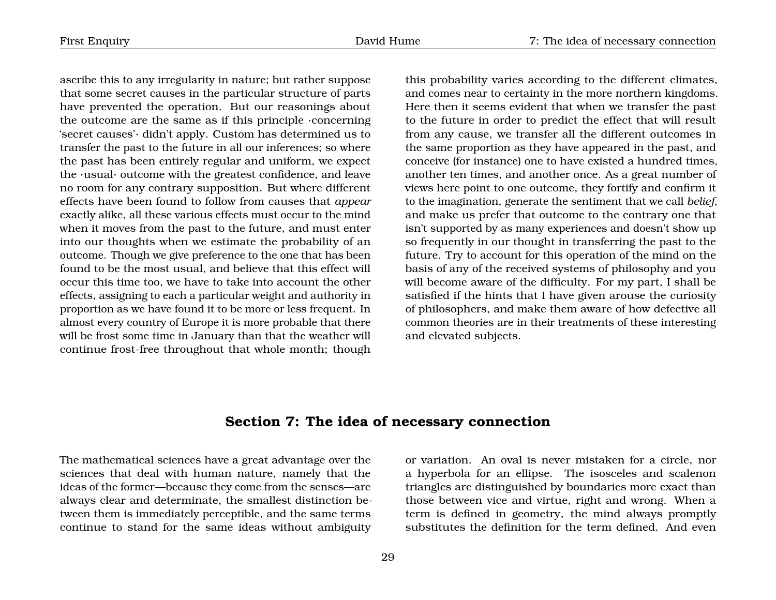ascribe this to any irregularity in nature; but rather suppose that some secret causes in the particular structure of parts have prevented the operation. But our reasonings about the outcome are the same as if this principle ·concerning 'secret causes'· didn't apply. Custom has determined us to transfer the past to the future in all our inferences; so where the past has been entirely regular and uniform, we expect the ·usual· outcome with the greatest confidence, and leave no room for any contrary supposition. But where different effects have been found to follow from causes that *appear* exactly alike, all these various effects must occur to the mind when it moves from the past to the future, and must enter into our thoughts when we estimate the probability of an outcome. Though we give preference to the one that has been found to be the most usual, and believe that this effect will occur this time too, we have to take into account the other effects, assigning to each a particular weight and authority in proportion as we have found it to be more or less frequent. In almost every country of Europe it is more probable that there will be frost some time in January than that the weather will continue frost-free throughout that whole month; though

this probability varies according to the different climates, and comes near to certainty in the more northern kingdoms. Here then it seems evident that when we transfer the past to the future in order to predict the effect that will result from any cause, we transfer all the different outcomes in the same proportion as they have appeared in the past, and conceive (for instance) one to have existed a hundred times, another ten times, and another once. As a great number of views here point to one outcome, they fortify and confirm it to the imagination, generate the sentiment that we call *belief*, and make us prefer that outcome to the contrary one that isn't supported by as many experiences and doesn't show up so frequently in our thought in transferring the past to the future. Try to account for this operation of the mind on the basis of any of the received systems of philosophy and you will become aware of the difficulty. For my part, I shall be satisfied if the hints that I have given arouse the curiosity of philosophers, and make them aware of how defective all common theories are in their treatments of these interesting and elevated subjects.

## <span id="page-30-0"></span>**Section 7: The idea of necessary connection**

The mathematical sciences have a great advantage over the sciences that deal with human nature, namely that the ideas of the former—because they come from the senses—are always clear and determinate, the smallest distinction between them is immediately perceptible, and the same terms continue to stand for the same ideas without ambiguity

or variation. An oval is never mistaken for a circle, nor a hyperbola for an ellipse. The isosceles and scalenon triangles are distinguished by boundaries more exact than those between vice and virtue, right and wrong. When a term is defined in geometry, the mind always promptly substitutes the definition for the term defined. And even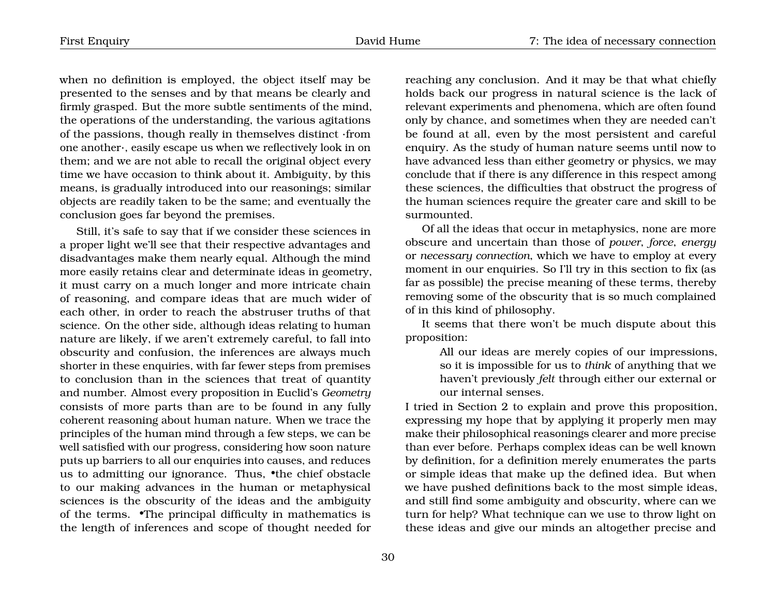when no definition is employed, the object itself may be presented to the senses and by that means be clearly and firmly grasped. But the more subtle sentiments of the mind, the operations of the understanding, the various agitations of the passions, though really in themselves distinct ·from one another·, easily escape us when we reflectively look in on them; and we are not able to recall the original object every time we have occasion to think about it. Ambiguity, by this means, is gradually introduced into our reasonings; similar objects are readily taken to be the same; and eventually the conclusion goes far beyond the premises.

Still, it's safe to say that if we consider these sciences in a proper light we'll see that their respective advantages and disadvantages make them nearly equal. Although the mind more easily retains clear and determinate ideas in geometry, it must carry on a much longer and more intricate chain of reasoning, and compare ideas that are much wider of each other, in order to reach the abstruser truths of that science. On the other side, although ideas relating to human nature are likely, if we aren't extremely careful, to fall into obscurity and confusion, the inferences are always much shorter in these enquiries, with far fewer steps from premises to conclusion than in the sciences that treat of quantity and number. Almost every proposition in Euclid's *Geometry* consists of more parts than are to be found in any fully coherent reasoning about human nature. When we trace the principles of the human mind through a few steps, we can be well satisfied with our progress, considering how soon nature puts up barriers to all our enquiries into causes, and reduces us to admitting our ignorance. Thus, •the chief obstacle to our making advances in the human or metaphysical sciences is the obscurity of the ideas and the ambiguity of the terms. •The principal difficulty in mathematics is the length of inferences and scope of thought needed for reaching any conclusion. And it may be that what chiefly holds back our progress in natural science is the lack of relevant experiments and phenomena, which are often found only by chance, and sometimes when they are needed can't be found at all, even by the most persistent and careful enquiry. As the study of human nature seems until now to have advanced less than either geometry or physics, we may conclude that if there is any difference in this respect among these sciences, the difficulties that obstruct the progress of the human sciences require the greater care and skill to be surmounted.

Of all the ideas that occur in metaphysics, none are more obscure and uncertain than those of *power*, *force*, *energy* or *necessary connection*, which we have to employ at every moment in our enquiries. So I'll try in this section to fix (as far as possible) the precise meaning of these terms, thereby removing some of the obscurity that is so much complained of in this kind of philosophy.

It seems that there won't be much dispute about this proposition:

> All our ideas are merely copies of our impressions, so it is impossible for us to *think* of anything that we haven't previously *felt* through either our external or our internal senses.

I tried in Section 2 to explain and prove this proposition, expressing my hope that by applying it properly men may make their philosophical reasonings clearer and more precise than ever before. Perhaps complex ideas can be well known by definition, for a definition merely enumerates the parts or simple ideas that make up the defined idea. But when we have pushed definitions back to the most simple ideas, and still find some ambiguity and obscurity, where can we turn for help? What technique can we use to throw light on these ideas and give our minds an altogether precise and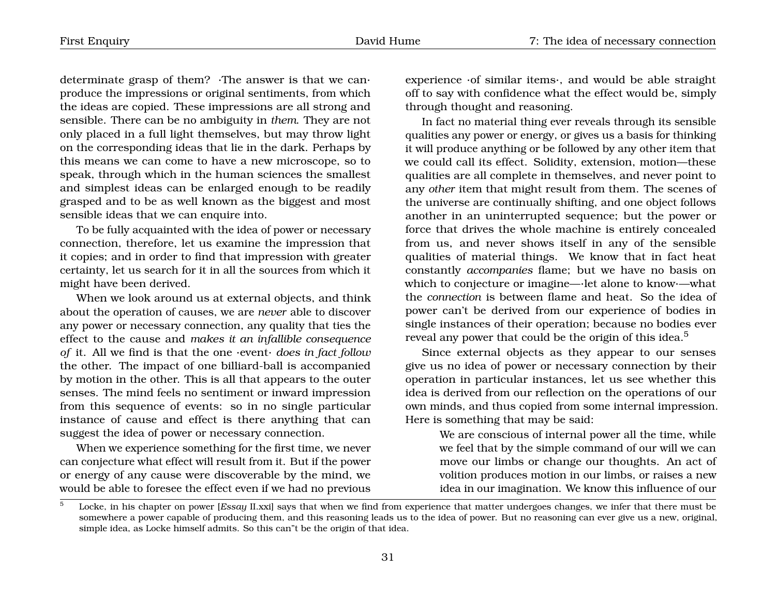determinate grasp of them? ·The answer is that we can· produce the impressions or original sentiments, from which the ideas are copied. These impressions are all strong and sensible. There can be no ambiguity in *them*. They are not only placed in a full light themselves, but may throw light on the corresponding ideas that lie in the dark. Perhaps by this means we can come to have a new microscope, so to speak, through which in the human sciences the smallest and simplest ideas can be enlarged enough to be readily grasped and to be as well known as the biggest and most sensible ideas that we can enquire into.

To be fully acquainted with the idea of power or necessary connection, therefore, let us examine the impression that it copies; and in order to find that impression with greater certainty, let us search for it in all the sources from which it might have been derived.

When we look around us at external objects, and think about the operation of causes, we are *never* able to discover any power or necessary connection, any quality that ties the effect to the cause and *makes it an infallible consequence of* it. All we find is that the one ·event· *does in fact follow* the other. The impact of one billiard-ball is accompanied by motion in the other. This is all that appears to the outer senses. The mind feels no sentiment or inward impression from this sequence of events: so in no single particular instance of cause and effect is there anything that can suggest the idea of power or necessary connection.

When we experience something for the first time, we never can conjecture what effect will result from it. But if the power or energy of any cause were discoverable by the mind, we would be able to foresee the effect even if we had no previous

experience ·of similar items·, and would be able straight off to say with confidence what the effect would be, simply through thought and reasoning.

In fact no material thing ever reveals through its sensible qualities any power or energy, or gives us a basis for thinking it will produce anything or be followed by any other item that we could call its effect. Solidity, extension, motion—these qualities are all complete in themselves, and never point to any *other* item that might result from them. The scenes of the universe are continually shifting, and one object follows another in an uninterrupted sequence; but the power or force that drives the whole machine is entirely concealed from us, and never shows itself in any of the sensible qualities of material things. We know that in fact heat constantly *accompanies* flame; but we have no basis on which to conjecture or imagine—·let alone to know·—what the *connection* is between flame and heat. So the idea of power can't be derived from our experience of bodies in single instances of their operation; because no bodies ever reveal any power that could be the origin of this idea.[5](#page-32-0)

Since external objects as they appear to our senses give us no idea of power or necessary connection by their operation in particular instances, let us see whether this idea is derived from our reflection on the operations of our own minds, and thus copied from some internal impression. Here is something that may be said:

> We are conscious of internal power all the time, while we feel that by the simple command of our will we can move our limbs or change our thoughts. An act of volition produces motion in our limbs, or raises a new idea in our imagination. We know this influence of our

<span id="page-32-0"></span><sup>5</sup> Locke, in his chapter on power [*Essay* II.xxi] says that when we find from experience that matter undergoes changes, we infer that there must be somewhere a power capable of producing them, and this reasoning leads us to the idea of power. But no reasoning can ever give us a new, original, simple idea, as Locke himself admits. So this can"t be the origin of that idea.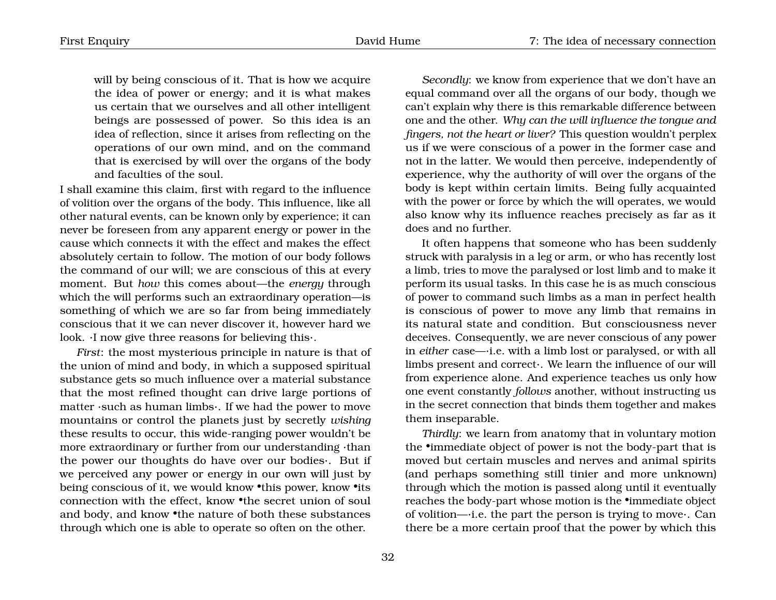will by being conscious of it. That is how we acquire the idea of power or energy; and it is what makes us certain that we ourselves and all other intelligent beings are possessed of power. So this idea is an idea of reflection, since it arises from reflecting on the operations of our own mind, and on the command that is exercised by will over the organs of the body and faculties of the soul.

I shall examine this claim, first with regard to the influence of volition over the organs of the body. This influence, like all other natural events, can be known only by experience; it can never be foreseen from any apparent energy or power in the cause which connects it with the effect and makes the effect absolutely certain to follow. The motion of our body follows the command of our will; we are conscious of this at every moment. But *how* this comes about—the *energy* through which the will performs such an extraordinary operation—is something of which we are so far from being immediately conscious that it we can never discover it, however hard we look. ·I now give three reasons for believing this·.

*First*: the most mysterious principle in nature is that of the union of mind and body, in which a supposed spiritual substance gets so much influence over a material substance that the most refined thought can drive large portions of matter ·such as human limbs·. If we had the power to move mountains or control the planets just by secretly *wishing* these results to occur, this wide-ranging power wouldn't be more extraordinary or further from our understanding ·than the power our thoughts do have over our bodies·. But if we perceived any power or energy in our own will just by being conscious of it, we would know •this power, know •its connection with the effect, know •the secret union of soul and body, and know •the nature of both these substances through which one is able to operate so often on the other.

*Secondly*: we know from experience that we don't have an equal command over all the organs of our body, though we can't explain why there is this remarkable difference between one and the other. *Why can the will influence the tongue and fingers, not the heart or liver?* This question wouldn't perplex us if we were conscious of a power in the former case and not in the latter. We would then perceive, independently of experience, why the authority of will over the organs of the body is kept within certain limits. Being fully acquainted with the power or force by which the will operates, we would also know why its influence reaches precisely as far as it does and no further.

It often happens that someone who has been suddenly struck with paralysis in a leg or arm, or who has recently lost a limb, tries to move the paralysed or lost limb and to make it perform its usual tasks. In this case he is as much conscious of power to command such limbs as a man in perfect health is conscious of power to move any limb that remains in its natural state and condition. But consciousness never deceives. Consequently, we are never conscious of any power in *either* case—·i.e. with a limb lost or paralysed, or with all limbs present and correct·. We learn the influence of our will from experience alone. And experience teaches us only how one event constantly *follows* another, without instructing us in the secret connection that binds them together and makes them inseparable.

*Thirdly*: we learn from anatomy that in voluntary motion the •immediate object of power is not the body-part that is moved but certain muscles and nerves and animal spirits (and perhaps something still tinier and more unknown) through which the motion is passed along until it eventually reaches the body-part whose motion is the •immediate object of volition—·i.e. the part the person is trying to move·. Can there be a more certain proof that the power by which this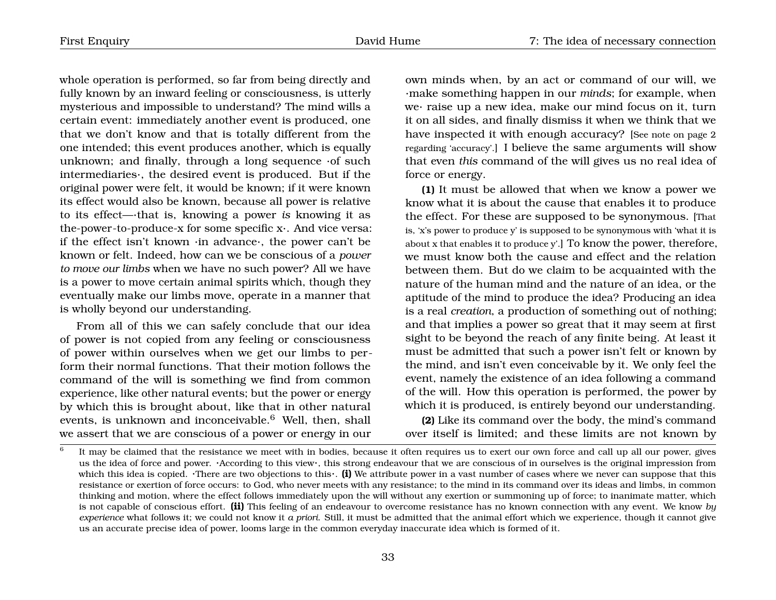whole operation is performed, so far from being directly and fully known by an inward feeling or consciousness, is utterly mysterious and impossible to understand? The mind wills a certain event: immediately another event is produced, one that we don't know and that is totally different from the one intended; this event produces another, which is equally unknown; and finally, through a long sequence ·of such intermediaries·, the desired event is produced. But if the original power were felt, it would be known; if it were known its effect would also be known, because all power is relative to its effect—·that is, knowing a power *is* knowing it as the-power-to-produce-x for some specific x·. And vice versa: if the effect isn't known ·in advance·, the power can't be known or felt. Indeed, how can we be conscious of a *power to move our limbs* when we have no such power? All we have is a power to move certain animal spirits which, though they eventually make our limbs move, operate in a manner that is wholly beyond our understanding.

From all of this we can safely conclude that our idea of power is not copied from any feeling or consciousness of power within ourselves when we get our limbs to perform their normal functions. That their motion follows the command of the will is something we find from common experience, like other natural events; but the power or energy by which this is brought about, like that in other natural events, is unknown and inconceivable.<sup>[6](#page-34-0)</sup> Well, then, shall we assert that we are conscious of a power or energy in our

own minds when, by an act or command of our will, we ·make something happen in our *minds*; for example, when we· raise up a new idea, make our mind focus on it, turn it on all sides, and finally dismiss it when we think that we have inspected it with enough accuracy? [See note on page 2 regarding 'accuracy'.] I believe the same arguments will show that even *this* command of the will gives us no real idea of force or energy.

**(1)** It must be allowed that when we know a power we know what it is about the cause that enables it to produce the effect. For these are supposed to be synonymous. [That is, 'x's power to produce y' is supposed to be synonymous with 'what it is about x that enables it to produce y'.] To know the power, therefore, we must know both the cause and effect and the relation between them. But do we claim to be acquainted with the nature of the human mind and the nature of an idea, or the aptitude of the mind to produce the idea? Producing an idea is a real *creation*, a production of something out of nothing; and that implies a power so great that it may seem at first sight to be beyond the reach of any finite being. At least it must be admitted that such a power isn't felt or known by the mind, and isn't even conceivable by it. We only feel the event, namely the existence of an idea following a command of the will. How this operation is performed, the power by which it is produced, is entirely beyond our understanding.

**(2)** Like its command over the body, the mind's command over itself is limited; and these limits are not known by

<span id="page-34-0"></span> $\overline{6}$ It may be claimed that the resistance we meet with in bodies, because it often requires us to exert our own force and call up all our power, gives us the idea of force and power. ·According to this view·, this strong endeavour that we are conscious of in ourselves is the original impression from which this idea is copied. There are two objections to this<sup>\*</sup>. (i) We attribute power in a vast number of cases where we never can suppose that this resistance or exertion of force occurs: to God, who never meets with any resistance; to the mind in its command over its ideas and limbs, in common thinking and motion, where the effect follows immediately upon the will without any exertion or summoning up of force; to inanimate matter, which is not capable of conscious effort. **(ii)** This feeling of an endeavour to overcome resistance has no known connection with any event. We know *by experience* what follows it; we could not know it *a priori*. Still, it must be admitted that the animal effort which we experience, though it cannot give us an accurate precise idea of power, looms large in the common everyday inaccurate idea which is formed of it.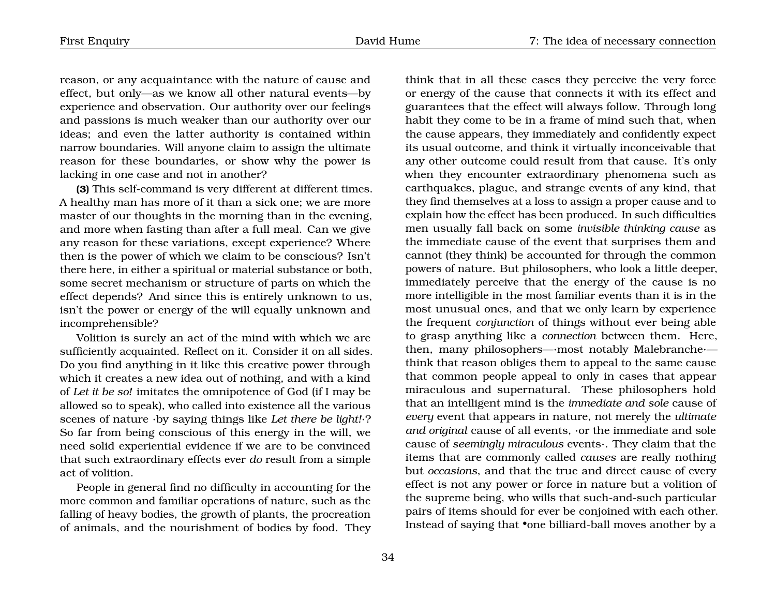reason, or any acquaintance with the nature of cause and effect, but only—as we know all other natural events—by experience and observation. Our authority over our feelings and passions is much weaker than our authority over our ideas; and even the latter authority is contained within narrow boundaries. Will anyone claim to assign the ultimate reason for these boundaries, or show why the power is lacking in one case and not in another?

**(3)** This self-command is very different at different times. A healthy man has more of it than a sick one; we are more master of our thoughts in the morning than in the evening, and more when fasting than after a full meal. Can we give any reason for these variations, except experience? Where then is the power of which we claim to be conscious? Isn't there here, in either a spiritual or material substance or both, some secret mechanism or structure of parts on which the effect depends? And since this is entirely unknown to us, isn't the power or energy of the will equally unknown and incomprehensible?

Volition is surely an act of the mind with which we are sufficiently acquainted. Reflect on it. Consider it on all sides. Do you find anything in it like this creative power through which it creates a new idea out of nothing, and with a kind of *Let it be so!* imitates the omnipotence of God (if I may be allowed so to speak), who called into existence all the various scenes of nature ·by saying things like *Let there be light!*·? So far from being conscious of this energy in the will, we need solid experiential evidence if we are to be convinced that such extraordinary effects ever *do* result from a simple act of volition.

People in general find no difficulty in accounting for the more common and familiar operations of nature, such as the falling of heavy bodies, the growth of plants, the procreation of animals, and the nourishment of bodies by food. They think that in all these cases they perceive the very force or energy of the cause that connects it with its effect and guarantees that the effect will always follow. Through long habit they come to be in a frame of mind such that, when the cause appears, they immediately and confidently expect its usual outcome, and think it virtually inconceivable that any other outcome could result from that cause. It's only when they encounter extraordinary phenomena such as earthquakes, plague, and strange events of any kind, that they find themselves at a loss to assign a proper cause and to explain how the effect has been produced. In such difficulties men usually fall back on some *invisible thinking cause* as the immediate cause of the event that surprises them and cannot (they think) be accounted for through the common powers of nature. But philosophers, who look a little deeper, immediately perceive that the energy of the cause is no more intelligible in the most familiar events than it is in the most unusual ones, and that we only learn by experience the frequent *conjunction* of things without ever being able to grasp anything like a *connection* between them. Here, then, many philosophers—·most notably Malebranche· think that reason obliges them to appeal to the same cause that common people appeal to only in cases that appear miraculous and supernatural. These philosophers hold that an intelligent mind is the *immediate and sole* cause of *every* event that appears in nature, not merely the *ultimate and original* cause of all events, ·or the immediate and sole cause of *seemingly miraculous* events·. They claim that the items that are commonly called *causes* are really nothing but *occasions*, and that the true and direct cause of every effect is not any power or force in nature but a volition of the supreme being, who wills that such-and-such particular pairs of items should for ever be conjoined with each other. Instead of saying that •one billiard-ball moves another by a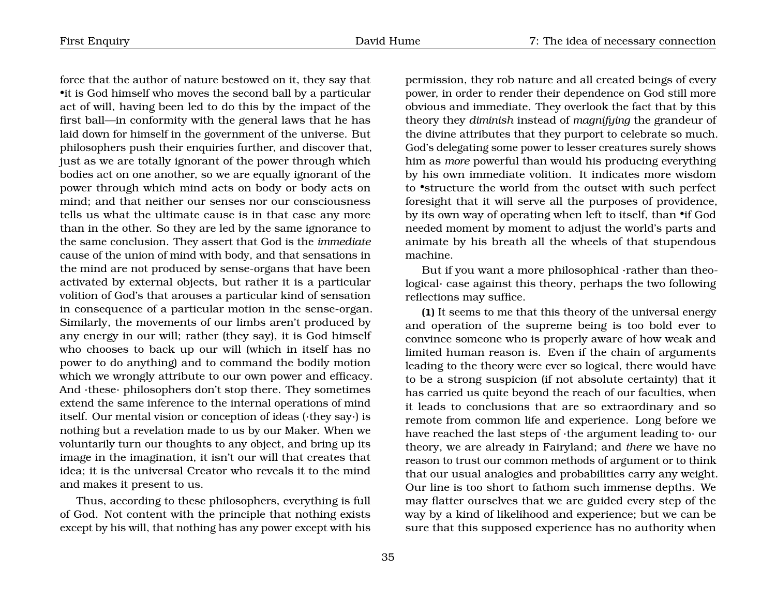force that the author of nature bestowed on it, they say that •it is God himself who moves the second ball by a particular act of will, having been led to do this by the impact of the first ball—in conformity with the general laws that he has laid down for himself in the government of the universe. But philosophers push their enquiries further, and discover that, just as we are totally ignorant of the power through which bodies act on one another, so we are equally ignorant of the power through which mind acts on body or body acts on mind; and that neither our senses nor our consciousness tells us what the ultimate cause is in that case any more than in the other. So they are led by the same ignorance to the same conclusion. They assert that God is the *immediate* cause of the union of mind with body, and that sensations in the mind are not produced by sense-organs that have been activated by external objects, but rather it is a particular volition of God's that arouses a particular kind of sensation in consequence of a particular motion in the sense-organ. Similarly, the movements of our limbs aren't produced by any energy in our will; rather (they say), it is God himself who chooses to back up our will (which in itself has no power to do anything) and to command the bodily motion which we wrongly attribute to our own power and efficacy. And ·these· philosophers don't stop there. They sometimes extend the same inference to the internal operations of mind itself. Our mental vision or conception of ideas (·they say·) is nothing but a revelation made to us by our Maker. When we voluntarily turn our thoughts to any object, and bring up its image in the imagination, it isn't our will that creates that idea; it is the universal Creator who reveals it to the mind and makes it present to us.

Thus, according to these philosophers, everything is full of God. Not content with the principle that nothing exists except by his will, that nothing has any power except with his

permission, they rob nature and all created beings of every power, in order to render their dependence on God still more obvious and immediate. They overlook the fact that by this theory they *diminish* instead of *magnifying* the grandeur of the divine attributes that they purport to celebrate so much. God's delegating some power to lesser creatures surely shows him as *more* powerful than would his producing everything by his own immediate volition. It indicates more wisdom to •structure the world from the outset with such perfect foresight that it will serve all the purposes of providence, by its own way of operating when left to itself, than •if God needed moment by moment to adjust the world's parts and animate by his breath all the wheels of that stupendous machine.

But if you want a more philosophical ·rather than theological· case against this theory, perhaps the two following reflections may suffice.

**(1)** It seems to me that this theory of the universal energy and operation of the supreme being is too bold ever to convince someone who is properly aware of how weak and limited human reason is. Even if the chain of arguments leading to the theory were ever so logical, there would have to be a strong suspicion (if not absolute certainty) that it has carried us quite beyond the reach of our faculties, when it leads to conclusions that are so extraordinary and so remote from common life and experience. Long before we have reached the last steps of ·the argument leading to· our theory, we are already in Fairyland; and *there* we have no reason to trust our common methods of argument or to think that our usual analogies and probabilities carry any weight. Our line is too short to fathom such immense depths. We may flatter ourselves that we are guided every step of the way by a kind of likelihood and experience; but we can be sure that this supposed experience has no authority when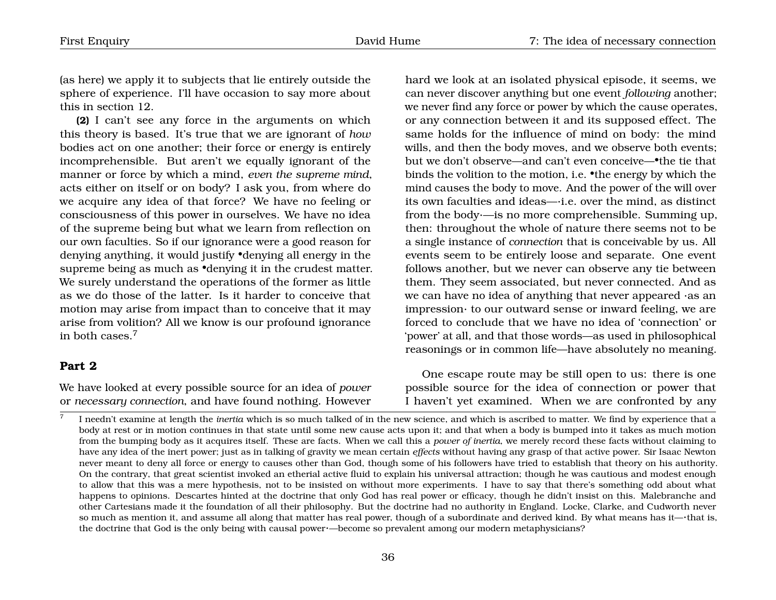$\overline{7}$ 

(as here) we apply it to subjects that lie entirely outside the sphere of experience. I'll have occasion to say more about this in section 12.

**(2)** I can't see any force in the arguments on which this theory is based. It's true that we are ignorant of *how* bodies act on one another; their force or energy is entirely incomprehensible. But aren't we equally ignorant of the manner or force by which a mind, *even the supreme mind*, acts either on itself or on body? I ask you, from where do we acquire any idea of that force? We have no feeling or consciousness of this power in ourselves. We have no idea of the supreme being but what we learn from reflection on our own faculties. So if our ignorance were a good reason for denying anything, it would justify •denying all energy in the supreme being as much as •denying it in the crudest matter. We surely understand the operations of the former as little as we do those of the latter. Is it harder to conceive that motion may arise from impact than to conceive that it may arise from volition? All we know is our profound ignorance in both cases.[7](#page-37-0)

### hard we look at an isolated physical episode, it seems, we can never discover anything but one event *following* another; we never find any force or power by which the cause operates, or any connection between it and its supposed effect. The same holds for the influence of mind on body: the mind wills, and then the body moves, and we observe both events; but we don't observe—and can't even conceive—•the tie that binds the volition to the motion, i.e. •the energy by which the mind causes the body to move. And the power of the will over its own faculties and ideas—·i.e. over the mind, as distinct from the body·—is no more comprehensible. Summing up, then: throughout the whole of nature there seems not to be a single instance of *connection* that is conceivable by us. All events seem to be entirely loose and separate. One event follows another, but we never can observe any tie between them. They seem associated, but never connected. And as we can have no idea of anything that never appeared ·as an impression· to our outward sense or inward feeling, we are forced to conclude that we have no idea of 'connection' or 'power' at all, and that those words—as used in philosophical reasonings or in common life—have absolutely no meaning.

#### **Part 2** We have looked at every possible source for an idea of *power* or *necessary connection*, and have found nothing. However One escape route may be still open to us: there is one possible source for the idea of connection or power that I haven't yet examined. When we are confronted by any

<span id="page-37-0"></span>I needn't examine at length the *inertia* which is so much talked of in the new science, and which is ascribed to matter. We find by experience that a body at rest or in motion continues in that state until some new cause acts upon it; and that when a body is bumped into it takes as much motion from the bumping body as it acquires itself. These are facts. When we call this a *power of inertia*, we merely record these facts without claiming to have any idea of the inert power; just as in talking of gravity we mean certain *effects* without having any grasp of that active power. Sir Isaac Newton never meant to deny all force or energy to causes other than God, though some of his followers have tried to establish that theory on his authority. On the contrary, that great scientist invoked an etherial active fluid to explain his universal attraction; though he was cautious and modest enough to allow that this was a mere hypothesis, not to be insisted on without more experiments. I have to say that there's something odd about what happens to opinions. Descartes hinted at the doctrine that only God has real power or efficacy, though he didn't insist on this. Malebranche and other Cartesians made it the foundation of all their philosophy. But the doctrine had no authority in England. Locke, Clarke, and Cudworth never so much as mention it, and assume all along that matter has real power, though of a subordinate and derived kind. By what means has it—·that is, the doctrine that God is the only being with causal power·—become so prevalent among our modern metaphysicians?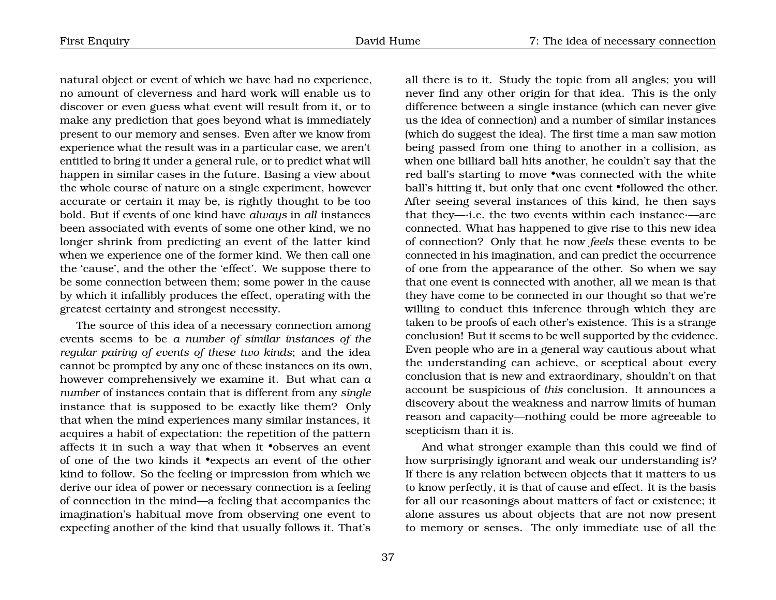natural object or event of which we have had no experience, no amount of cleverness and hard work will enable us to discover or even guess what event will result from it, or to make any prediction that goes beyond what is immediately present to our memory and senses. Even after we know from experience what the result was in a particular case, we aren't entitled to bring it under a general rule, or to predict what will happen in similar cases in the future. Basing a view about the whole course of nature on a single experiment, however accurate or certain it may be, is rightly thought to be too bold. But if events of one kind have *always* in *all* instances been associated with events of some one other kind, we no longer shrink from predicting an event of the latter kind when we experience one of the former kind. We then call one the 'cause', and the other the 'effect'. We suppose there to be some connection between them; some power in the cause by which it infallibly produces the effect, operating with the greatest certainty and strongest necessity.

The source of this idea of a necessary connection among events seems to be *a number of similar instances of the regular pairing of events of these two kinds*; and the idea cannot be prompted by any one of these instances on its own, however comprehensively we examine it. But what can *a number* of instances contain that is different from any *single* instance that is supposed to be exactly like them? Only that when the mind experiences many similar instances, it acquires a habit of expectation: the repetition of the pattern affects it in such a way that when it •observes an event of one of the two kinds it •expects an event of the other kind to follow. So the feeling or impression from which we derive our idea of power or necessary connection is a feeling of connection in the mind—a feeling that accompanies the imagination's habitual move from observing one event to expecting another of the kind that usually follows it. That's

37

all there is to it. Study the topic from all angles; you will never find any other origin for that idea. This is the only difference between a single instance (which can never give us the idea of connection) and a number of similar instances (which do suggest the idea). The first time a man saw motion being passed from one thing to another in a collision, as when one billiard ball hits another, he couldn't say that the red ball's starting to move •was connected with the white ball's hitting it, but only that one event •followed the other. After seeing several instances of this kind, he then says that they—·i.e. the two events within each instance·—are connected. What has happened to give rise to this new idea of connection? Only that he now *feels* these events to be connected in his imagination, and can predict the occurrence of one from the appearance of the other. So when we say that one event is connected with another, all we mean is that they have come to be connected in our thought so that we're willing to conduct this inference through which they are taken to be proofs of each other's existence. This is a strange conclusion! But it seems to be well supported by the evidence. Even people who are in a general way cautious about what the understanding can achieve, or sceptical about every conclusion that is new and extraordinary, shouldn't on that account be suspicious of *this* conclusion. It announces a discovery about the weakness and narrow limits of human reason and capacity—nothing could be more agreeable to scepticism than it is.

And what stronger example than this could we find of how surprisingly ignorant and weak our understanding is? If there is any relation between objects that it matters to us to know perfectly, it is that of cause and effect. It is the basis for all our reasonings about matters of fact or existence; it alone assures us about objects that are not now present to memory or senses. The only immediate use of all the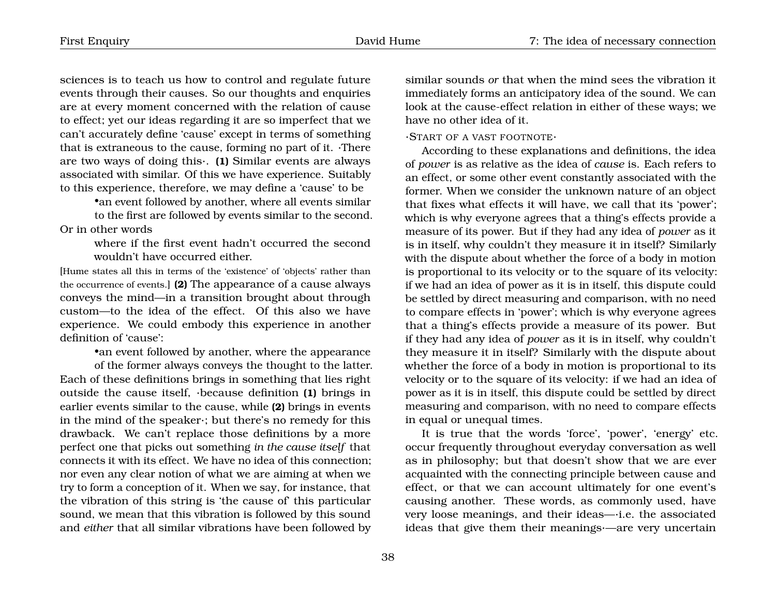sciences is to teach us how to control and regulate future events through their causes. So our thoughts and enquiries are at every moment concerned with the relation of cause to effect; yet our ideas regarding it are so imperfect that we can't accurately define 'cause' except in terms of something that is extraneous to the cause, forming no part of it. ·There are two ways of doing this·. **(1)** Similar events are always associated with similar. Of this we have experience. Suitably to this experience, therefore, we may define a 'cause' to be

•an event followed by another, where all events similar to the first are followed by events similar to the second. Or in other words

> where if the first event hadn't occurred the second wouldn't have occurred either.

[Hume states all this in terms of the 'existence' of 'objects' rather than the occurrence of events.] **(2)** The appearance of a cause always conveys the mind—in a transition brought about through custom—to the idea of the effect. Of this also we have experience. We could embody this experience in another definition of 'cause':

•an event followed by another, where the appearance of the former always conveys the thought to the latter. Each of these definitions brings in something that lies right outside the cause itself, ·because definition **(1)** brings in earlier events similar to the cause, while **(2)** brings in events in the mind of the speaker·; but there's no remedy for this drawback. We can't replace those definitions by a more perfect one that picks out something *in the cause itself* that connects it with its effect. We have no idea of this connection; nor even any clear notion of what we are aiming at when we try to form a conception of it. When we say, for instance, that the vibration of this string is 'the cause of' this particular sound, we mean that this vibration is followed by this sound and *either* that all similar vibrations have been followed by

similar sounds *or* that when the mind sees the vibration it immediately forms an anticipatory idea of the sound. We can look at the cause-effect relation in either of these ways; we have no other idea of it.

·START OF A VAST FOOTNOTE·

According to these explanations and definitions, the idea of *power* is as relative as the idea of *cause* is. Each refers to an effect, or some other event constantly associated with the former. When we consider the unknown nature of an object that fixes what effects it will have, we call that its 'power'; which is why everyone agrees that a thing's effects provide a measure of its power. But if they had any idea of *power* as it is in itself, why couldn't they measure it in itself? Similarly with the dispute about whether the force of a body in motion is proportional to its velocity or to the square of its velocity: if we had an idea of power as it is in itself, this dispute could be settled by direct measuring and comparison, with no need to compare effects in 'power'; which is why everyone agrees that a thing's effects provide a measure of its power. But if they had any idea of *power* as it is in itself, why couldn't they measure it in itself? Similarly with the dispute about whether the force of a body in motion is proportional to its velocity or to the square of its velocity: if we had an idea of power as it is in itself, this dispute could be settled by direct measuring and comparison, with no need to compare effects in equal or unequal times.

It is true that the words 'force', 'power', 'energy' etc. occur frequently throughout everyday conversation as well as in philosophy; but that doesn't show that we are ever acquainted with the connecting principle between cause and effect, or that we can account ultimately for one event's causing another. These words, as commonly used, have very loose meanings, and their ideas—·i.e. the associated ideas that give them their meanings·—are very uncertain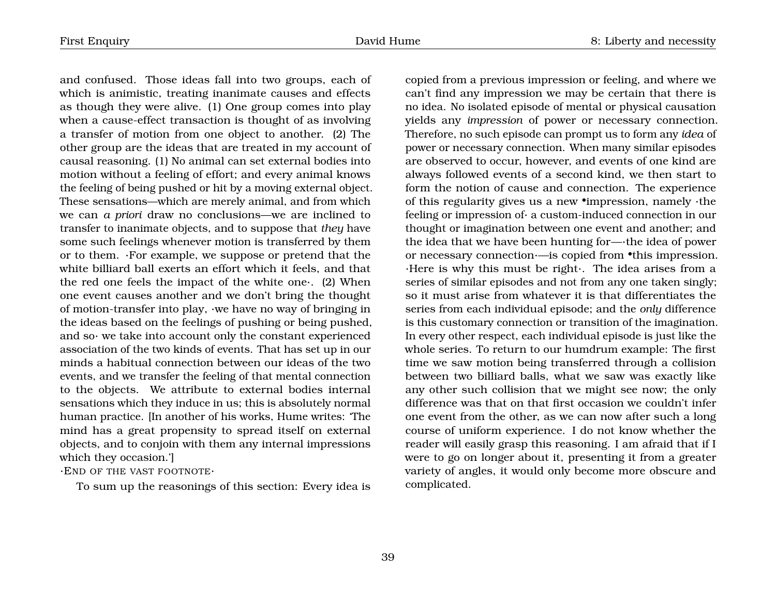and confused. Those ideas fall into two groups, each of which is animistic, treating inanimate causes and effects as though they were alive. (1) One group comes into play when a cause-effect transaction is thought of as involving a transfer of motion from one object to another. (2) The other group are the ideas that are treated in my account of causal reasoning. (1) No animal can set external bodies into motion without a feeling of effort; and every animal knows the feeling of being pushed or hit by a moving external object. These sensations—which are merely animal, and from which we can *a priori* draw no conclusions—we are inclined to transfer to inanimate objects, and to suppose that *they* have some such feelings whenever motion is transferred by them or to them. ·For example, we suppose or pretend that the white billiard ball exerts an effort which it feels, and that the red one feels the impact of the white one $\cdot$ . (2) When one event causes another and we don't bring the thought of motion-transfer into play, ·we have no way of bringing in the ideas based on the feelings of pushing or being pushed, and so· we take into account only the constant experienced association of the two kinds of events. That has set up in our minds a habitual connection between our ideas of the two events, and we transfer the feeling of that mental connection to the objects. We attribute to external bodies internal sensations which they induce in us; this is absolutely normal human practice. [In another of his works, Hume writes: 'The mind has a great propensity to spread itself on external objects, and to conjoin with them any internal impressions which they occasion.']

·END OF THE VAST FOOTNOTE·

To sum up the reasonings of this section: Every idea is

copied from a previous impression or feeling, and where we can't find any impression we may be certain that there is no idea. No isolated episode of mental or physical causation yields any *impression* of power or necessary connection. Therefore, no such episode can prompt us to form any *idea* of power or necessary connection. When many similar episodes are observed to occur, however, and events of one kind are always followed events of a second kind, we then start to form the notion of cause and connection. The experience of this regularity gives us a new •impression, namely ·the feeling or impression of· a custom-induced connection in our thought or imagination between one event and another; and the idea that we have been hunting for—·the idea of power or necessary connection·—is copied from •this impression. ·Here is why this must be right·. The idea arises from a series of similar episodes and not from any one taken singly; so it must arise from whatever it is that differentiates the series from each individual episode; and the *only* difference is this customary connection or transition of the imagination. In every other respect, each individual episode is just like the whole series. To return to our humdrum example: The first time we saw motion being transferred through a collision between two billiard balls, what we saw was exactly like any other such collision that we might see now; the only difference was that on that first occasion we couldn't infer one event from the other, as we can now after such a long course of uniform experience. I do not know whether the reader will easily grasp this reasoning. I am afraid that if I were to go on longer about it, presenting it from a greater variety of angles, it would only become more obscure and complicated.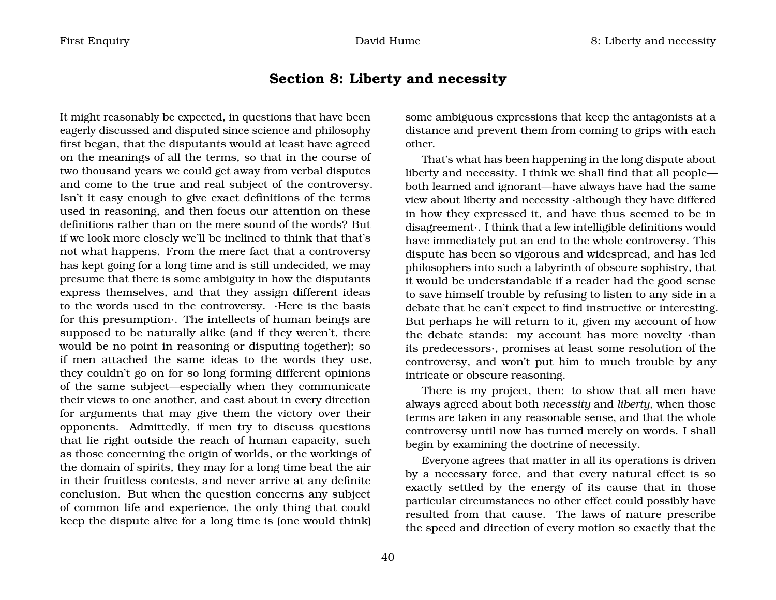## **Section 8: Liberty and necessity**

It might reasonably be expected, in questions that have been eagerly discussed and disputed since science and philosophy first began, that the disputants would at least have agreed on the meanings of all the terms, so that in the course of two thousand years we could get away from verbal disputes and come to the true and real subject of the controversy. Isn't it easy enough to give exact definitions of the terms used in reasoning, and then focus our attention on these definitions rather than on the mere sound of the words? But if we look more closely we'll be inclined to think that that's not what happens. From the mere fact that a controversy has kept going for a long time and is still undecided, we may presume that there is some ambiguity in how the disputants express themselves, and that they assign different ideas to the words used in the controversy. ·Here is the basis for this presumption·. The intellects of human beings are supposed to be naturally alike (and if they weren't, there would be no point in reasoning or disputing together); so if men attached the same ideas to the words they use, they couldn't go on for so long forming different opinions of the same subject—especially when they communicate their views to one another, and cast about in every direction for arguments that may give them the victory over their opponents. Admittedly, if men try to discuss questions that lie right outside the reach of human capacity, such as those concerning the origin of worlds, or the workings of the domain of spirits, they may for a long time beat the air in their fruitless contests, and never arrive at any definite conclusion. But when the question concerns any subject of common life and experience, the only thing that could keep the dispute alive for a long time is (one would think)

some ambiguous expressions that keep the antagonists at a distance and prevent them from coming to grips with each other.

That's what has been happening in the long dispute about liberty and necessity. I think we shall find that all people both learned and ignorant—have always have had the same view about liberty and necessity ·although they have differed in how they expressed it, and have thus seemed to be in disagreement·. I think that a few intelligible definitions would have immediately put an end to the whole controversy. This dispute has been so vigorous and widespread, and has led philosophers into such a labyrinth of obscure sophistry, that it would be understandable if a reader had the good sense to save himself trouble by refusing to listen to any side in a debate that he can't expect to find instructive or interesting. But perhaps he will return to it, given my account of how the debate stands: my account has more novelty ·than its predecessors·, promises at least some resolution of the controversy, and won't put him to much trouble by any intricate or obscure reasoning.

There is my project, then: to show that all men have always agreed about both *necessity* and *liberty*, when those terms are taken in any reasonable sense, and that the whole controversy until now has turned merely on words. I shall begin by examining the doctrine of necessity.

Everyone agrees that matter in all its operations is driven by a necessary force, and that every natural effect is so exactly settled by the energy of its cause that in those particular circumstances no other effect could possibly have resulted from that cause. The laws of nature prescribe the speed and direction of every motion so exactly that the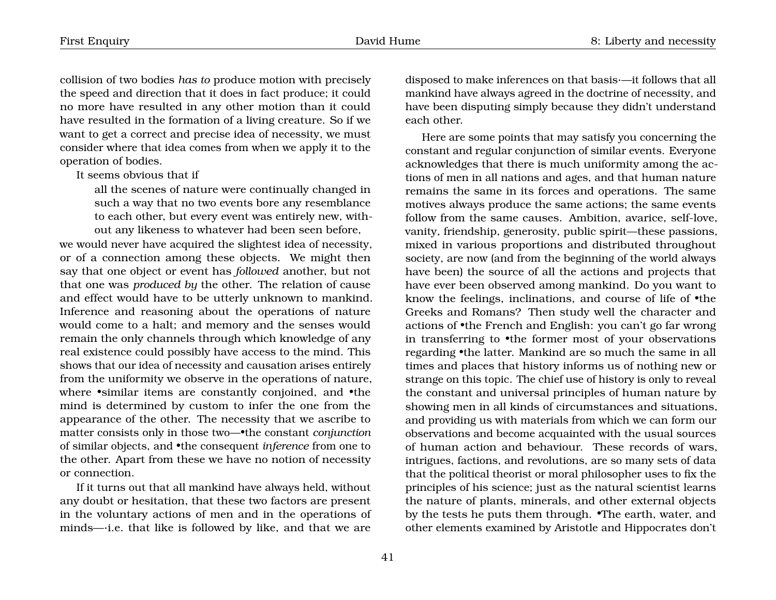collision of two bodies *has to* produce motion with precisely the speed and direction that it does in fact produce; it could no more have resulted in any other motion than it could have resulted in the formation of a living creature. So if we want to get a correct and precise idea of necessity, we must consider where that idea comes from when we apply it to the operation of bodies.

It seems obvious that if

all the scenes of nature were continually changed in such a way that no two events bore any resemblance to each other, but every event was entirely new, without any likeness to whatever had been seen before,

we would never have acquired the slightest idea of necessity, or of a connection among these objects. We might then say that one object or event has *followed* another, but not that one was *produced by* the other. The relation of cause and effect would have to be utterly unknown to mankind. Inference and reasoning about the operations of nature would come to a halt; and memory and the senses would remain the only channels through which knowledge of any real existence could possibly have access to the mind. This shows that our idea of necessity and causation arises entirely from the uniformity we observe in the operations of nature, where •similar items are constantly conjoined, and •the mind is determined by custom to infer the one from the appearance of the other. The necessity that we ascribe to matter consists only in those two—•the constant *conjunction* of similar objects, and •the consequent *inference* from one to the other. Apart from these we have no notion of necessity or connection.

If it turns out that all mankind have always held, without any doubt or hesitation, that these two factors are present in the voluntary actions of men and in the operations of minds—·i.e. that like is followed by like, and that we are

disposed to make inferences on that basis·—it follows that all mankind have always agreed in the doctrine of necessity, and have been disputing simply because they didn't understand each other.

Here are some points that may satisfy you concerning the constant and regular conjunction of similar events. Everyone acknowledges that there is much uniformity among the actions of men in all nations and ages, and that human nature remains the same in its forces and operations. The same motives always produce the same actions; the same events follow from the same causes. Ambition, avarice, self-love, vanity, friendship, generosity, public spirit—these passions, mixed in various proportions and distributed throughout society, are now (and from the beginning of the world always have been) the source of all the actions and projects that have ever been observed among mankind. Do you want to know the feelings, inclinations, and course of life of •the Greeks and Romans? Then study well the character and actions of •the French and English: you can't go far wrong in transferring to •the former most of your observations regarding •the latter. Mankind are so much the same in all times and places that history informs us of nothing new or strange on this topic. The chief use of history is only to reveal the constant and universal principles of human nature by showing men in all kinds of circumstances and situations, and providing us with materials from which we can form our observations and become acquainted with the usual sources of human action and behaviour. These records of wars, intrigues, factions, and revolutions, are so many sets of data that the political theorist or moral philosopher uses to fix the principles of his science; just as the natural scientist learns the nature of plants, minerals, and other external objects by the tests he puts them through. •The earth, water, and other elements examined by Aristotle and Hippocrates don't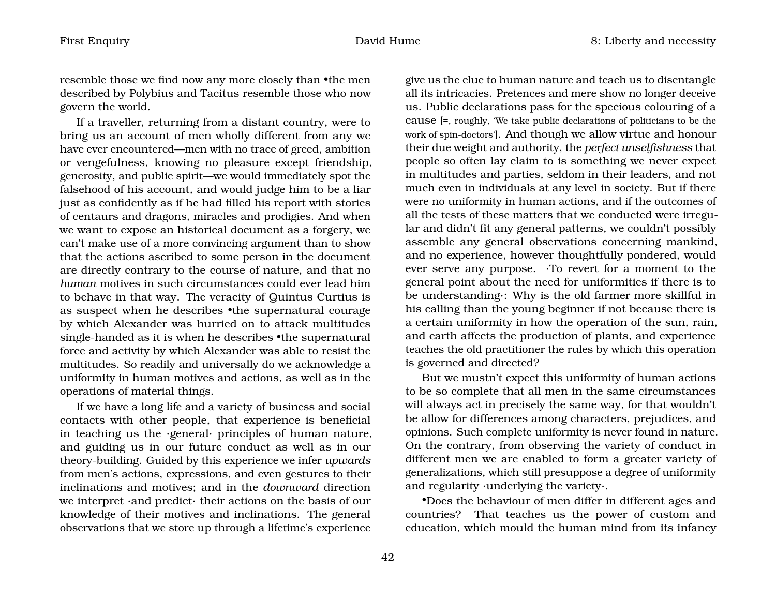resemble those we find now any more closely than •the men described by Polybius and Tacitus resemble those who now govern the world.

If a traveller, returning from a distant country, were to bring us an account of men wholly different from any we have ever encountered—men with no trace of greed, ambition or vengefulness, knowing no pleasure except friendship, generosity, and public spirit—we would immediately spot the falsehood of his account, and would judge him to be a liar just as confidently as if he had filled his report with stories of centaurs and dragons, miracles and prodigies. And when we want to expose an historical document as a forgery, we can't make use of a more convincing argument than to show that the actions ascribed to some person in the document are directly contrary to the course of nature, and that no *human* motives in such circumstances could ever lead him to behave in that way. The veracity of Quintus Curtius is as suspect when he describes •the supernatural courage by which Alexander was hurried on to attack multitudes single-handed as it is when he describes •the supernatural force and activity by which Alexander was able to resist the multitudes. So readily and universally do we acknowledge a uniformity in human motives and actions, as well as in the operations of material things.

If we have a long life and a variety of business and social contacts with other people, that experience is beneficial in teaching us the ·general· principles of human nature, and guiding us in our future conduct as well as in our theory-building. Guided by this experience we infer *upwards* from men's actions, expressions, and even gestures to their inclinations and motives; and in the *downward* direction we interpret ·and predict· their actions on the basis of our knowledge of their motives and inclinations. The general observations that we store up through a lifetime's experience

give us the clue to human nature and teach us to disentangle all its intricacies. Pretences and mere show no longer deceive us. Public declarations pass for the specious colouring of a cause [=, roughly, 'We take public declarations of politicians to be the work of spin-doctors']. And though we allow virtue and honour their due weight and authority, the *perfect unselfishness* that people so often lay claim to is something we never expect in multitudes and parties, seldom in their leaders, and not much even in individuals at any level in society. But if there were no uniformity in human actions, and if the outcomes of all the tests of these matters that we conducted were irregular and didn't fit any general patterns, we couldn't possibly assemble any general observations concerning mankind, and no experience, however thoughtfully pondered, would ever serve any purpose. ·To revert for a moment to the general point about the need for uniformities if there is to be understanding·: Why is the old farmer more skillful in his calling than the young beginner if not because there is a certain uniformity in how the operation of the sun, rain, and earth affects the production of plants, and experience teaches the old practitioner the rules by which this operation is governed and directed?

But we mustn't expect this uniformity of human actions to be so complete that all men in the same circumstances will always act in precisely the same way, for that wouldn't be allow for differences among characters, prejudices, and opinions. Such complete uniformity is never found in nature. On the contrary, from observing the variety of conduct in different men we are enabled to form a greater variety of generalizations, which still presuppose a degree of uniformity and regularity ·underlying the variety·.

•Does the behaviour of men differ in different ages and countries? That teaches us the power of custom and education, which mould the human mind from its infancy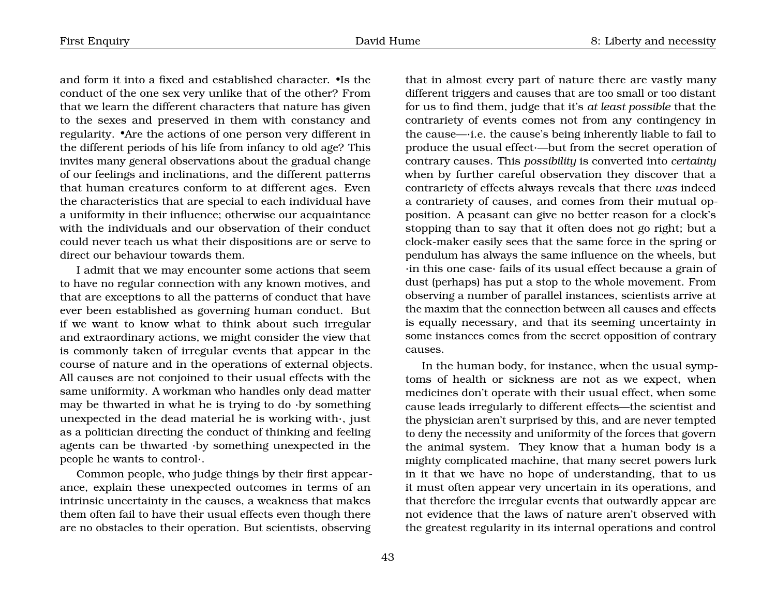and form it into a fixed and established character. •Is the conduct of the one sex very unlike that of the other? From that we learn the different characters that nature has given to the sexes and preserved in them with constancy and regularity. •Are the actions of one person very different in the different periods of his life from infancy to old age? This invites many general observations about the gradual change of our feelings and inclinations, and the different patterns that human creatures conform to at different ages. Even the characteristics that are special to each individual have a uniformity in their influence; otherwise our acquaintance with the individuals and our observation of their conduct could never teach us what their dispositions are or serve to direct our behaviour towards them.

I admit that we may encounter some actions that seem to have no regular connection with any known motives, and that are exceptions to all the patterns of conduct that have ever been established as governing human conduct. But if we want to know what to think about such irregular and extraordinary actions, we might consider the view that is commonly taken of irregular events that appear in the course of nature and in the operations of external objects. All causes are not conjoined to their usual effects with the same uniformity. A workman who handles only dead matter may be thwarted in what he is trying to do ·by something unexpected in the dead material he is working with·, just as a politician directing the conduct of thinking and feeling agents can be thwarted ·by something unexpected in the people he wants to control·.

Common people, who judge things by their first appearance, explain these unexpected outcomes in terms of an intrinsic uncertainty in the causes, a weakness that makes them often fail to have their usual effects even though there are no obstacles to their operation. But scientists, observing that in almost every part of nature there are vastly many different triggers and causes that are too small or too distant for us to find them, judge that it's *at least possible* that the contrariety of events comes not from any contingency in the cause—·i.e. the cause's being inherently liable to fail to produce the usual effect·—but from the secret operation of contrary causes. This *possibility* is converted into *certainty* when by further careful observation they discover that a contrariety of effects always reveals that there *was* indeed a contrariety of causes, and comes from their mutual opposition. A peasant can give no better reason for a clock's stopping than to say that it often does not go right; but a clock-maker easily sees that the same force in the spring or pendulum has always the same influence on the wheels, but ·in this one case· fails of its usual effect because a grain of dust (perhaps) has put a stop to the whole movement. From observing a number of parallel instances, scientists arrive at the maxim that the connection between all causes and effects is equally necessary, and that its seeming uncertainty in some instances comes from the secret opposition of contrary causes.

In the human body, for instance, when the usual symptoms of health or sickness are not as we expect, when medicines don't operate with their usual effect, when some cause leads irregularly to different effects—the scientist and the physician aren't surprised by this, and are never tempted to deny the necessity and uniformity of the forces that govern the animal system. They know that a human body is a mighty complicated machine, that many secret powers lurk in it that we have no hope of understanding, that to us it must often appear very uncertain in its operations, and that therefore the irregular events that outwardly appear are not evidence that the laws of nature aren't observed with the greatest regularity in its internal operations and control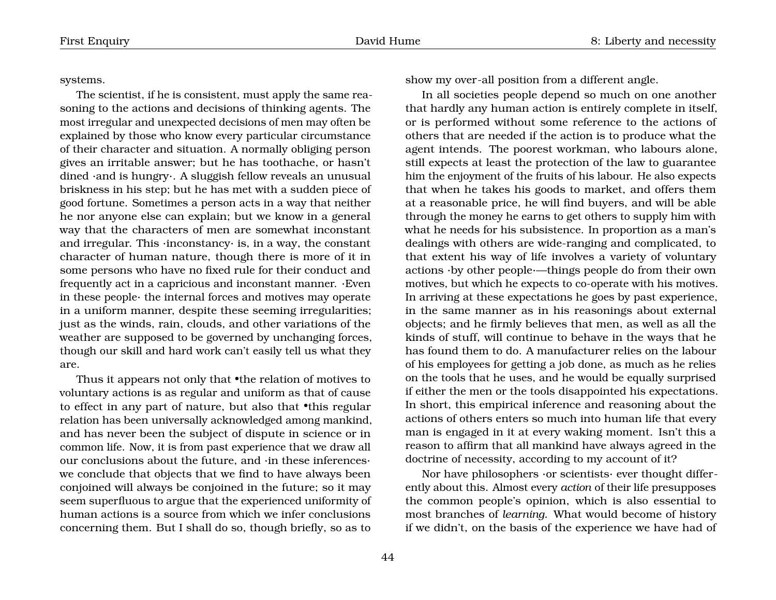systems.

The scientist, if he is consistent, must apply the same reasoning to the actions and decisions of thinking agents. The most irregular and unexpected decisions of men may often be explained by those who know every particular circumstance of their character and situation. A normally obliging person gives an irritable answer; but he has toothache, or hasn't dined ·and is hungry·. A sluggish fellow reveals an unusual briskness in his step; but he has met with a sudden piece of good fortune. Sometimes a person acts in a way that neither he nor anyone else can explain; but we know in a general way that the characters of men are somewhat inconstant and irregular. This ·inconstancy· is, in a way, the constant character of human nature, though there is more of it in some persons who have no fixed rule for their conduct and frequently act in a capricious and inconstant manner. ·Even in these people· the internal forces and motives may operate in a uniform manner, despite these seeming irregularities; just as the winds, rain, clouds, and other variations of the weather are supposed to be governed by unchanging forces, though our skill and hard work can't easily tell us what they are.

Thus it appears not only that •the relation of motives to voluntary actions is as regular and uniform as that of cause to effect in any part of nature, but also that •this regular relation has been universally acknowledged among mankind, and has never been the subject of dispute in science or in common life. Now, it is from past experience that we draw all our conclusions about the future, and ·in these inferences· we conclude that objects that we find to have always been conjoined will always be conjoined in the future; so it may seem superfluous to argue that the experienced uniformity of human actions is a source from which we infer conclusions concerning them. But I shall do so, though briefly, so as to

show my over-all position from a different angle.

In all societies people depend so much on one another that hardly any human action is entirely complete in itself, or is performed without some reference to the actions of others that are needed if the action is to produce what the agent intends. The poorest workman, who labours alone, still expects at least the protection of the law to guarantee him the enjoyment of the fruits of his labour. He also expects that when he takes his goods to market, and offers them at a reasonable price, he will find buyers, and will be able through the money he earns to get others to supply him with what he needs for his subsistence. In proportion as a man's dealings with others are wide-ranging and complicated, to that extent his way of life involves a variety of voluntary actions ·by other people·—things people do from their own motives, but which he expects to co-operate with his motives. In arriving at these expectations he goes by past experience, in the same manner as in his reasonings about external objects; and he firmly believes that men, as well as all the kinds of stuff, will continue to behave in the ways that he has found them to do. A manufacturer relies on the labour of his employees for getting a job done, as much as he relies on the tools that he uses, and he would be equally surprised if either the men or the tools disappointed his expectations. In short, this empirical inference and reasoning about the actions of others enters so much into human life that every man is engaged in it at every waking moment. Isn't this a reason to affirm that all mankind have always agreed in the doctrine of necessity, according to my account of it?

Nor have philosophers ·or scientists· ever thought differently about this. Almost every *action* of their life presupposes the common people's opinion, which is also essential to most branches of *learning*. What would become of history if we didn't, on the basis of the experience we have had of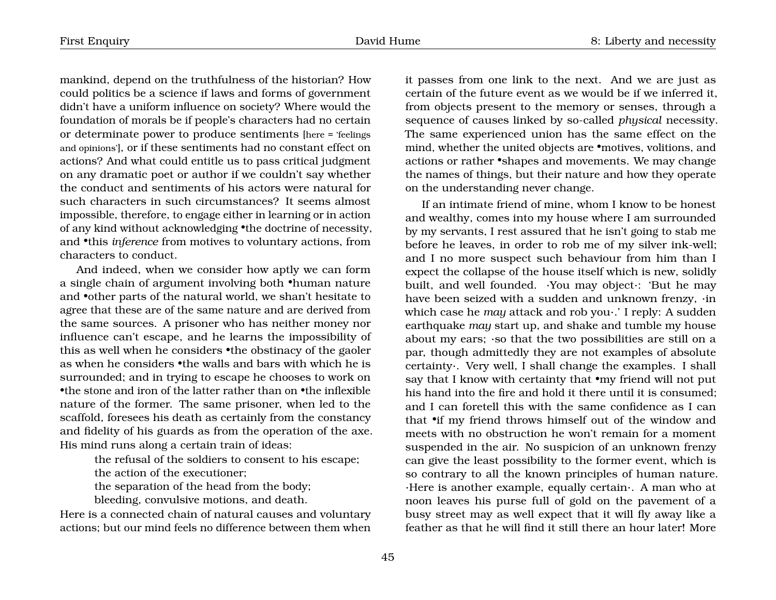mankind, depend on the truthfulness of the historian? How could politics be a science if laws and forms of government didn't have a uniform influence on society? Where would the foundation of morals be if people's characters had no certain or determinate power to produce sentiments [here = 'feelings and opinions'], or if these sentiments had no constant effect on actions? And what could entitle us to pass critical judgment on any dramatic poet or author if we couldn't say whether the conduct and sentiments of his actors were natural for such characters in such circumstances? It seems almost impossible, therefore, to engage either in learning or in action of any kind without acknowledging •the doctrine of necessity, and •this *inference* from motives to voluntary actions, from characters to conduct.

And indeed, when we consider how aptly we can form a single chain of argument involving both •human nature and •other parts of the natural world, we shan't hesitate to agree that these are of the same nature and are derived from the same sources. A prisoner who has neither money nor influence can't escape, and he learns the impossibility of this as well when he considers •the obstinacy of the gaoler as when he considers •the walls and bars with which he is surrounded; and in trying to escape he chooses to work on •the stone and iron of the latter rather than on •the inflexible nature of the former. The same prisoner, when led to the scaffold, foresees his death as certainly from the constancy and fidelity of his guards as from the operation of the axe. His mind runs along a certain train of ideas:

the refusal of the soldiers to consent to his escape;

the action of the executioner;

the separation of the head from the body;

bleeding, convulsive motions, and death.

Here is a connected chain of natural causes and voluntary actions; but our mind feels no difference between them when it passes from one link to the next. And we are just as certain of the future event as we would be if we inferred it, from objects present to the memory or senses, through a sequence of causes linked by so-called *physical* necessity. The same experienced union has the same effect on the mind, whether the united objects are •motives, volitions, and actions or rather •shapes and movements. We may change the names of things, but their nature and how they operate on the understanding never change.

If an intimate friend of mine, whom I know to be honest and wealthy, comes into my house where I am surrounded by my servants, I rest assured that he isn't going to stab me before he leaves, in order to rob me of my silver ink-well; and I no more suspect such behaviour from him than I expect the collapse of the house itself which is new, solidly built, and well founded. ·You may object·: 'But he may have been seized with a sudden and unknown frenzy, ·in which case he *may* attack and rob you·.' I reply: A sudden earthquake *may* start up, and shake and tumble my house about my ears; ·so that the two possibilities are still on a par, though admittedly they are not examples of absolute certainty·. Very well, I shall change the examples. I shall say that I know with certainty that  $\bullet$ my friend will not put his hand into the fire and hold it there until it is consumed; and I can foretell this with the same confidence as I can that •if my friend throws himself out of the window and meets with no obstruction he won't remain for a moment suspended in the air. No suspicion of an unknown frenzy can give the least possibility to the former event, which is so contrary to all the known principles of human nature. ·Here is another example, equally certain·. A man who at noon leaves his purse full of gold on the pavement of a busy street may as well expect that it will fly away like a feather as that he will find it still there an hour later! More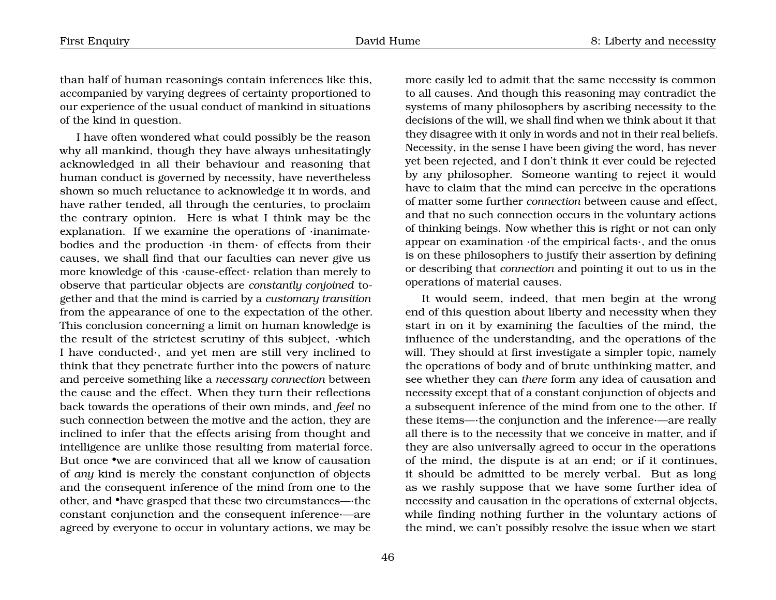than half of human reasonings contain inferences like this, accompanied by varying degrees of certainty proportioned to our experience of the usual conduct of mankind in situations of the kind in question.

I have often wondered what could possibly be the reason why all mankind, though they have always unhesitatingly acknowledged in all their behaviour and reasoning that human conduct is governed by necessity, have nevertheless shown so much reluctance to acknowledge it in words, and have rather tended, all through the centuries, to proclaim the contrary opinion. Here is what I think may be the explanation. If we examine the operations of ·inanimate· bodies and the production ·in them· of effects from their causes, we shall find that our faculties can never give us more knowledge of this ·cause-effect· relation than merely to observe that particular objects are *constantly conjoined* together and that the mind is carried by a *customary transition* from the appearance of one to the expectation of the other. This conclusion concerning a limit on human knowledge is the result of the strictest scrutiny of this subject, ·which I have conducted·, and yet men are still very inclined to think that they penetrate further into the powers of nature and perceive something like a *necessary connection* between the cause and the effect. When they turn their reflections back towards the operations of their own minds, and *feel* no such connection between the motive and the action, they are inclined to infer that the effects arising from thought and intelligence are unlike those resulting from material force. But once •we are convinced that all we know of causation of *any* kind is merely the constant conjunction of objects and the consequent inference of the mind from one to the other, and •have grasped that these two circumstances—·the constant conjunction and the consequent inference·—are agreed by everyone to occur in voluntary actions, we may be more easily led to admit that the same necessity is common to all causes. And though this reasoning may contradict the systems of many philosophers by ascribing necessity to the decisions of the will, we shall find when we think about it that they disagree with it only in words and not in their real beliefs. Necessity, in the sense I have been giving the word, has never yet been rejected, and I don't think it ever could be rejected by any philosopher. Someone wanting to reject it would have to claim that the mind can perceive in the operations of matter some further *connection* between cause and effect, and that no such connection occurs in the voluntary actions of thinking beings. Now whether this is right or not can only appear on examination ·of the empirical facts·, and the onus is on these philosophers to justify their assertion by defining or describing that *connection* and pointing it out to us in the operations of material causes.

It would seem, indeed, that men begin at the wrong end of this question about liberty and necessity when they start in on it by examining the faculties of the mind, the influence of the understanding, and the operations of the will. They should at first investigate a simpler topic, namely the operations of body and of brute unthinking matter, and see whether they can *there* form any idea of causation and necessity except that of a constant conjunction of objects and a subsequent inference of the mind from one to the other. If these items—·the conjunction and the inference·—are really all there is to the necessity that we conceive in matter, and if they are also universally agreed to occur in the operations of the mind, the dispute is at an end; or if it continues, it should be admitted to be merely verbal. But as long as we rashly suppose that we have some further idea of necessity and causation in the operations of external objects, while finding nothing further in the voluntary actions of the mind, we can't possibly resolve the issue when we start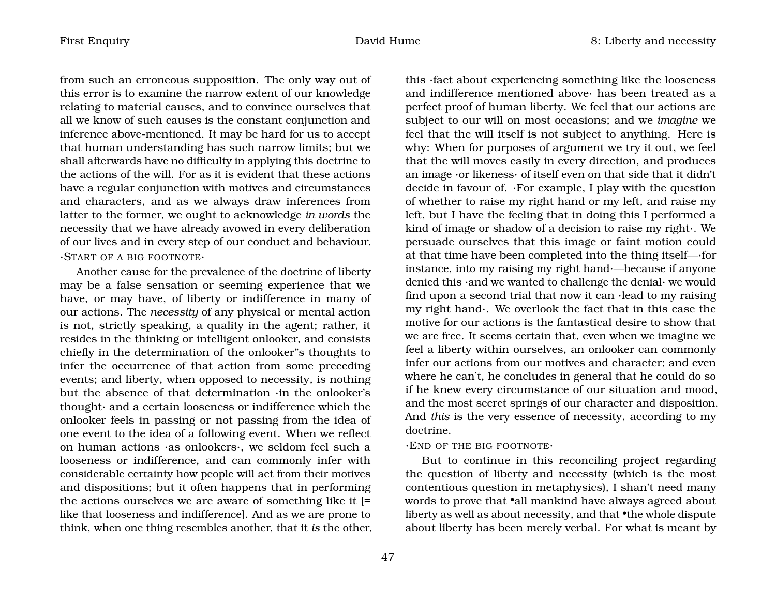from such an erroneous supposition. The only way out of this error is to examine the narrow extent of our knowledge relating to material causes, and to convince ourselves that all we know of such causes is the constant conjunction and inference above-mentioned. It may be hard for us to accept that human understanding has such narrow limits; but we shall afterwards have no difficulty in applying this doctrine to the actions of the will. For as it is evident that these actions have a regular conjunction with motives and circumstances and characters, and as we always draw inferences from latter to the former, we ought to acknowledge *in words* the necessity that we have already avowed in every deliberation of our lives and in every step of our conduct and behaviour. ·START OF A BIG FOOTNOTE·

Another cause for the prevalence of the doctrine of liberty may be a false sensation or seeming experience that we have, or may have, of liberty or indifference in many of our actions. The *necessity* of any physical or mental action is not, strictly speaking, a quality in the agent; rather, it resides in the thinking or intelligent onlooker, and consists chiefly in the determination of the onlooker"s thoughts to infer the occurrence of that action from some preceding events; and liberty, when opposed to necessity, is nothing but the absence of that determination ·in the onlooker's thought· and a certain looseness or indifference which the onlooker feels in passing or not passing from the idea of one event to the idea of a following event. When we reflect on human actions ·as onlookers·, we seldom feel such a looseness or indifference, and can commonly infer with considerable certainty how people will act from their motives and dispositions; but it often happens that in performing the actions ourselves we are aware of something like it [= like that looseness and indifference]. And as we are prone to think, when one thing resembles another, that it *is* the other,

this ·fact about experiencing something like the looseness and indifference mentioned above· has been treated as a perfect proof of human liberty. We feel that our actions are subject to our will on most occasions; and we *imagine* we feel that the will itself is not subject to anything. Here is why: When for purposes of argument we try it out, we feel that the will moves easily in every direction, and produces an image ·or likeness· of itself even on that side that it didn't decide in favour of. ·For example, I play with the question of whether to raise my right hand or my left, and raise my left, but I have the feeling that in doing this I performed a kind of image or shadow of a decision to raise my right·. We persuade ourselves that this image or faint motion could at that time have been completed into the thing itself—·for instance, into my raising my right hand·—because if anyone denied this ·and we wanted to challenge the denial· we would find upon a second trial that now it can ·lead to my raising my right hand·. We overlook the fact that in this case the motive for our actions is the fantastical desire to show that we are free. It seems certain that, even when we imagine we feel a liberty within ourselves, an onlooker can commonly infer our actions from our motives and character; and even where he can't, he concludes in general that he could do so if he knew every circumstance of our situation and mood, and the most secret springs of our character and disposition. And *this* is the very essence of necessity, according to my doctrine.

#### ·END OF THE BIG FOOTNOTE·

But to continue in this reconciling project regarding the question of liberty and necessity (which is the most contentious question in metaphysics), I shan't need many words to prove that •all mankind have always agreed about liberty as well as about necessity, and that •the whole dispute about liberty has been merely verbal. For what is meant by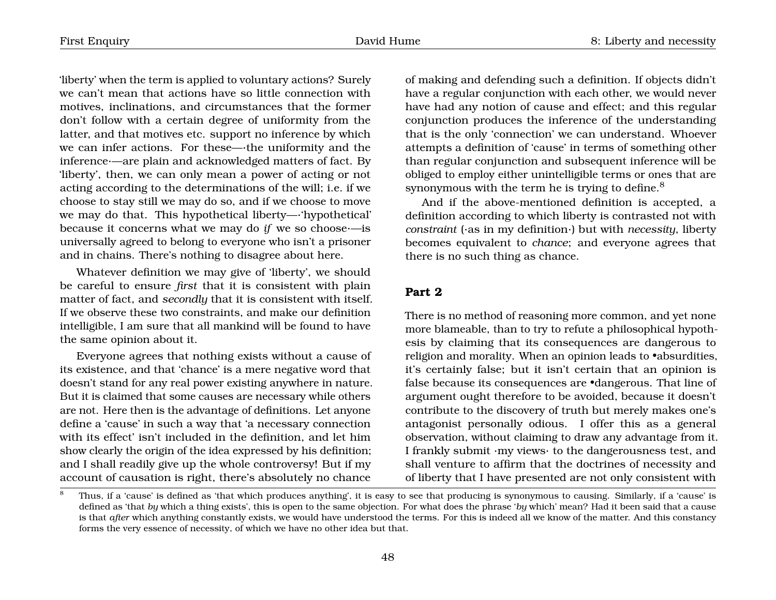'liberty' when the term is applied to voluntary actions? Surely we can't mean that actions have so little connection with motives, inclinations, and circumstances that the former don't follow with a certain degree of uniformity from the latter, and that motives etc. support no inference by which we can infer actions. For these—·the uniformity and the inference·—are plain and acknowledged matters of fact. By 'liberty', then, we can only mean a power of acting or not acting according to the determinations of the will; i.e. if we choose to stay still we may do so, and if we choose to move we may do that. This hypothetical liberty—·'hypothetical' because it concerns what we may do *if* we so choose·—is universally agreed to belong to everyone who isn't a prisoner and in chains. There's nothing to disagree about here.

Whatever definition we may give of 'liberty', we should be careful to ensure *first* that it is consistent with plain matter of fact, and *secondly* that it is consistent with itself. If we observe these two constraints, and make our definition intelligible, I am sure that all mankind will be found to have the same opinion about it.

Everyone agrees that nothing exists without a cause of its existence, and that 'chance' is a mere negative word that doesn't stand for any real power existing anywhere in nature. But it is claimed that some causes are necessary while others are not. Here then is the advantage of definitions. Let anyone define a 'cause' in such a way that 'a necessary connection with its effect' isn't included in the definition, and let him show clearly the origin of the idea expressed by his definition; and I shall readily give up the whole controversy! But if my account of causation is right, there's absolutely no chance

of making and defending such a definition. If objects didn't have a regular conjunction with each other, we would never have had any notion of cause and effect; and this regular conjunction produces the inference of the understanding that is the only 'connection' we can understand. Whoever attempts a definition of 'cause' in terms of something other than regular conjunction and subsequent inference will be obliged to employ either unintelligible terms or ones that are synonymous with the term he is trying to define.<sup>[8](#page-49-0)</sup>

And if the above-mentioned definition is accepted, a definition according to which liberty is contrasted not with *constraint* (·as in my definition·) but with *necessity*, liberty becomes equivalent to *chance*; and everyone agrees that there is no such thing as chance.

### **Part 2**

There is no method of reasoning more common, and yet none more blameable, than to try to refute a philosophical hypothesis by claiming that its consequences are dangerous to religion and morality. When an opinion leads to •absurdities, it's certainly false; but it isn't certain that an opinion is false because its consequences are •dangerous. That line of argument ought therefore to be avoided, because it doesn't contribute to the discovery of truth but merely makes one's antagonist personally odious. I offer this as a general observation, without claiming to draw any advantage from it. I frankly submit ·my views· to the dangerousness test, and shall venture to affirm that the doctrines of necessity and of liberty that I have presented are not only consistent with

<span id="page-49-0"></span><sup>8</sup> Thus, if a 'cause' is defined as 'that which produces anything', it is easy to see that producing is synonymous to causing. Similarly, if a 'cause' is defined as 'that *by* which a thing exists', this is open to the same objection. For what does the phrase '*by* which' mean? Had it been said that a cause is that *after* which anything constantly exists, we would have understood the terms. For this is indeed all we know of the matter. And this constancy forms the very essence of necessity, of which we have no other idea but that.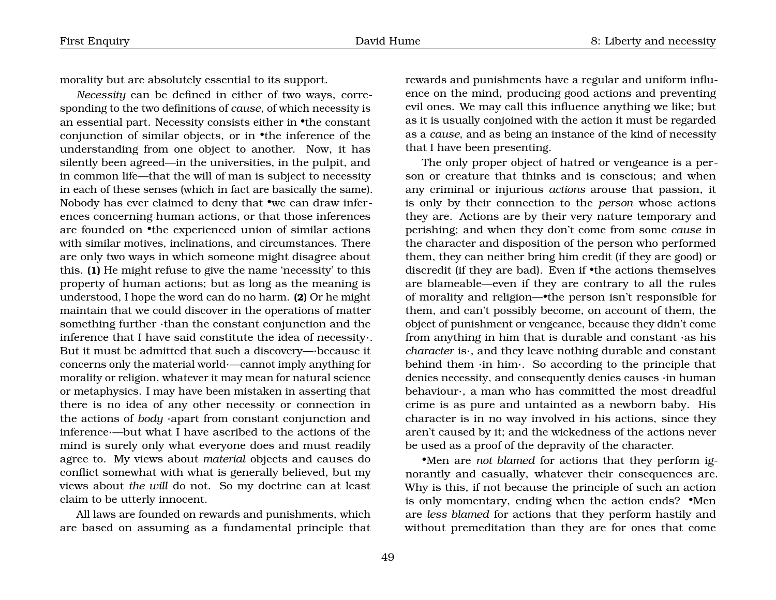morality but are absolutely essential to its support.

*Necessity* can be defined in either of two ways, corresponding to the two definitions of *cause*, of which necessity is an essential part. Necessity consists either in •the constant conjunction of similar objects, or in •the inference of the understanding from one object to another. Now, it has silently been agreed—in the universities, in the pulpit, and in common life—that the will of man is subject to necessity in each of these senses (which in fact are basically the same). Nobody has ever claimed to deny that •we can draw inferences concerning human actions, or that those inferences are founded on •the experienced union of similar actions with similar motives, inclinations, and circumstances. There are only two ways in which someone might disagree about this. **(1)** He might refuse to give the name 'necessity' to this property of human actions; but as long as the meaning is understood, I hope the word can do no harm. **(2)** Or he might maintain that we could discover in the operations of matter something further  $\cdot$ than the constant conjunction and the inference that I have said constitute the idea of necessity·. But it must be admitted that such a discovery—·because it concerns only the material world·—cannot imply anything for morality or religion, whatever it may mean for natural science or metaphysics. I may have been mistaken in asserting that there is no idea of any other necessity or connection in the actions of *body* ·apart from constant conjunction and inference·—but what I have ascribed to the actions of the mind is surely only what everyone does and must readily agree to. My views about *material* objects and causes do conflict somewhat with what is generally believed, but my views about *the will* do not. So my doctrine can at least claim to be utterly innocent.

All laws are founded on rewards and punishments, which are based on assuming as a fundamental principle that rewards and punishments have a regular and uniform influence on the mind, producing good actions and preventing evil ones. We may call this influence anything we like; but as it is usually conjoined with the action it must be regarded as a *cause*, and as being an instance of the kind of necessity that I have been presenting.

The only proper object of hatred or vengeance is a person or creature that thinks and is conscious; and when any criminal or injurious *actions* arouse that passion, it is only by their connection to the *person* whose actions they are. Actions are by their very nature temporary and perishing; and when they don't come from some *cause* in the character and disposition of the person who performed them, they can neither bring him credit (if they are good) or discredit (if they are bad). Even if •the actions themselves are blameable—even if they are contrary to all the rules of morality and religion—•the person isn't responsible for them, and can't possibly become, on account of them, the object of punishment or vengeance, because they didn't come from anything in him that is durable and constant ·as his *character* is·, and they leave nothing durable and constant behind them ·in him·. So according to the principle that denies necessity, and consequently denies causes ·in human behaviour·, a man who has committed the most dreadful crime is as pure and untainted as a newborn baby. His character is in no way involved in his actions, since they aren't caused by it; and the wickedness of the actions never be used as a proof of the depravity of the character.

•Men are *not blamed* for actions that they perform ignorantly and casually, whatever their consequences are. Why is this, if not because the principle of such an action is only momentary, ending when the action ends? •Men are *less blamed* for actions that they perform hastily and without premeditation than they are for ones that come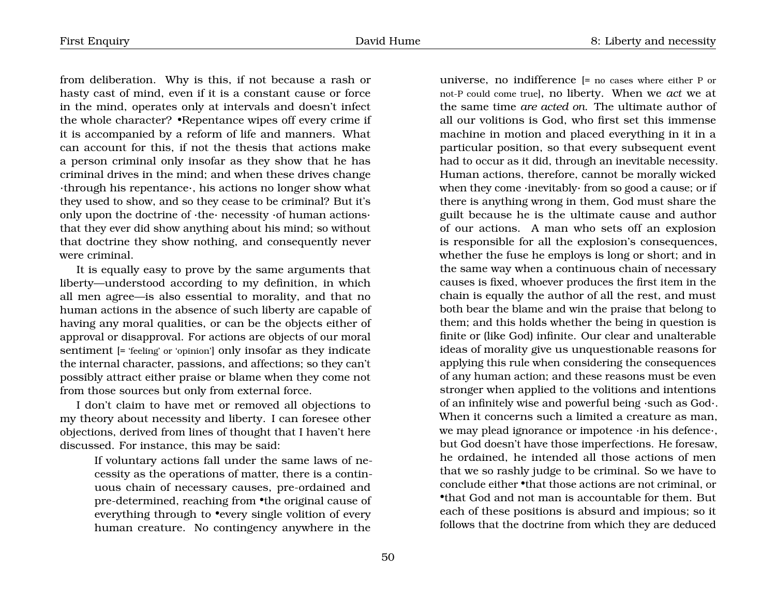from deliberation. Why is this, if not because a rash or hasty cast of mind, even if it is a constant cause or force in the mind, operates only at intervals and doesn't infect the whole character? •Repentance wipes off every crime if it is accompanied by a reform of life and manners. What can account for this, if not the thesis that actions make a person criminal only insofar as they show that he has criminal drives in the mind; and when these drives change ·through his repentance·, his actions no longer show what they used to show, and so they cease to be criminal? But it's only upon the doctrine of ·the· necessity ·of human actions· that they ever did show anything about his mind; so without that doctrine they show nothing, and consequently never were criminal.

It is equally easy to prove by the same arguments that liberty—understood according to my definition, in which all men agree—is also essential to morality, and that no human actions in the absence of such liberty are capable of having any moral qualities, or can be the objects either of approval or disapproval. For actions are objects of our moral sentiment [= 'feeling' or 'opinion'] only insofar as they indicate the internal character, passions, and affections; so they can't possibly attract either praise or blame when they come not from those sources but only from external force.

I don't claim to have met or removed all objections to my theory about necessity and liberty. I can foresee other objections, derived from lines of thought that I haven't here discussed. For instance, this may be said:

> If voluntary actions fall under the same laws of necessity as the operations of matter, there is a continuous chain of necessary causes, pre-ordained and pre-determined, reaching from •the original cause of everything through to •every single volition of every human creature. No contingency anywhere in the

universe, no indifference [= no cases where either P or not-P could come true], no liberty. When we *act* we at the same time *are acted on*. The ultimate author of all our volitions is God, who first set this immense machine in motion and placed everything in it in a particular position, so that every subsequent event had to occur as it did, through an inevitable necessity. Human actions, therefore, cannot be morally wicked when they come  $\cdot$ inevitably $\cdot$  from so good a cause; or if there is anything wrong in them, God must share the guilt because he is the ultimate cause and author of our actions. A man who sets off an explosion is responsible for all the explosion's consequences, whether the fuse he employs is long or short; and in the same way when a continuous chain of necessary causes is fixed, whoever produces the first item in the chain is equally the author of all the rest, and must both bear the blame and win the praise that belong to them; and this holds whether the being in question is finite or (like God) infinite. Our clear and unalterable ideas of morality give us unquestionable reasons for applying this rule when considering the consequences of any human action; and these reasons must be even stronger when applied to the volitions and intentions of an infinitely wise and powerful being ·such as God·. When it concerns such a limited a creature as man, we may plead ignorance or impotence ·in his defence·, but God doesn't have those imperfections. He foresaw, he ordained, he intended all those actions of men that we so rashly judge to be criminal. So we have to conclude either •that those actions are not criminal, or •that God and not man is accountable for them. But each of these positions is absurd and impious; so it follows that the doctrine from which they are deduced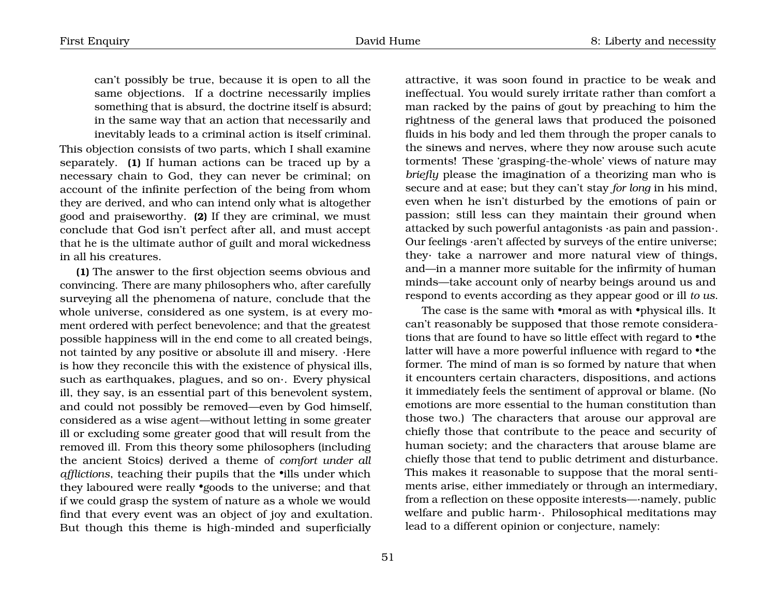can't possibly be true, because it is open to all the same objections. If a doctrine necessarily implies something that is absurd, the doctrine itself is absurd; in the same way that an action that necessarily and inevitably leads to a criminal action is itself criminal.

This objection consists of two parts, which I shall examine separately. **(1)** If human actions can be traced up by a necessary chain to God, they can never be criminal; on account of the infinite perfection of the being from whom they are derived, and who can intend only what is altogether good and praiseworthy. **(2)** If they are criminal, we must conclude that God isn't perfect after all, and must accept that he is the ultimate author of guilt and moral wickedness in all his creatures.

**(1)** The answer to the first objection seems obvious and convincing. There are many philosophers who, after carefully surveying all the phenomena of nature, conclude that the whole universe, considered as one system, is at every moment ordered with perfect benevolence; and that the greatest possible happiness will in the end come to all created beings, not tainted by any positive or absolute ill and misery. ·Here is how they reconcile this with the existence of physical ills, such as earthquakes, plagues, and so on·. Every physical ill, they say, is an essential part of this benevolent system, and could not possibly be removed—even by God himself, considered as a wise agent—without letting in some greater ill or excluding some greater good that will result from the removed ill. From this theory some philosophers (including the ancient Stoics) derived a theme of *comfort under all afflictions*, teaching their pupils that the •ills under which they laboured were really •goods to the universe; and that if we could grasp the system of nature as a whole we would find that every event was an object of joy and exultation. But though this theme is high-minded and superficially attractive, it was soon found in practice to be weak and ineffectual. You would surely irritate rather than comfort a man racked by the pains of gout by preaching to him the rightness of the general laws that produced the poisoned fluids in his body and led them through the proper canals to the sinews and nerves, where they now arouse such acute torments! These 'grasping-the-whole' views of nature may *briefly* please the imagination of a theorizing man who is secure and at ease; but they can't stay *for long* in his mind, even when he isn't disturbed by the emotions of pain or passion; still less can they maintain their ground when attacked by such powerful antagonists ·as pain and passion·. Our feelings ·aren't affected by surveys of the entire universe; they· take a narrower and more natural view of things, and—in a manner more suitable for the infirmity of human minds—take account only of nearby beings around us and respond to events according as they appear good or ill *to us*.

The case is the same with •moral as with •physical ills. It can't reasonably be supposed that those remote considerations that are found to have so little effect with regard to •the latter will have a more powerful influence with regard to •the former. The mind of man is so formed by nature that when it encounters certain characters, dispositions, and actions it immediately feels the sentiment of approval or blame. (No emotions are more essential to the human constitution than those two.) The characters that arouse our approval are chiefly those that contribute to the peace and security of human society; and the characters that arouse blame are chiefly those that tend to public detriment and disturbance. This makes it reasonable to suppose that the moral sentiments arise, either immediately or through an intermediary, from a reflection on these opposite interests—·namely, public welfare and public harm·. Philosophical meditations may lead to a different opinion or conjecture, namely: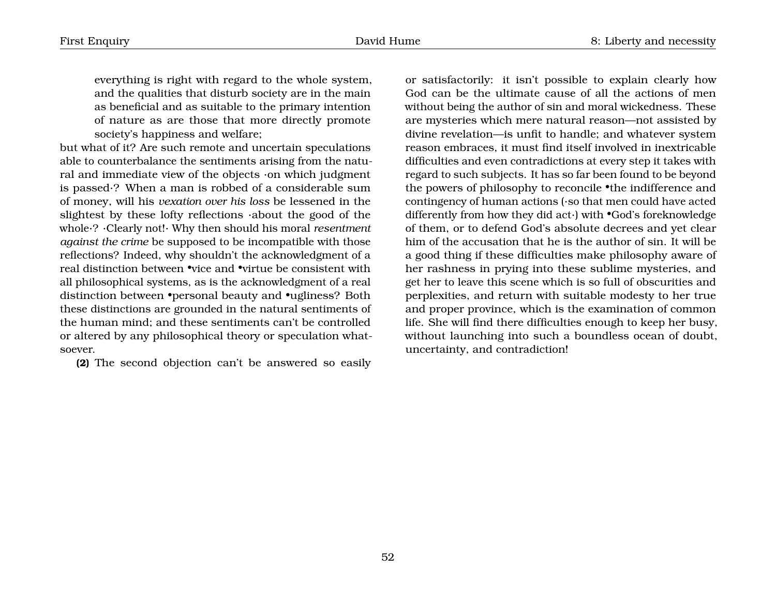everything is right with regard to the whole system, and the qualities that disturb society are in the main as beneficial and as suitable to the primary intention of nature as are those that more directly promote society's happiness and welfare;

but what of it? Are such remote and uncertain speculations able to counterbalance the sentiments arising from the natural and immediate view of the objects ·on which judgment is passed·? When a man is robbed of a considerable sum of money, will his *vexation over his loss* be lessened in the slightest by these lofty reflections ·about the good of the whole·? ·Clearly not!· Why then should his moral *resentment against the crime* be supposed to be incompatible with those reflections? Indeed, why shouldn't the acknowledgment of a real distinction between •vice and •virtue be consistent with all philosophical systems, as is the acknowledgment of a real distinction between •personal beauty and •ugliness? Both these distinctions are grounded in the natural sentiments of the human mind; and these sentiments can't be controlled or altered by any philosophical theory or speculation whatsoever.

**(2)** The second objection can't be answered so easily

or satisfactorily: it isn't possible to explain clearly how God can be the ultimate cause of all the actions of men without being the author of sin and moral wickedness. These are mysteries which mere natural reason—not assisted by divine revelation—is unfit to handle; and whatever system reason embraces, it must find itself involved in inextricable difficulties and even contradictions at every step it takes with regard to such subjects. It has so far been found to be beyond the powers of philosophy to reconcile •the indifference and contingency of human actions (·so that men could have acted differently from how they did act·) with •God's foreknowledge of them, or to defend God's absolute decrees and yet clear him of the accusation that he is the author of sin. It will be a good thing if these difficulties make philosophy aware of her rashness in prying into these sublime mysteries, and get her to leave this scene which is so full of obscurities and perplexities, and return with suitable modesty to her true and proper province, which is the examination of common life. She will find there difficulties enough to keep her busy, without launching into such a boundless ocean of doubt, uncertainty, and contradiction!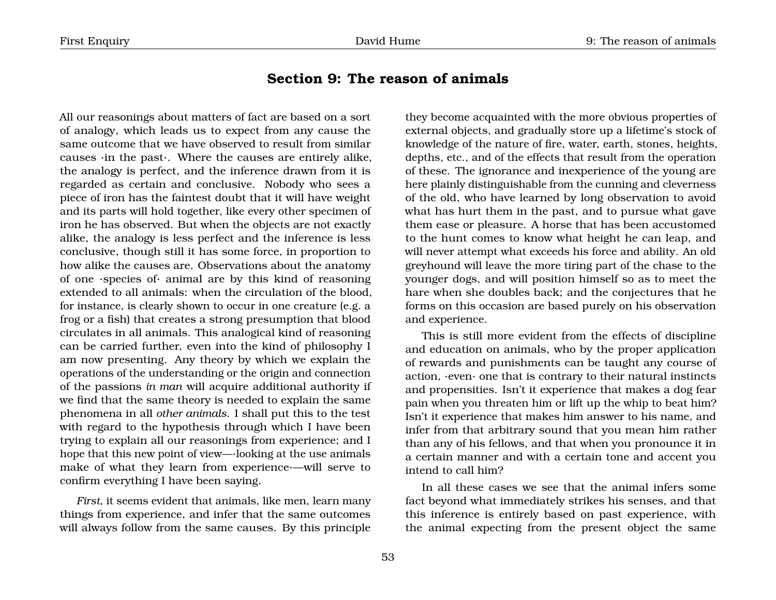# **Section 9: The reason of animals**

All our reasonings about matters of fact are based on a sort of analogy, which leads us to expect from any cause the same outcome that we have observed to result from similar causes ·in the past·. Where the causes are entirely alike, the analogy is perfect, and the inference drawn from it is regarded as certain and conclusive. Nobody who sees a piece of iron has the faintest doubt that it will have weight and its parts will hold together, like every other specimen of iron he has observed. But when the objects are not exactly alike, the analogy is less perfect and the inference is less conclusive, though still it has some force, in proportion to how alike the causes are. Observations about the anatomy of one ·species of· animal are by this kind of reasoning extended to all animals: when the circulation of the blood, for instance, is clearly shown to occur in one creature (e.g. a frog or a fish) that creates a strong presumption that blood circulates in all animals. This analogical kind of reasoning can be carried further, even into the kind of philosophy I am now presenting. Any theory by which we explain the operations of the understanding or the origin and connection of the passions *in man* will acquire additional authority if we find that the same theory is needed to explain the same phenomena in all *other animals*. I shall put this to the test with regard to the hypothesis through which I have been trying to explain all our reasonings from experience; and I hope that this new point of view—·looking at the use animals make of what they learn from experience·—will serve to confirm everything I have been saying.

*First*, it seems evident that animals, like men, learn many things from experience, and infer that the same outcomes will always follow from the same causes. By this principle

they become acquainted with the more obvious properties of external objects, and gradually store up a lifetime's stock of knowledge of the nature of fire, water, earth, stones, heights, depths, etc., and of the effects that result from the operation of these. The ignorance and inexperience of the young are here plainly distinguishable from the cunning and cleverness of the old, who have learned by long observation to avoid what has hurt them in the past, and to pursue what gave them ease or pleasure. A horse that has been accustomed to the hunt comes to know what height he can leap, and will never attempt what exceeds his force and ability. An old greyhound will leave the more tiring part of the chase to the younger dogs, and will position himself so as to meet the hare when she doubles back; and the conjectures that he forms on this occasion are based purely on his observation and experience.

This is still more evident from the effects of discipline and education on animals, who by the proper application of rewards and punishments can be taught any course of action, ·even· one that is contrary to their natural instincts and propensities. Isn't it experience that makes a dog fear pain when you threaten him or lift up the whip to beat him? Isn't it experience that makes him answer to his name, and infer from that arbitrary sound that you mean him rather than any of his fellows, and that when you pronounce it in a certain manner and with a certain tone and accent you intend to call him?

In all these cases we see that the animal infers some fact beyond what immediately strikes his senses, and that this inference is entirely based on past experience, with the animal expecting from the present object the same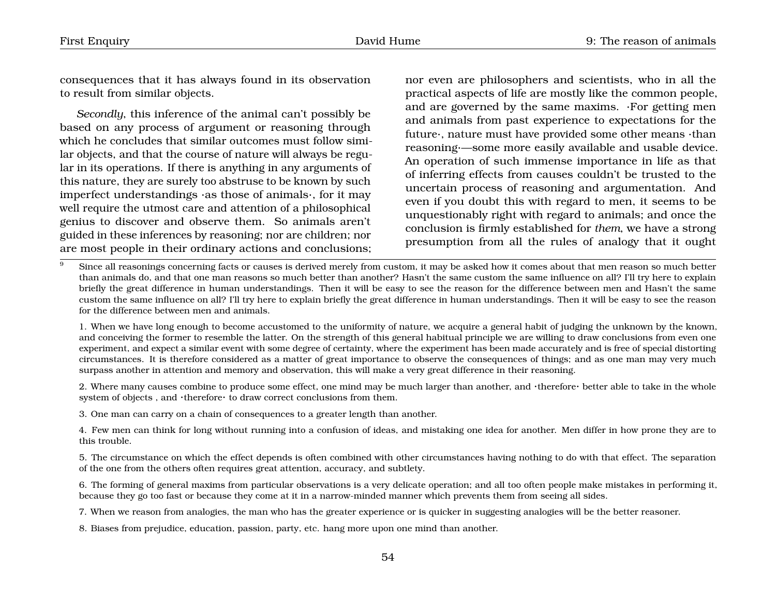consequences that it has always found in its observation to result from similar objects.

*Secondly*, this inference of the animal can't possibly be based on any process of argument or reasoning through which he concludes that similar outcomes must follow similar objects, and that the course of nature will always be regular in its operations. If there is anything in any arguments of this nature, they are surely too abstruse to be known by such imperfect understandings ·as those of animals·, for it may well require the utmost care and attention of a philosophical genius to discover and observe them. So animals aren't guided in these inferences by reasoning; nor are children; nor are most people in their ordinary actions and conclusions;

nor even are philosophers and scientists, who in all the practical aspects of life are mostly like the common people, and are governed by the same maxims. ·For getting men and animals from past experience to expectations for the future·, nature must have provided some other means ·than reasoning·—some more easily available and usable device. An operation of such immense importance in life as that of inferring effects from causes couldn't be trusted to the uncertain process of reasoning and argumentation. And even if you doubt this with regard to men, it seems to be unquestionably right with regard to animals; and once the conclusion is firmly established for *them*, we have a strong presumption from all the rules of analogy that it ought

1. When we have long enough to become accustomed to the uniformity of nature, we acquire a general habit of judging the unknown by the known, and conceiving the former to resemble the latter. On the strength of this general habitual principle we are willing to draw conclusions from even one experiment, and expect a similar event with some degree of certainty, where the experiment has been made accurately and is free of special distorting circumstances. It is therefore considered as a matter of great importance to observe the consequences of things; and as one man may very much surpass another in attention and memory and observation, this will make a very great difference in their reasoning.

2. Where many causes combine to produce some effect, one mind may be much larger than another, and ·therefore· better able to take in the whole system of objects , and ·therefore· to draw correct conclusions from them.

3. One man can carry on a chain of consequences to a greater length than another.

4. Few men can think for long without running into a confusion of ideas, and mistaking one idea for another. Men differ in how prone they are to this trouble.

5. The circumstance on which the effect depends is often combined with other circumstances having nothing to do with that effect. The separation of the one from the others often requires great attention, accuracy, and subtlety.

6. The forming of general maxims from particular observations is a very delicate operation; and all too often people make mistakes in performing it, because they go too fast or because they come at it in a narrow-minded manner which prevents them from seeing all sides.

7. When we reason from analogies, the man who has the greater experience or is quicker in suggesting analogies will be the better reasoner.

8. Biases from prejudice, education, passion, party, etc. hang more upon one mind than another.

<span id="page-55-0"></span> $\overline{9}$  Since all reasonings concerning facts or causes is derived merely from custom, it may be asked how it comes about that men reason so much better than animals do, and that one man reasons so much better than another? Hasn't the same custom the same influence on all? I'll try here to explain briefly the great difference in human understandings. Then it will be easy to see the reason for the difference between men and Hasn't the same custom the same influence on all? I'll try here to explain briefly the great difference in human understandings. Then it will be easy to see the reason for the difference between men and animals.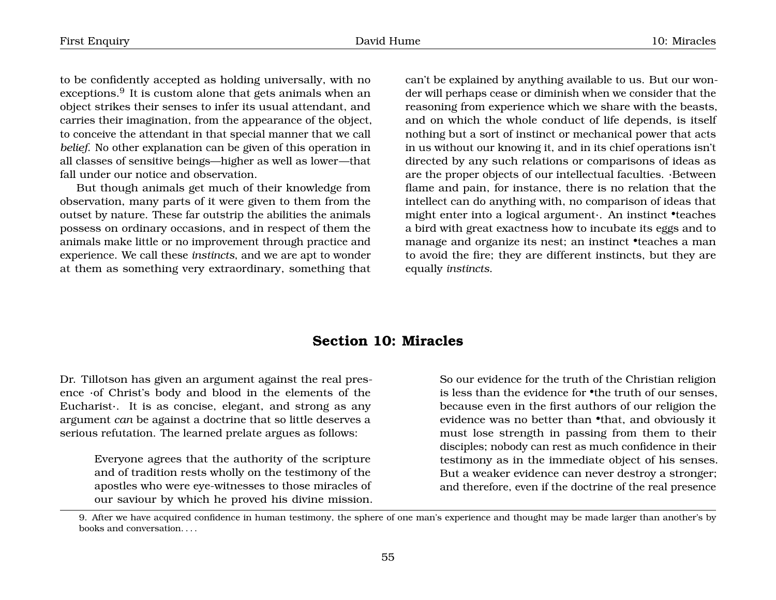to be confidently accepted as holding universally, with no exceptions. $^9$  $^9$  It is custom alone that gets animals when an object strikes their senses to infer its usual attendant, and carries their imagination, from the appearance of the object, to conceive the attendant in that special manner that we call *belief*. No other explanation can be given of this operation in all classes of sensitive beings—higher as well as lower—that fall under our notice and observation.

But though animals get much of their knowledge from observation, many parts of it were given to them from the outset by nature. These far outstrip the abilities the animals possess on ordinary occasions, and in respect of them the animals make little or no improvement through practice and experience. We call these *instincts*, and we are apt to wonder at them as something very extraordinary, something that can't be explained by anything available to us. But our wonder will perhaps cease or diminish when we consider that the reasoning from experience which we share with the beasts, and on which the whole conduct of life depends, is itself nothing but a sort of instinct or mechanical power that acts in us without our knowing it, and in its chief operations isn't directed by any such relations or comparisons of ideas as are the proper objects of our intellectual faculties. ·Between flame and pain, for instance, there is no relation that the intellect can do anything with, no comparison of ideas that might enter into a logical argument·. An instinct •teaches a bird with great exactness how to incubate its eggs and to manage and organize its nest; an instinct •teaches a man to avoid the fire; they are different instincts, but they are equally *instincts*.

## **Section 10: Miracles**

Dr. Tillotson has given an argument against the real presence ·of Christ's body and blood in the elements of the Eucharist·. It is as concise, elegant, and strong as any argument *can* be against a doctrine that so little deserves a serious refutation. The learned prelate argues as follows:

> Everyone agrees that the authority of the scripture and of tradition rests wholly on the testimony of the apostles who were eye-witnesses to those miracles of our saviour by which he proved his divine mission.

So our evidence for the truth of the Christian religion is less than the evidence for •the truth of our senses, because even in the first authors of our religion the evidence was no better than •that, and obviously it must lose strength in passing from them to their disciples; nobody can rest as much confidence in their testimony as in the immediate object of his senses. But a weaker evidence can never destroy a stronger; and therefore, even if the doctrine of the real presence

<sup>9.</sup> After we have acquired confidence in human testimony, the sphere of one man's experience and thought may be made larger than another's by books and conversation. . . .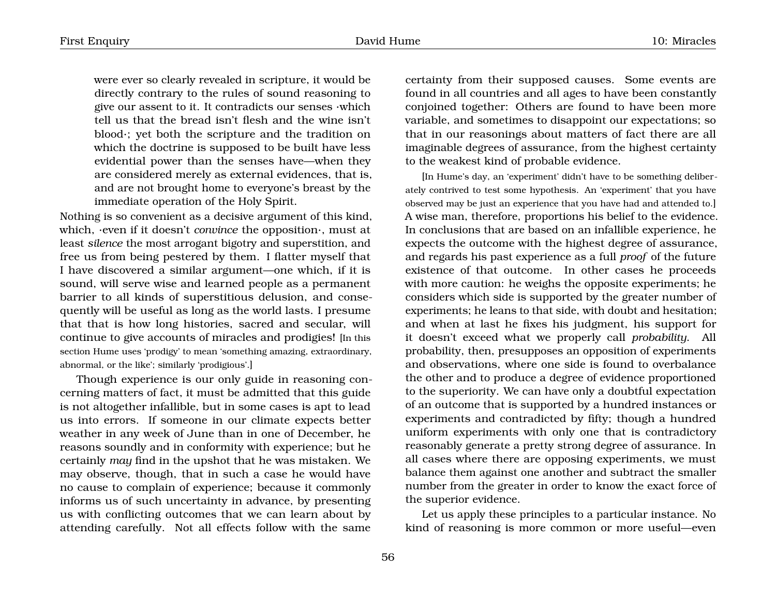were ever so clearly revealed in scripture, it would be directly contrary to the rules of sound reasoning to give our assent to it. It contradicts our senses ·which tell us that the bread isn't flesh and the wine isn't blood·; yet both the scripture and the tradition on which the doctrine is supposed to be built have less evidential power than the senses have—when they are considered merely as external evidences, that is, and are not brought home to everyone's breast by the immediate operation of the Holy Spirit.

Nothing is so convenient as a decisive argument of this kind, which, ·even if it doesn't *convince* the opposition·, must at least *silence* the most arrogant bigotry and superstition, and free us from being pestered by them. I flatter myself that I have discovered a similar argument—one which, if it is sound, will serve wise and learned people as a permanent barrier to all kinds of superstitious delusion, and consequently will be useful as long as the world lasts. I presume that that is how long histories, sacred and secular, will continue to give accounts of miracles and prodigies! [In this section Hume uses 'prodigy' to mean 'something amazing, extraordinary, abnormal, or the like'; similarly 'prodigious'.]

Though experience is our only guide in reasoning concerning matters of fact, it must be admitted that this guide is not altogether infallible, but in some cases is apt to lead us into errors. If someone in our climate expects better weather in any week of June than in one of December, he reasons soundly and in conformity with experience; but he certainly *may* find in the upshot that he was mistaken. We may observe, though, that in such a case he would have no cause to complain of experience; because it commonly informs us of such uncertainty in advance, by presenting us with conflicting outcomes that we can learn about by attending carefully. Not all effects follow with the same

certainty from their supposed causes. Some events are found in all countries and all ages to have been constantly conjoined together: Others are found to have been more variable, and sometimes to disappoint our expectations; so that in our reasonings about matters of fact there are all imaginable degrees of assurance, from the highest certainty to the weakest kind of probable evidence.

[In Hume's day, an 'experiment' didn't have to be something deliberately contrived to test some hypothesis. An 'experiment' that you have observed may be just an experience that you have had and attended to.] A wise man, therefore, proportions his belief to the evidence. In conclusions that are based on an infallible experience, he expects the outcome with the highest degree of assurance, and regards his past experience as a full *proof* of the future existence of that outcome. In other cases he proceeds with more caution: he weighs the opposite experiments; he considers which side is supported by the greater number of experiments; he leans to that side, with doubt and hesitation; and when at last he fixes his judgment, his support for it doesn't exceed what we properly call *probability*. All probability, then, presupposes an opposition of experiments and observations, where one side is found to overbalance the other and to produce a degree of evidence proportioned to the superiority. We can have only a doubtful expectation of an outcome that is supported by a hundred instances or experiments and contradicted by fifty; though a hundred uniform experiments with only one that is contradictory reasonably generate a pretty strong degree of assurance. In all cases where there are opposing experiments, we must balance them against one another and subtract the smaller number from the greater in order to know the exact force of the superior evidence.

Let us apply these principles to a particular instance. No kind of reasoning is more common or more useful—even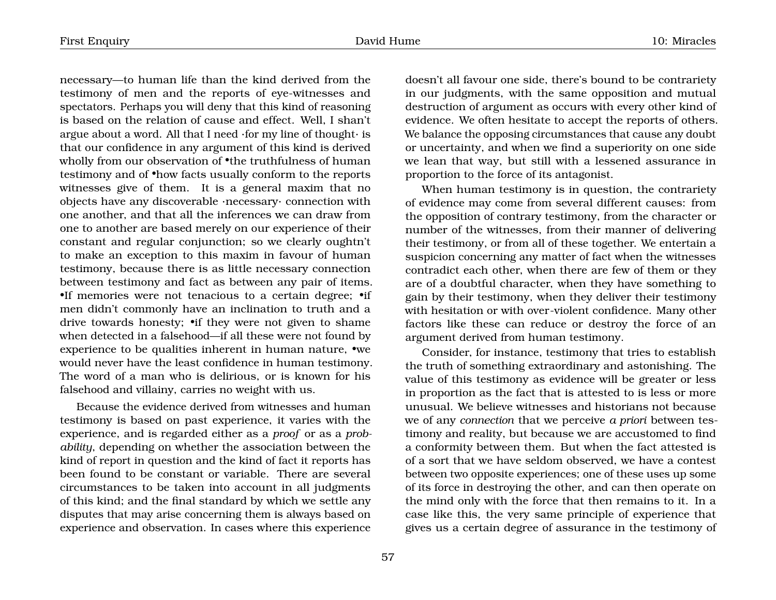necessary—to human life than the kind derived from the testimony of men and the reports of eye-witnesses and spectators. Perhaps you will deny that this kind of reasoning is based on the relation of cause and effect. Well, I shan't argue about a word. All that I need ·for my line of thought· is that our confidence in any argument of this kind is derived wholly from our observation of  $*$ the truthfulness of human testimony and of •how facts usually conform to the reports witnesses give of them. It is a general maxim that no objects have any discoverable ·necessary· connection with one another, and that all the inferences we can draw from one to another are based merely on our experience of their constant and regular conjunction; so we clearly oughtn't to make an exception to this maxim in favour of human testimony, because there is as little necessary connection between testimony and fact as between any pair of items. •If memories were not tenacious to a certain degree; •if men didn't commonly have an inclination to truth and a drive towards honesty; •if they were not given to shame when detected in a falsehood—if all these were not found by experience to be qualities inherent in human nature, •we would never have the least confidence in human testimony. The word of a man who is delirious, or is known for his falsehood and villainy, carries no weight with us.

Because the evidence derived from witnesses and human testimony is based on past experience, it varies with the experience, and is regarded either as a *proof* or as a *probability*, depending on whether the association between the kind of report in question and the kind of fact it reports has been found to be constant or variable. There are several circumstances to be taken into account in all judgments of this kind; and the final standard by which we settle any disputes that may arise concerning them is always based on experience and observation. In cases where this experience

doesn't all favour one side, there's bound to be contrariety in our judgments, with the same opposition and mutual destruction of argument as occurs with every other kind of evidence. We often hesitate to accept the reports of others. We balance the opposing circumstances that cause any doubt or uncertainty, and when we find a superiority on one side we lean that way, but still with a lessened assurance in proportion to the force of its antagonist.

When human testimony is in question, the contrariety of evidence may come from several different causes: from the opposition of contrary testimony, from the character or number of the witnesses, from their manner of delivering their testimony, or from all of these together. We entertain a suspicion concerning any matter of fact when the witnesses contradict each other, when there are few of them or they are of a doubtful character, when they have something to gain by their testimony, when they deliver their testimony with hesitation or with over-violent confidence. Many other factors like these can reduce or destroy the force of an argument derived from human testimony.

Consider, for instance, testimony that tries to establish the truth of something extraordinary and astonishing. The value of this testimony as evidence will be greater or less in proportion as the fact that is attested to is less or more unusual. We believe witnesses and historians not because we of any *connection* that we perceive *a priori* between testimony and reality, but because we are accustomed to find a conformity between them. But when the fact attested is of a sort that we have seldom observed, we have a contest between two opposite experiences; one of these uses up some of its force in destroying the other, and can then operate on the mind only with the force that then remains to it. In a case like this, the very same principle of experience that gives us a certain degree of assurance in the testimony of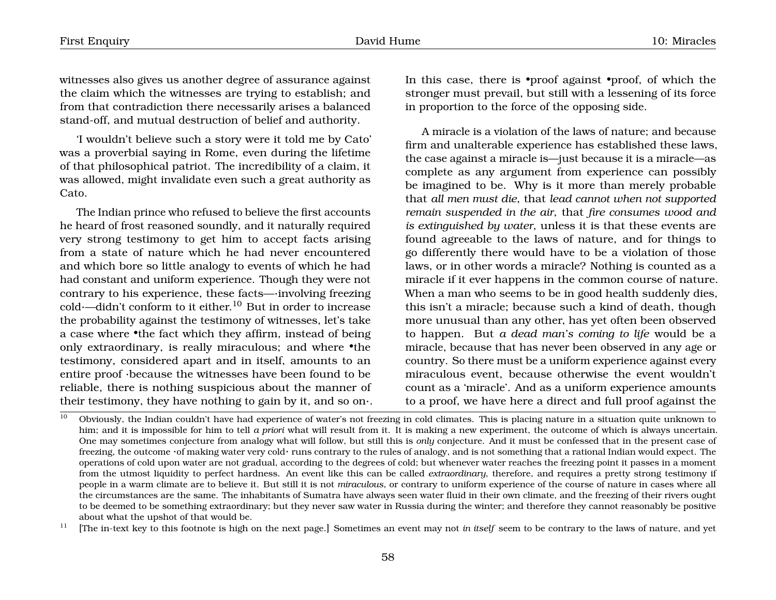witnesses also gives us another degree of assurance against the claim which the witnesses are trying to establish; and from that contradiction there necessarily arises a balanced stand-off, and mutual destruction of belief and authority.

'I wouldn't believe such a story were it told me by Cato' was a proverbial saying in Rome, even during the lifetime of that philosophical patriot. The incredibility of a claim, it was allowed, might invalidate even such a great authority as Cato.

The Indian prince who refused to believe the first accounts he heard of frost reasoned soundly, and it naturally required very strong testimony to get him to accept facts arising from a state of nature which he had never encountered and which bore so little analogy to events of which he had had constant and uniform experience. Though they were not contrary to his experience, these facts—·involving freezing  $\text{cold}$ —didn't conform to it either.<sup>[10](#page-59-0)</sup> But in order to increase the probability against the testimony of witnesses, let's take a case where •the fact which they affirm, instead of being only extraordinary, is really miraculous; and where •the testimony, considered apart and in itself, amounts to an entire proof ·because the witnesses have been found to be reliable, there is nothing suspicious about the manner of their testimony, they have nothing to gain by it, and so on·. In this case, there is •proof against •proof, of which the stronger must prevail, but still with a lessening of its force in proportion to the force of the opposing side.

A miracle is a violation of the laws of nature; and because firm and unalterable experience has established these laws, the case against a miracle is—just because it is a miracle—as complete as any argument from experience can possibly be imagined to be. Why is it more than merely probable that *all men must die*, that *lead cannot when not supported remain suspended in the air*, that *fire consumes wood and is extinguished by water*, unless it is that these events are found agreeable to the laws of nature, and for things to go differently there would have to be a violation of those laws, or in other words a miracle? Nothing is counted as a miracle if it ever happens in the common course of nature. When a man who seems to be in good health suddenly dies, this isn't a miracle; because such a kind of death, though more unusual than any other, has yet often been observed to happen. But *a dead man's coming to life* would be a miracle, because that has never been observed in any age or country. So there must be a uniform experience against every miraculous event, because otherwise the event wouldn't count as a 'miracle'. And as a uniform experience amounts to a proof, we have here a direct and full proof against the

<span id="page-59-1"></span><sup>11</sup> [The in-text key to this footnote is high on the next page.] Sometimes an event may not *in itself* seem to be contrary to the laws of nature, and yet

<span id="page-59-0"></span><sup>&</sup>lt;sup>10</sup> Obviously, the Indian couldn't have had experience of water's not freezing in cold climates. This is placing nature in a situation quite unknown to him; and it is impossible for him to tell *a priori* what will result from it. It is making a new experiment, the outcome of which is always uncertain. One may sometimes conjecture from analogy what will follow, but still this is *only* conjecture. And it must be confessed that in the present case of freezing, the outcome ·of making water very cold· runs contrary to the rules of analogy, and is not something that a rational Indian would expect. The operations of cold upon water are not gradual, according to the degrees of cold; but whenever water reaches the freezing point it passes in a moment from the utmost liquidity to perfect hardness. An event like this can be called *extraordinary*, therefore, and requires a pretty strong testimony if people in a warm climate are to believe it. But still it is not *miraculous*, or contrary to uniform experience of the course of nature in cases where all the circumstances are the same. The inhabitants of Sumatra have always seen water fluid in their own climate, and the freezing of their rivers ought to be deemed to be something extraordinary; but they never saw water in Russia during the winter; and therefore they cannot reasonably be positive about what the upshot of that would be.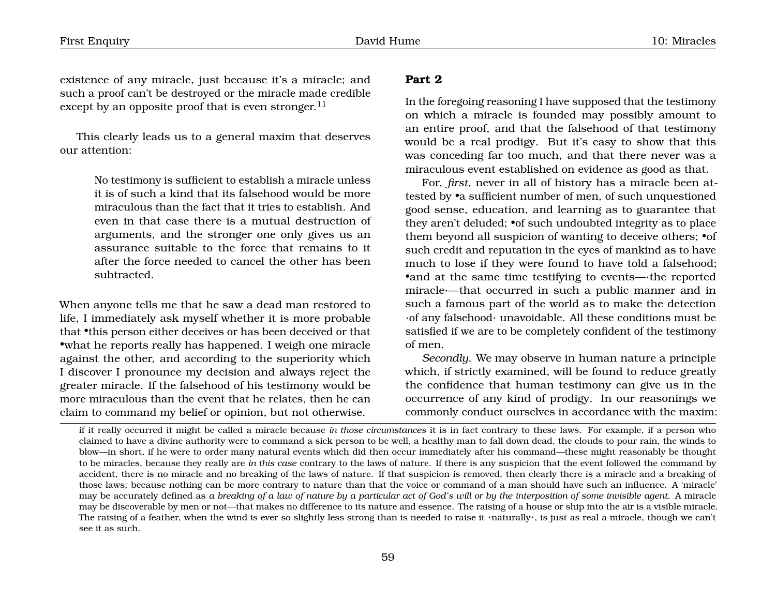existence of any miracle, just because it's a miracle; and such a proof can't be destroyed or the miracle made credible except by an opposite proof that is even stronger.<sup>[11](#page-59-1)</sup>

This clearly leads us to a general maxim that deserves our attention:

> No testimony is sufficient to establish a miracle unless it is of such a kind that its falsehood would be more miraculous than the fact that it tries to establish. And even in that case there is a mutual destruction of arguments, and the stronger one only gives us an assurance suitable to the force that remains to it after the force needed to cancel the other has been subtracted.

When anyone tells me that he saw a dead man restored to life, I immediately ask myself whether it is more probable that •this person either deceives or has been deceived or that •what he reports really has happened. I weigh one miracle against the other, and according to the superiority which I discover I pronounce my decision and always reject the greater miracle. If the falsehood of his testimony would be more miraculous than the event that he relates, then he can claim to command my belief or opinion, but not otherwise.

### **Part 2**

In the foregoing reasoning I have supposed that the testimony on which a miracle is founded may possibly amount to an entire proof, and that the falsehood of that testimony would be a real prodigy. But it's easy to show that this was conceding far too much, and that there never was a miraculous event established on evidence as good as that.

For, *first*, never in all of history has a miracle been attested by •a sufficient number of men, of such unquestioned good sense, education, and learning as to guarantee that they aren't deluded; •of such undoubted integrity as to place them beyond all suspicion of wanting to deceive others;  $\bullet$ of such credit and reputation in the eyes of mankind as to have much to lose if they were found to have told a falsehood; •and at the same time testifying to events—·the reported miracle·—that occurred in such a public manner and in such a famous part of the world as to make the detection ·of any falsehood· unavoidable. All these conditions must be satisfied if we are to be completely confident of the testimony of men.

*Secondly*. We may observe in human nature a principle which, if strictly examined, will be found to reduce greatly the confidence that human testimony can give us in the occurrence of any kind of prodigy. In our reasonings we commonly conduct ourselves in accordance with the maxim:

if it really occurred it might be called a miracle because *in those circumstances* it is in fact contrary to these laws. For example, if a person who claimed to have a divine authority were to command a sick person to be well, a healthy man to fall down dead, the clouds to pour rain, the winds to blow—in short, if he were to order many natural events which did then occur immediately after his command—these might reasonably be thought to be miracles, because they really are *in this case* contrary to the laws of nature. If there is any suspicion that the event followed the command by accident, there is no miracle and no breaking of the laws of nature. If that suspicion is removed, then clearly there is a miracle and a breaking of those laws; because nothing can be more contrary to nature than that the voice or command of a man should have such an influence. A 'miracle' may be accurately defined as *a breaking of a law of nature by a particular act of God's will or by the interposition of some invisible agent*. A miracle may be discoverable by men or not—that makes no difference to its nature and essence. The raising of a house or ship into the air is a visible miracle. The raising of a feather, when the wind is ever so slightly less strong than is needed to raise it ·naturally·, is just as real a miracle, though we can't see it as such.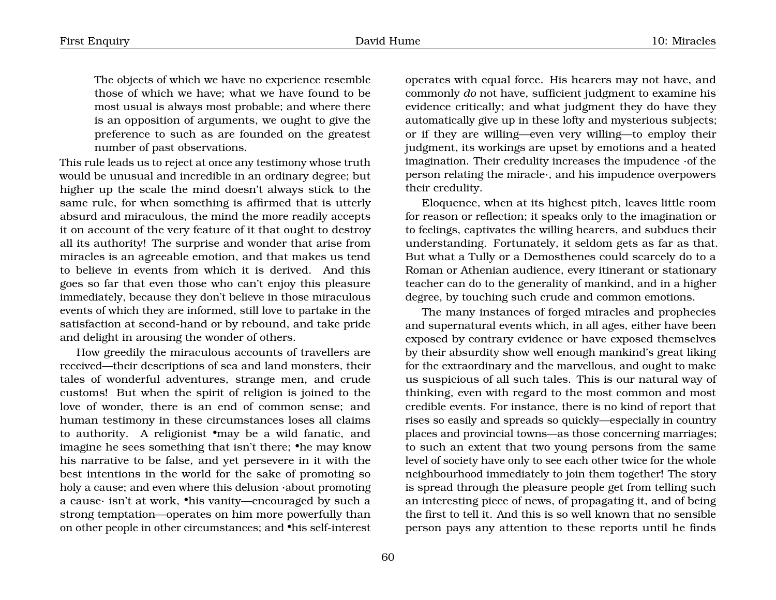The objects of which we have no experience resemble those of which we have; what we have found to be most usual is always most probable; and where there is an opposition of arguments, we ought to give the preference to such as are founded on the greatest number of past observations.

This rule leads us to reject at once any testimony whose truth would be unusual and incredible in an ordinary degree; but higher up the scale the mind doesn't always stick to the same rule, for when something is affirmed that is utterly absurd and miraculous, the mind the more readily accepts it on account of the very feature of it that ought to destroy all its authority! The surprise and wonder that arise from miracles is an agreeable emotion, and that makes us tend to believe in events from which it is derived. And this goes so far that even those who can't enjoy this pleasure immediately, because they don't believe in those miraculous events of which they are informed, still love to partake in the satisfaction at second-hand or by rebound, and take pride and delight in arousing the wonder of others.

How greedily the miraculous accounts of travellers are received—their descriptions of sea and land monsters, their tales of wonderful adventures, strange men, and crude customs! But when the spirit of religion is joined to the love of wonder, there is an end of common sense; and human testimony in these circumstances loses all claims to authority. A religionist •may be a wild fanatic, and imagine he sees something that isn't there; •he may know his narrative to be false, and yet persevere in it with the best intentions in the world for the sake of promoting so holy a cause; and even where this delusion ·about promoting a cause· isn't at work, •his vanity—encouraged by such a strong temptation—operates on him more powerfully than on other people in other circumstances; and •his self-interest operates with equal force. His hearers may not have, and commonly *do* not have, sufficient judgment to examine his evidence critically; and what judgment they do have they automatically give up in these lofty and mysterious subjects; or if they are willing—even very willing—to employ their judgment, its workings are upset by emotions and a heated imagination. Their credulity increases the impudence ·of the person relating the miracle·, and his impudence overpowers their credulity.

Eloquence, when at its highest pitch, leaves little room for reason or reflection; it speaks only to the imagination or to feelings, captivates the willing hearers, and subdues their understanding. Fortunately, it seldom gets as far as that. But what a Tully or a Demosthenes could scarcely do to a Roman or Athenian audience, every itinerant or stationary teacher can do to the generality of mankind, and in a higher degree, by touching such crude and common emotions.

The many instances of forged miracles and prophecies and supernatural events which, in all ages, either have been exposed by contrary evidence or have exposed themselves by their absurdity show well enough mankind's great liking for the extraordinary and the marvellous, and ought to make us suspicious of all such tales. This is our natural way of thinking, even with regard to the most common and most credible events. For instance, there is no kind of report that rises so easily and spreads so quickly—especially in country places and provincial towns—as those concerning marriages; to such an extent that two young persons from the same level of society have only to see each other twice for the whole neighbourhood immediately to join them together! The story is spread through the pleasure people get from telling such an interesting piece of news, of propagating it, and of being the first to tell it. And this is so well known that no sensible person pays any attention to these reports until he finds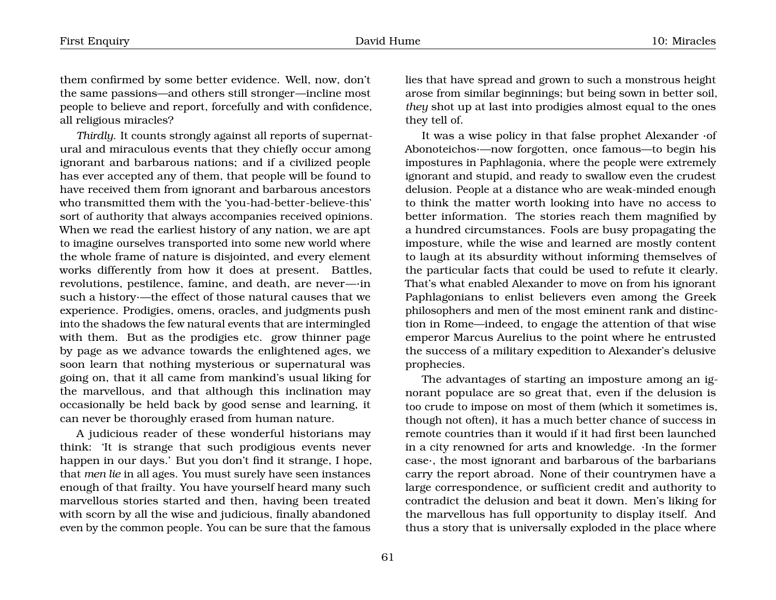them confirmed by some better evidence. Well, now, don't the same passions—and others still stronger—incline most people to believe and report, forcefully and with confidence, all religious miracles?

*Thirdly*. It counts strongly against all reports of supernatural and miraculous events that they chiefly occur among ignorant and barbarous nations; and if a civilized people has ever accepted any of them, that people will be found to have received them from ignorant and barbarous ancestors who transmitted them with the 'you-had-better-believe-this' sort of authority that always accompanies received opinions. When we read the earliest history of any nation, we are apt to imagine ourselves transported into some new world where the whole frame of nature is disjointed, and every element works differently from how it does at present. Battles, revolutions, pestilence, famine, and death, are never—·in such a history·—the effect of those natural causes that we experience. Prodigies, omens, oracles, and judgments push into the shadows the few natural events that are intermingled with them. But as the prodigies etc. grow thinner page by page as we advance towards the enlightened ages, we soon learn that nothing mysterious or supernatural was going on, that it all came from mankind's usual liking for the marvellous, and that although this inclination may occasionally be held back by good sense and learning, it can never be thoroughly erased from human nature.

A judicious reader of these wonderful historians may think: 'It is strange that such prodigious events never happen in our days.' But you don't find it strange, I hope, that *men lie* in all ages. You must surely have seen instances enough of that frailty. You have yourself heard many such marvellous stories started and then, having been treated with scorn by all the wise and judicious, finally abandoned even by the common people. You can be sure that the famous

lies that have spread and grown to such a monstrous height arose from similar beginnings; but being sown in better soil, *they* shot up at last into prodigies almost equal to the ones they tell of.

It was a wise policy in that false prophet Alexander ·of Abonoteichos·—now forgotten, once famous—to begin his impostures in Paphlagonia, where the people were extremely ignorant and stupid, and ready to swallow even the crudest delusion. People at a distance who are weak-minded enough to think the matter worth looking into have no access to better information. The stories reach them magnified by a hundred circumstances. Fools are busy propagating the imposture, while the wise and learned are mostly content to laugh at its absurdity without informing themselves of the particular facts that could be used to refute it clearly. That's what enabled Alexander to move on from his ignorant Paphlagonians to enlist believers even among the Greek philosophers and men of the most eminent rank and distinction in Rome—indeed, to engage the attention of that wise emperor Marcus Aurelius to the point where he entrusted the success of a military expedition to Alexander's delusive prophecies.

The advantages of starting an imposture among an ignorant populace are so great that, even if the delusion is too crude to impose on most of them (which it sometimes is, though not often), it has a much better chance of success in remote countries than it would if it had first been launched in a city renowned for arts and knowledge. ·In the former case·, the most ignorant and barbarous of the barbarians carry the report abroad. None of their countrymen have a large correspondence, or sufficient credit and authority to contradict the delusion and beat it down. Men's liking for the marvellous has full opportunity to display itself. And thus a story that is universally exploded in the place where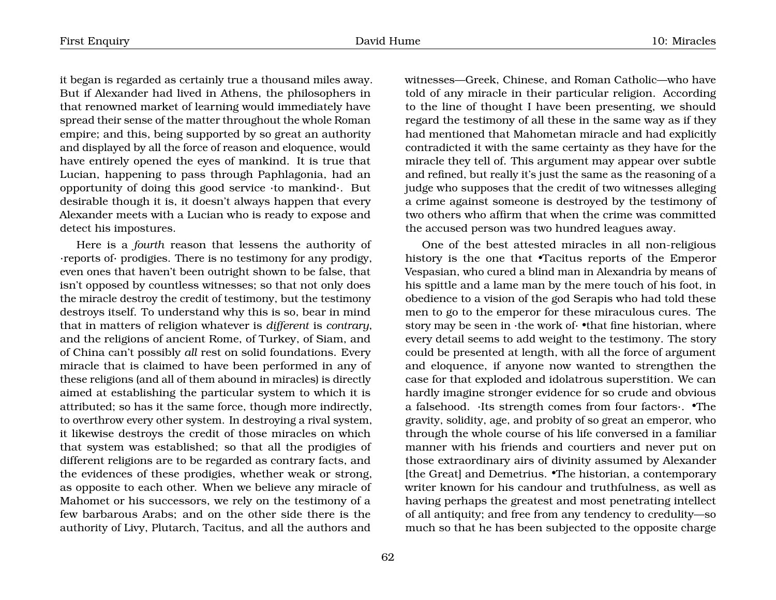it began is regarded as certainly true a thousand miles away. But if Alexander had lived in Athens, the philosophers in that renowned market of learning would immediately have spread their sense of the matter throughout the whole Roman empire; and this, being supported by so great an authority and displayed by all the force of reason and eloquence, would have entirely opened the eyes of mankind. It is true that Lucian, happening to pass through Paphlagonia, had an opportunity of doing this good service ·to mankind·. But desirable though it is, it doesn't always happen that every Alexander meets with a Lucian who is ready to expose and detect his impostures.

Here is a *fourth* reason that lessens the authority of ·reports of· prodigies. There is no testimony for any prodigy, even ones that haven't been outright shown to be false, that isn't opposed by countless witnesses; so that not only does the miracle destroy the credit of testimony, but the testimony destroys itself. To understand why this is so, bear in mind that in matters of religion whatever is *different* is *contrary*, and the religions of ancient Rome, of Turkey, of Siam, and of China can't possibly *all* rest on solid foundations. Every miracle that is claimed to have been performed in any of these religions (and all of them abound in miracles) is directly aimed at establishing the particular system to which it is attributed; so has it the same force, though more indirectly, to overthrow every other system. In destroying a rival system, it likewise destroys the credit of those miracles on which that system was established; so that all the prodigies of different religions are to be regarded as contrary facts, and the evidences of these prodigies, whether weak or strong, as opposite to each other. When we believe any miracle of Mahomet or his successors, we rely on the testimony of a few barbarous Arabs; and on the other side there is the authority of Livy, Plutarch, Tacitus, and all the authors and

witnesses—Greek, Chinese, and Roman Catholic—who have told of any miracle in their particular religion. According to the line of thought I have been presenting, we should regard the testimony of all these in the same way as if they had mentioned that Mahometan miracle and had explicitly contradicted it with the same certainty as they have for the miracle they tell of. This argument may appear over subtle and refined, but really it's just the same as the reasoning of a judge who supposes that the credit of two witnesses alleging a crime against someone is destroyed by the testimony of two others who affirm that when the crime was committed the accused person was two hundred leagues away.

One of the best attested miracles in all non-religious history is the one that •Tacitus reports of the Emperor Vespasian, who cured a blind man in Alexandria by means of his spittle and a lame man by the mere touch of his foot, in obedience to a vision of the god Serapis who had told these men to go to the emperor for these miraculous cures. The story may be seen in  $\cdot$ the work of $\cdot$  •that fine historian, where every detail seems to add weight to the testimony. The story could be presented at length, with all the force of argument and eloquence, if anyone now wanted to strengthen the case for that exploded and idolatrous superstition. We can hardly imagine stronger evidence for so crude and obvious a falsehood. ·Its strength comes from four factors·. •The gravity, solidity, age, and probity of so great an emperor, who through the whole course of his life conversed in a familiar manner with his friends and courtiers and never put on those extraordinary airs of divinity assumed by Alexander [the Great] and Demetrius. •The historian, a contemporary writer known for his candour and truthfulness, as well as having perhaps the greatest and most penetrating intellect of all antiquity; and free from any tendency to credulity—so much so that he has been subjected to the opposite charge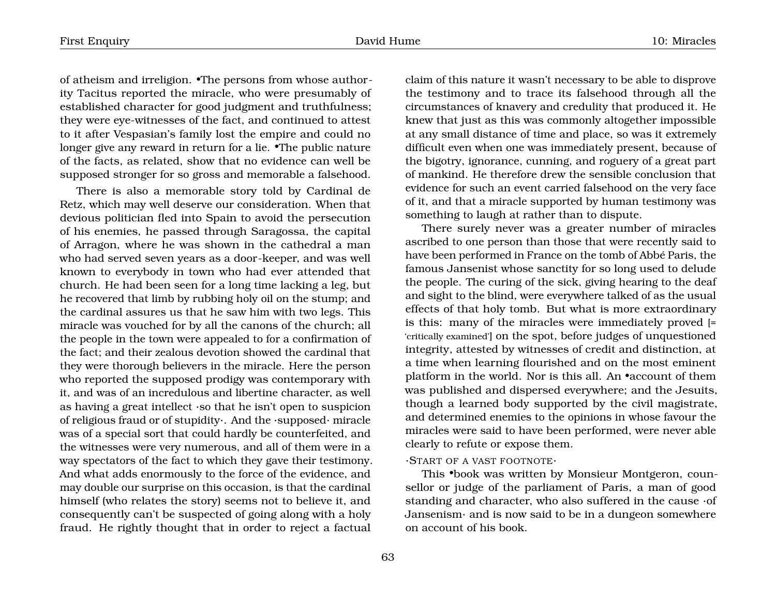of atheism and irreligion. •The persons from whose authority Tacitus reported the miracle, who were presumably of established character for good judgment and truthfulness; they were eye-witnesses of the fact, and continued to attest to it after Vespasian's family lost the empire and could no longer give any reward in return for a lie. •The public nature of the facts, as related, show that no evidence can well be supposed stronger for so gross and memorable a falsehood.

There is also a memorable story told by Cardinal de Retz, which may well deserve our consideration. When that devious politician fled into Spain to avoid the persecution of his enemies, he passed through Saragossa, the capital of Arragon, where he was shown in the cathedral a man who had served seven years as a door-keeper, and was well known to everybody in town who had ever attended that church. He had been seen for a long time lacking a leg, but he recovered that limb by rubbing holy oil on the stump; and the cardinal assures us that he saw him with two legs. This miracle was vouched for by all the canons of the church; all the people in the town were appealed to for a confirmation of the fact; and their zealous devotion showed the cardinal that they were thorough believers in the miracle. Here the person who reported the supposed prodigy was contemporary with it, and was of an incredulous and libertine character, as well as having a great intellect ·so that he isn't open to suspicion of religious fraud or of stupidity·. And the ·supposed· miracle was of a special sort that could hardly be counterfeited, and the witnesses were very numerous, and all of them were in a way spectators of the fact to which they gave their testimony. And what adds enormously to the force of the evidence, and may double our surprise on this occasion, is that the cardinal himself (who relates the story) seems not to believe it, and consequently can't be suspected of going along with a holy fraud. He rightly thought that in order to reject a factual

claim of this nature it wasn't necessary to be able to disprove the testimony and to trace its falsehood through all the circumstances of knavery and credulity that produced it. He knew that just as this was commonly altogether impossible at any small distance of time and place, so was it extremely difficult even when one was immediately present, because of the bigotry, ignorance, cunning, and roguery of a great part of mankind. He therefore drew the sensible conclusion that evidence for such an event carried falsehood on the very face of it, and that a miracle supported by human testimony was something to laugh at rather than to dispute.

There surely never was a greater number of miracles ascribed to one person than those that were recently said to have been performed in France on the tomb of Abbé Paris, the famous Jansenist whose sanctity for so long used to delude the people. The curing of the sick, giving hearing to the deaf and sight to the blind, were everywhere talked of as the usual effects of that holy tomb. But what is more extraordinary is this: many of the miracles were immediately proved [= 'critically examined'] on the spot, before judges of unquestioned integrity, attested by witnesses of credit and distinction, at a time when learning flourished and on the most eminent platform in the world. Nor is this all. An •account of them was published and dispersed everywhere; and the Jesuits, though a learned body supported by the civil magistrate, and determined enemies to the opinions in whose favour the miracles were said to have been performed, were never able clearly to refute or expose them.

#### $\cdot$ START OF A VAST FOOTNOTE $\cdot$

This •book was written by Monsieur Montgeron, counsellor or judge of the parliament of Paris, a man of good standing and character, who also suffered in the cause ·of Jansenism· and is now said to be in a dungeon somewhere on account of his book.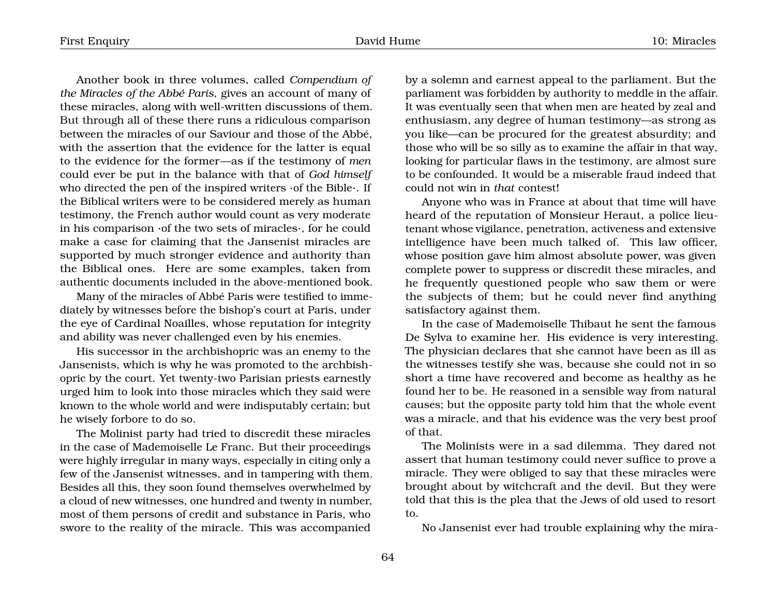Another book in three volumes, called *Compendium of the Miracles of the Abbé Paris*, gives an account of many of these miracles, along with well-written discussions of them. But through all of these there runs a ridiculous comparison between the miracles of our Saviour and those of the Abbé, with the assertion that the evidence for the latter is equal to the evidence for the former—as if the testimony of *men* could ever be put in the balance with that of *God himself* who directed the pen of the inspired writers ·of the Bible·. If the Biblical writers were to be considered merely as human testimony, the French author would count as very moderate in his comparison ·of the two sets of miracles·, for he could make a case for claiming that the Jansenist miracles are supported by much stronger evidence and authority than the Biblical ones. Here are some examples, taken from authentic documents included in the above-mentioned book.

Many of the miracles of Abbé Paris were testified to immediately by witnesses before the bishop's court at Paris, under the eye of Cardinal Noailles, whose reputation for integrity and ability was never challenged even by his enemies.

His successor in the archbishopric was an enemy to the Jansenists, which is why he was promoted to the archbishopric by the court. Yet twenty-two Parisian priests earnestly urged him to look into those miracles which they said were known to the whole world and were indisputably certain; but he wisely forbore to do so.

The Molinist party had tried to discredit these miracles in the case of Mademoiselle Le Franc. But their proceedings were highly irregular in many ways, especially in citing only a few of the Jansenist witnesses, and in tampering with them. Besides all this, they soon found themselves overwhelmed by a cloud of new witnesses, one hundred and twenty in number, most of them persons of credit and substance in Paris, who swore to the reality of the miracle. This was accompanied

by a solemn and earnest appeal to the parliament. But the parliament was forbidden by authority to meddle in the affair. It was eventually seen that when men are heated by zeal and enthusiasm, any degree of human testimony—as strong as you like—can be procured for the greatest absurdity; and those who will be so silly as to examine the affair in that way, looking for particular flaws in the testimony, are almost sure to be confounded. It would be a miserable fraud indeed that could not win in *that* contest!

Anyone who was in France at about that time will have heard of the reputation of Monsieur Heraut, a police lieutenant whose vigilance, penetration, activeness and extensive intelligence have been much talked of. This law officer, whose position gave him almost absolute power, was given complete power to suppress or discredit these miracles, and he frequently questioned people who saw them or were the subjects of them; but he could never find anything satisfactory against them.

In the case of Mademoiselle Thibaut he sent the famous De Sylva to examine her. His evidence is very interesting. The physician declares that she cannot have been as ill as the witnesses testify she was, because she could not in so short a time have recovered and become as healthy as he found her to be. He reasoned in a sensible way from natural causes; but the opposite party told him that the whole event was a miracle, and that his evidence was the very best proof of that.

The Molinists were in a sad dilemma. They dared not assert that human testimony could never suffice to prove a miracle. They were obliged to say that these miracles were brought about by witchcraft and the devil. But they were told that this is the plea that the Jews of old used to resort to.

No Jansenist ever had trouble explaining why the mira-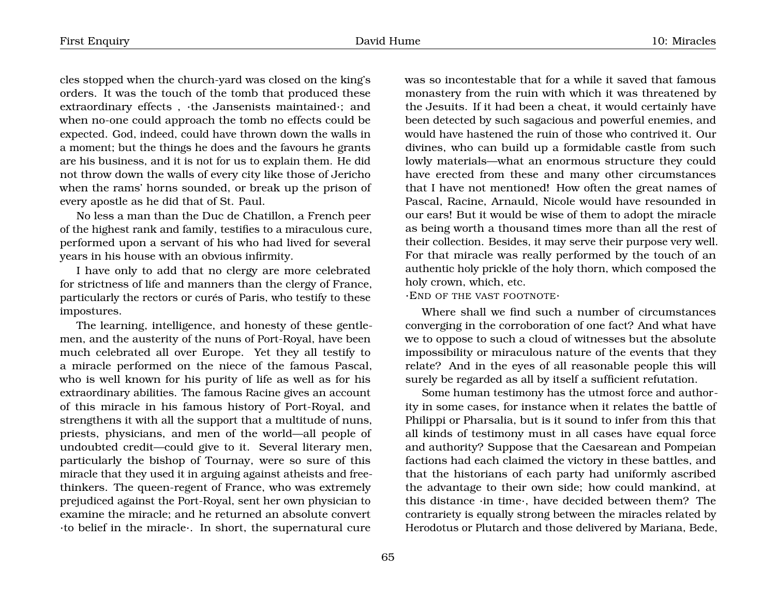cles stopped when the church-yard was closed on the king's orders. It was the touch of the tomb that produced these extraordinary effects , ·the Jansenists maintained·; and when no-one could approach the tomb no effects could be expected. God, indeed, could have thrown down the walls in a moment; but the things he does and the favours he grants are his business, and it is not for us to explain them. He did not throw down the walls of every city like those of Jericho when the rams' horns sounded, or break up the prison of every apostle as he did that of St. Paul.

No less a man than the Duc de Chatillon, a French peer of the highest rank and family, testifies to a miraculous cure, performed upon a servant of his who had lived for several years in his house with an obvious infirmity.

I have only to add that no clergy are more celebrated for strictness of life and manners than the clergy of France, particularly the rectors or curés of Paris, who testify to these impostures.

The learning, intelligence, and honesty of these gentlemen, and the austerity of the nuns of Port-Royal, have been much celebrated all over Europe. Yet they all testify to a miracle performed on the niece of the famous Pascal, who is well known for his purity of life as well as for his extraordinary abilities. The famous Racine gives an account of this miracle in his famous history of Port-Royal, and strengthens it with all the support that a multitude of nuns, priests, physicians, and men of the world—all people of undoubted credit—could give to it. Several literary men, particularly the bishop of Tournay, were so sure of this miracle that they used it in arguing against atheists and freethinkers. The queen-regent of France, who was extremely prejudiced against the Port-Royal, sent her own physician to examine the miracle; and he returned an absolute convert ·to belief in the miracle·. In short, the supernatural cure

was so incontestable that for a while it saved that famous monastery from the ruin with which it was threatened by the Jesuits. If it had been a cheat, it would certainly have been detected by such sagacious and powerful enemies, and would have hastened the ruin of those who contrived it. Our divines, who can build up a formidable castle from such lowly materials—what an enormous structure they could have erected from these and many other circumstances that I have not mentioned! How often the great names of Pascal, Racine, Arnauld, Nicole would have resounded in our ears! But it would be wise of them to adopt the miracle as being worth a thousand times more than all the rest of their collection. Besides, it may serve their purpose very well. For that miracle was really performed by the touch of an authentic holy prickle of the holy thorn, which composed the holy crown, which, etc.

#### ·END OF THE VAST FOOTNOTE·

Where shall we find such a number of circumstances converging in the corroboration of one fact? And what have we to oppose to such a cloud of witnesses but the absolute impossibility or miraculous nature of the events that they relate? And in the eyes of all reasonable people this will surely be regarded as all by itself a sufficient refutation.

Some human testimony has the utmost force and authority in some cases, for instance when it relates the battle of Philippi or Pharsalia, but is it sound to infer from this that all kinds of testimony must in all cases have equal force and authority? Suppose that the Caesarean and Pompeian factions had each claimed the victory in these battles, and that the historians of each party had uniformly ascribed the advantage to their own side; how could mankind, at this distance ·in time·, have decided between them? The contrariety is equally strong between the miracles related by Herodotus or Plutarch and those delivered by Mariana, Bede,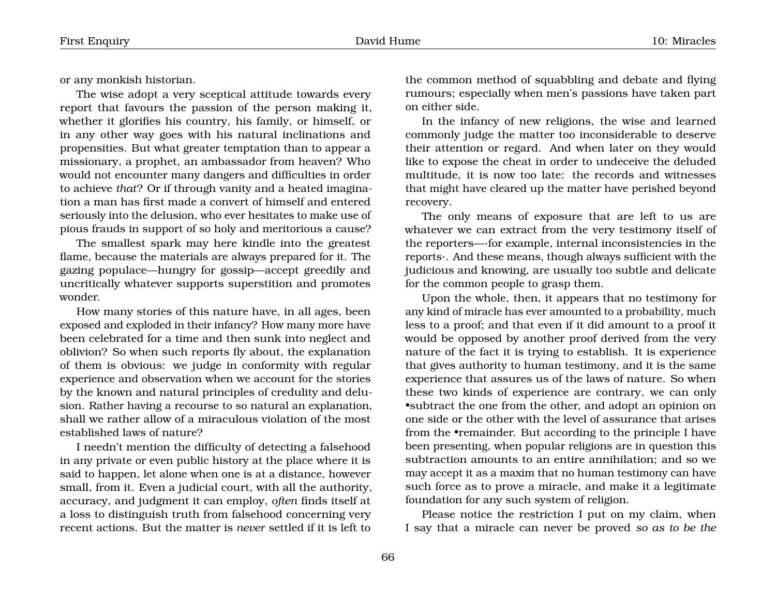or any monkish historian.

The wise adopt a very sceptical attitude towards every report that favours the passion of the person making it, whether it glorifies his country, his family, or himself, or in any other way goes with his natural inclinations and propensities. But what greater temptation than to appear a missionary, a prophet, an ambassador from heaven? Who would not encounter many dangers and difficulties in order to achieve *that*? Or if through vanity and a heated imagination a man has first made a convert of himself and entered seriously into the delusion, who ever hesitates to make use of pious frauds in support of so holy and meritorious a cause?

The smallest spark may here kindle into the greatest flame, because the materials are always prepared for it. The gazing populace—hungry for gossip—accept greedily and uncritically whatever supports superstition and promotes wonder.

How many stories of this nature have, in all ages, been exposed and exploded in their infancy? How many more have been celebrated for a time and then sunk into neglect and oblivion? So when such reports fly about, the explanation of them is obvious: we judge in conformity with regular experience and observation when we account for the stories by the known and natural principles of credulity and delusion. Rather having a recourse to so natural an explanation, shall we rather allow of a miraculous violation of the most established laws of nature?

I needn't mention the difficulty of detecting a falsehood in any private or even public history at the place where it is said to happen, let alone when one is at a distance, however small, from it. Even a judicial court, with all the authority, accuracy, and judgment it can employ, *often* finds itself at a loss to distinguish truth from falsehood concerning very recent actions. But the matter is *never* settled if it is left to

the common method of squabbling and debate and flying rumours; especially when men's passions have taken part on either side.

In the infancy of new religions, the wise and learned commonly judge the matter too inconsiderable to deserve their attention or regard. And when later on they would like to expose the cheat in order to undeceive the deluded multitude, it is now too late: the records and witnesses that might have cleared up the matter have perished beyond recovery.

The only means of exposure that are left to us are whatever we can extract from the very testimony itself of the reporters—·for example, internal inconsistencies in the reports·. And these means, though always sufficient with the judicious and knowing, are usually too subtle and delicate for the common people to grasp them.

Upon the whole, then, it appears that no testimony for any kind of miracle has ever amounted to a probability, much less to a proof; and that even if it did amount to a proof it would be opposed by another proof derived from the very nature of the fact it is trying to establish. It is experience that gives authority to human testimony, and it is the same experience that assures us of the laws of nature. So when these two kinds of experience are contrary, we can only •subtract the one from the other, and adopt an opinion on one side or the other with the level of assurance that arises from the •remainder. But according to the principle I have been presenting, when popular religions are in question this subtraction amounts to an entire annihilation; and so we may accept it as a maxim that no human testimony can have such force as to prove a miracle, and make it a legitimate foundation for any such system of religion.

Please notice the restriction I put on my claim, when I say that a miracle can never be proved *so as to be the*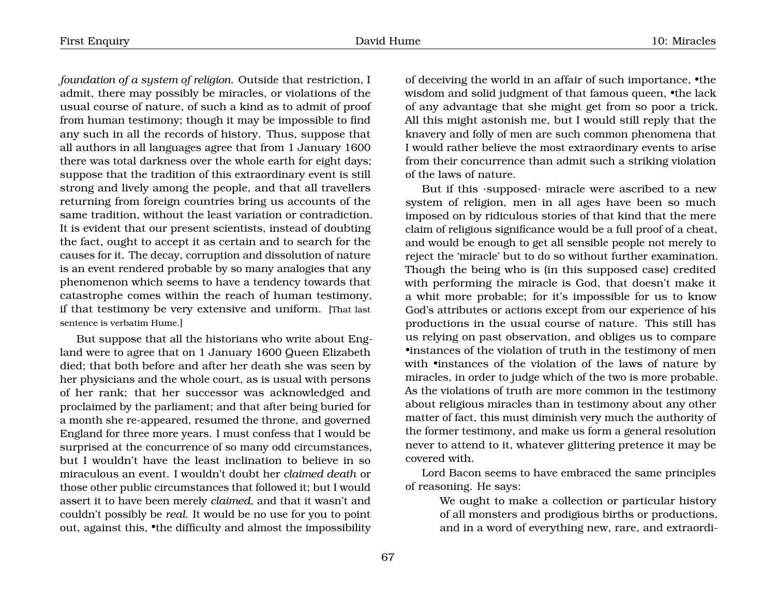*foundation of a system of religion*. Outside that restriction, I admit, there may possibly be miracles, or violations of the usual course of nature, of such a kind as to admit of proof from human testimony; though it may be impossible to find any such in all the records of history. Thus, suppose that all authors in all languages agree that from 1 January 1600 there was total darkness over the whole earth for eight days; suppose that the tradition of this extraordinary event is still strong and lively among the people, and that all travellers returning from foreign countries bring us accounts of the same tradition, without the least variation or contradiction. It is evident that our present scientists, instead of doubting the fact, ought to accept it as certain and to search for the causes for it. The decay, corruption and dissolution of nature is an event rendered probable by so many analogies that any phenomenon which seems to have a tendency towards that catastrophe comes within the reach of human testimony, if that testimony be very extensive and uniform. [That last sentence is verbatim Hume.]

But suppose that all the historians who write about England were to agree that on 1 January 1600 Queen Elizabeth died; that both before and after her death she was seen by her physicians and the whole court, as is usual with persons of her rank; that her successor was acknowledged and proclaimed by the parliament; and that after being buried for a month she re-appeared, resumed the throne, and governed England for three more years. I must confess that I would be surprised at the concurrence of so many odd circumstances, but I wouldn't have the least inclination to believe in so miraculous an event. I wouldn't doubt her *claimed death* or those other public circumstances that followed it; but I would assert it to have been merely *claimed*, and that it wasn't and couldn't possibly be *real*. It would be no use for you to point out, against this, •the difficulty and almost the impossibility

of deceiving the world in an affair of such importance, •the wisdom and solid judgment of that famous queen, *•the lack* of any advantage that she might get from so poor a trick. All this might astonish me, but I would still reply that the knavery and folly of men are such common phenomena that I would rather believe the most extraordinary events to arise from their concurrence than admit such a striking violation of the laws of nature.

But if this ·supposed· miracle were ascribed to a new system of religion, men in all ages have been so much imposed on by ridiculous stories of that kind that the mere claim of religious significance would be a full proof of a cheat, and would be enough to get all sensible people not merely to reject the 'miracle' but to do so without further examination. Though the being who is (in this supposed case) credited with performing the miracle is God, that doesn't make it a whit more probable; for it's impossible for us to know God's attributes or actions except from our experience of his productions in the usual course of nature. This still has us relying on past observation, and obliges us to compare •instances of the violation of truth in the testimony of men with •instances of the violation of the laws of nature by miracles, in order to judge which of the two is more probable. As the violations of truth are more common in the testimony about religious miracles than in testimony about any other matter of fact, this must diminish very much the authority of the former testimony, and make us form a general resolution never to attend to it, whatever glittering pretence it may be covered with.

Lord Bacon seems to have embraced the same principles of reasoning. He says:

> We ought to make a collection or particular history of all monsters and prodigious births or productions, and in a word of everything new, rare, and extraordi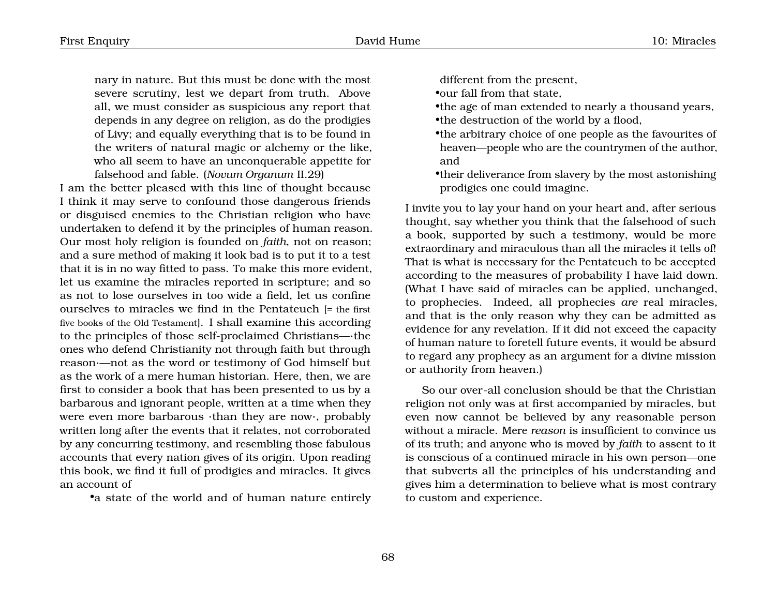nary in nature. But this must be done with the most severe scrutiny, lest we depart from truth. Above all, we must consider as suspicious any report that depends in any degree on religion, as do the prodigies of Livy; and equally everything that is to be found in the writers of natural magic or alchemy or the like, who all seem to have an unconquerable appetite for falsehood and fable. (*Novum Organum* II.29)

I am the better pleased with this line of thought because I think it may serve to confound those dangerous friends or disguised enemies to the Christian religion who have undertaken to defend it by the principles of human reason. Our most holy religion is founded on *faith*, not on reason; and a sure method of making it look bad is to put it to a test that it is in no way fitted to pass. To make this more evident, let us examine the miracles reported in scripture; and so as not to lose ourselves in too wide a field, let us confine ourselves to miracles we find in the Pentateuch [= the first five books of the Old Testament]. I shall examine this according to the principles of those self-proclaimed Christians—·the ones who defend Christianity not through faith but through reason·—not as the word or testimony of God himself but as the work of a mere human historian. Here, then, we are first to consider a book that has been presented to us by a barbarous and ignorant people, written at a time when they were even more barbarous ·than they are now·, probably written long after the events that it relates, not corroborated by any concurring testimony, and resembling those fabulous accounts that every nation gives of its origin. Upon reading this book, we find it full of prodigies and miracles. It gives an account of

•a state of the world and of human nature entirely

different from the present,

•our fall from that state,

•the age of man extended to nearly a thousand years, •the destruction of the world by a flood,

•the arbitrary choice of one people as the favourites of heaven—people who are the countrymen of the author, and

•their deliverance from slavery by the most astonishing prodigies one could imagine.

I invite you to lay your hand on your heart and, after serious thought, say whether you think that the falsehood of such a book, supported by such a testimony, would be more extraordinary and miraculous than all the miracles it tells of! That is what is necessary for the Pentateuch to be accepted according to the measures of probability I have laid down. (What I have said of miracles can be applied, unchanged, to prophecies. Indeed, all prophecies *are* real miracles, and that is the only reason why they can be admitted as evidence for any revelation. If it did not exceed the capacity of human nature to foretell future events, it would be absurd to regard any prophecy as an argument for a divine mission or authority from heaven.)

So our over-all conclusion should be that the Christian religion not only was at first accompanied by miracles, but even now cannot be believed by any reasonable person without a miracle. Mere *reason* is insufficient to convince us of its truth; and anyone who is moved by *faith* to assent to it is conscious of a continued miracle in his own person—one that subverts all the principles of his understanding and gives him a determination to believe what is most contrary to custom and experience.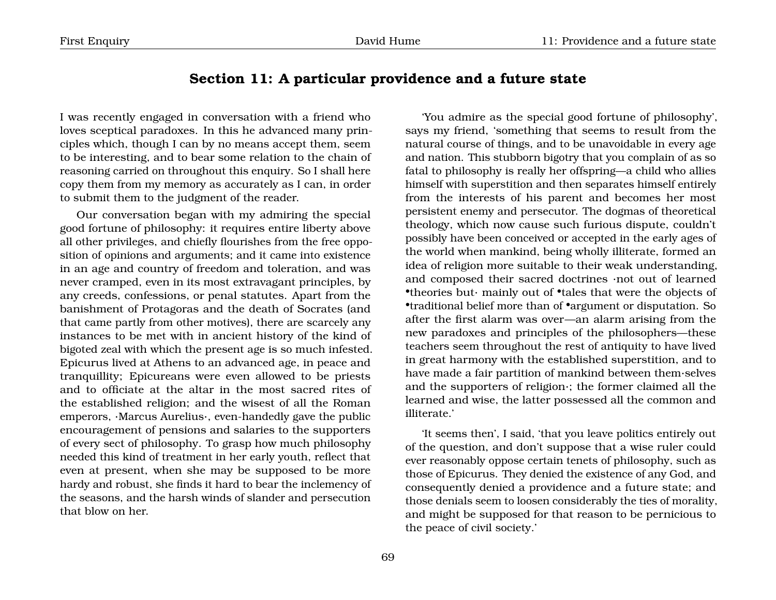## <span id="page-70-0"></span>**Section 11: A particular providence and a future state**

I was recently engaged in conversation with a friend who loves sceptical paradoxes. In this he advanced many principles which, though I can by no means accept them, seem to be interesting, and to bear some relation to the chain of reasoning carried on throughout this enquiry. So I shall here copy them from my memory as accurately as I can, in order to submit them to the judgment of the reader.

Our conversation began with my admiring the special good fortune of philosophy: it requires entire liberty above all other privileges, and chiefly flourishes from the free opposition of opinions and arguments; and it came into existence in an age and country of freedom and toleration, and was never cramped, even in its most extravagant principles, by any creeds, confessions, or penal statutes. Apart from the banishment of Protagoras and the death of Socrates (and that came partly from other motives), there are scarcely any instances to be met with in ancient history of the kind of bigoted zeal with which the present age is so much infested. Epicurus lived at Athens to an advanced age, in peace and tranquillity; Epicureans were even allowed to be priests and to officiate at the altar in the most sacred rites of the established religion; and the wisest of all the Roman emperors, ·Marcus Aurelius·, even-handedly gave the public encouragement of pensions and salaries to the supporters of every sect of philosophy. To grasp how much philosophy needed this kind of treatment in her early youth, reflect that even at present, when she may be supposed to be more hardy and robust, she finds it hard to bear the inclemency of the seasons, and the harsh winds of slander and persecution that blow on her.

'You admire as the special good fortune of philosophy', says my friend, 'something that seems to result from the natural course of things, and to be unavoidable in every age and nation. This stubborn bigotry that you complain of as so fatal to philosophy is really her offspring—a child who allies himself with superstition and then separates himself entirely from the interests of his parent and becomes her most persistent enemy and persecutor. The dogmas of theoretical theology, which now cause such furious dispute, couldn't possibly have been conceived or accepted in the early ages of the world when mankind, being wholly illiterate, formed an idea of religion more suitable to their weak understanding, and composed their sacred doctrines ·not out of learned •theories but· mainly out of •tales that were the objects of •traditional belief more than of •argument or disputation. So after the first alarm was over—an alarm arising from the new paradoxes and principles of the philosophers—these teachers seem throughout the rest of antiquity to have lived in great harmony with the established superstition, and to have made a fair partition of mankind between them·selves and the supporters of religion·; the former claimed all the learned and wise, the latter possessed all the common and illiterate.'

'It seems then', I said, 'that you leave politics entirely out of the question, and don't suppose that a wise ruler could ever reasonably oppose certain tenets of philosophy, such as those of Epicurus. They denied the existence of any God, and consequently denied a providence and a future state; and those denials seem to loosen considerably the ties of morality, and might be supposed for that reason to be pernicious to the peace of civil society.'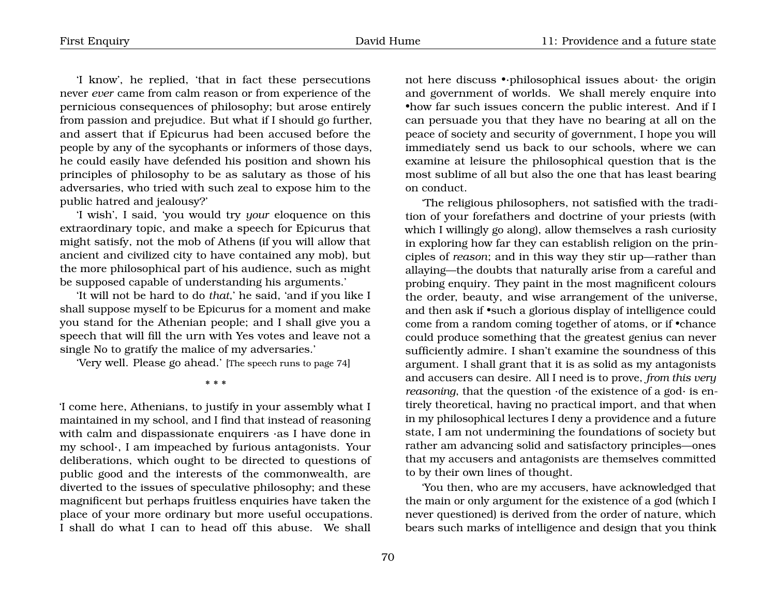'I know', he replied, 'that in fact these persecutions never *ever* came from calm reason or from experience of the pernicious consequences of philosophy; but arose entirely from passion and prejudice. But what if I should go further, and assert that if Epicurus had been accused before the people by any of the sycophants or informers of those days, he could easily have defended his position and shown his principles of philosophy to be as salutary as those of his adversaries, who tried with such zeal to expose him to the public hatred and jealousy?'

'I wish', I said, 'you would try *your* eloquence on this extraordinary topic, and make a speech for Epicurus that might satisfy, not the mob of Athens (if you will allow that ancient and civilized city to have contained any mob), but the more philosophical part of his audience, such as might be supposed capable of understanding his arguments.'

'It will not be hard to do *that*,' he said, 'and if you like I shall suppose myself to be Epicurus for a moment and make you stand for the Athenian people; and I shall give you a speech that will fill the urn with Yes votes and leave not a single No to gratify the malice of my adversaries.'

'Very well. Please go ahead.' [The speech runs to page [74](#page-70-0)]

\* \* \*

'I come here, Athenians, to justify in your assembly what I maintained in my school, and I find that instead of reasoning with calm and dispassionate enquirers ·as I have done in my school·, I am impeached by furious antagonists. Your deliberations, which ought to be directed to questions of public good and the interests of the commonwealth, are diverted to the issues of speculative philosophy; and these magnificent but perhaps fruitless enquiries have taken the place of your more ordinary but more useful occupations. I shall do what I can to head off this abuse. We shall

not here discuss •·philosophical issues about· the origin and government of worlds. We shall merely enquire into •how far such issues concern the public interest. And if I can persuade you that they have no bearing at all on the peace of society and security of government, I hope you will immediately send us back to our schools, where we can examine at leisure the philosophical question that is the most sublime of all but also the one that has least bearing on conduct.

'The religious philosophers, not satisfied with the tradition of your forefathers and doctrine of your priests (with which I willingly go along), allow themselves a rash curiosity in exploring how far they can establish religion on the principles of *reason*; and in this way they stir up—rather than allaying—the doubts that naturally arise from a careful and probing enquiry. They paint in the most magnificent colours the order, beauty, and wise arrangement of the universe, and then ask if •such a glorious display of intelligence could come from a random coming together of atoms, or if •chance could produce something that the greatest genius can never sufficiently admire. I shan't examine the soundness of this argument. I shall grant that it is as solid as my antagonists and accusers can desire. All I need is to prove, *from this very reasoning*, that the question  $\cdot$  of the existence of a god $\cdot$  is entirely theoretical, having no practical import, and that when in my philosophical lectures I deny a providence and a future state, I am not undermining the foundations of society but rather am advancing solid and satisfactory principles—ones that my accusers and antagonists are themselves committed to by their own lines of thought.

'You then, who are my accusers, have acknowledged that the main or only argument for the existence of a god (which I never questioned) is derived from the order of nature, which bears such marks of intelligence and design that you think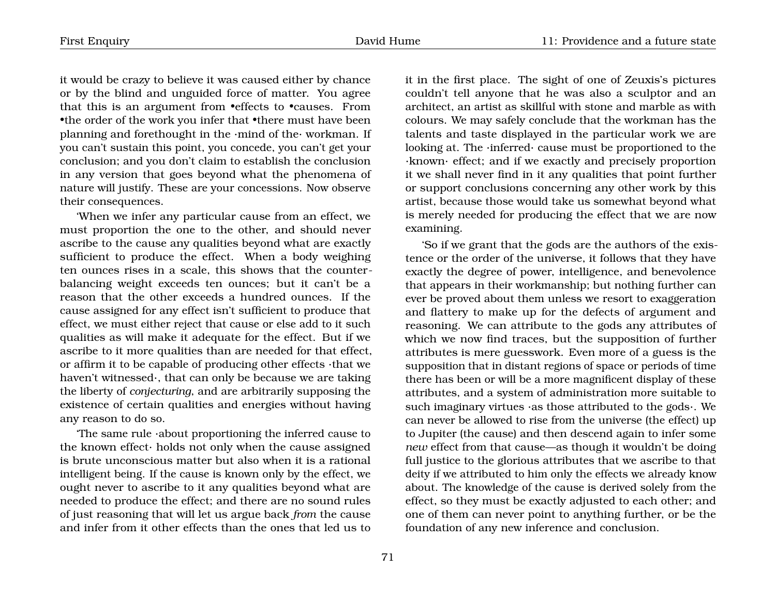it would be crazy to believe it was caused either by chance or by the blind and unguided force of matter. You agree that this is an argument from •effects to •causes. From •the order of the work you infer that •there must have been planning and forethought in the ·mind of the· workman. If you can't sustain this point, you concede, you can't get your conclusion; and you don't claim to establish the conclusion in any version that goes beyond what the phenomena of nature will justify. These are your concessions. Now observe their consequences.

'When we infer any particular cause from an effect, we must proportion the one to the other, and should never ascribe to the cause any qualities beyond what are exactly sufficient to produce the effect. When a body weighing ten ounces rises in a scale, this shows that the counterbalancing weight exceeds ten ounces; but it can't be a reason that the other exceeds a hundred ounces. If the cause assigned for any effect isn't sufficient to produce that effect, we must either reject that cause or else add to it such qualities as will make it adequate for the effect. But if we ascribe to it more qualities than are needed for that effect, or affirm it to be capable of producing other effects ·that we haven't witnessed·, that can only be because we are taking the liberty of *conjecturing*, and are arbitrarily supposing the existence of certain qualities and energies without having any reason to do so.

'The same rule ·about proportioning the inferred cause to the known effect· holds not only when the cause assigned is brute unconscious matter but also when it is a rational intelligent being. If the cause is known only by the effect, we ought never to ascribe to it any qualities beyond what are needed to produce the effect; and there are no sound rules of just reasoning that will let us argue back *from* the cause and infer from it other effects than the ones that led us to

it in the first place. The sight of one of Zeuxis's pictures couldn't tell anyone that he was also a sculptor and an architect, an artist as skillful with stone and marble as with colours. We may safely conclude that the workman has the talents and taste displayed in the particular work we are looking at. The ·inferred· cause must be proportioned to the ·known· effect; and if we exactly and precisely proportion it we shall never find in it any qualities that point further or support conclusions concerning any other work by this artist, because those would take us somewhat beyond what is merely needed for producing the effect that we are now examining.

'So if we grant that the gods are the authors of the existence or the order of the universe, it follows that they have exactly the degree of power, intelligence, and benevolence that appears in their workmanship; but nothing further can ever be proved about them unless we resort to exaggeration and flattery to make up for the defects of argument and reasoning. We can attribute to the gods any attributes of which we now find traces, but the supposition of further attributes is mere guesswork. Even more of a guess is the supposition that in distant regions of space or periods of time there has been or will be a more magnificent display of these attributes, and a system of administration more suitable to such imaginary virtues ·as those attributed to the gods·. We can never be allowed to rise from the universe (the effect) up to Jupiter (the cause) and then descend again to infer some *new* effect from that cause—as though it wouldn't be doing full justice to the glorious attributes that we ascribe to that deity if we attributed to him only the effects we already know about. The knowledge of the cause is derived solely from the effect, so they must be exactly adjusted to each other; and one of them can never point to anything further, or be the foundation of any new inference and conclusion.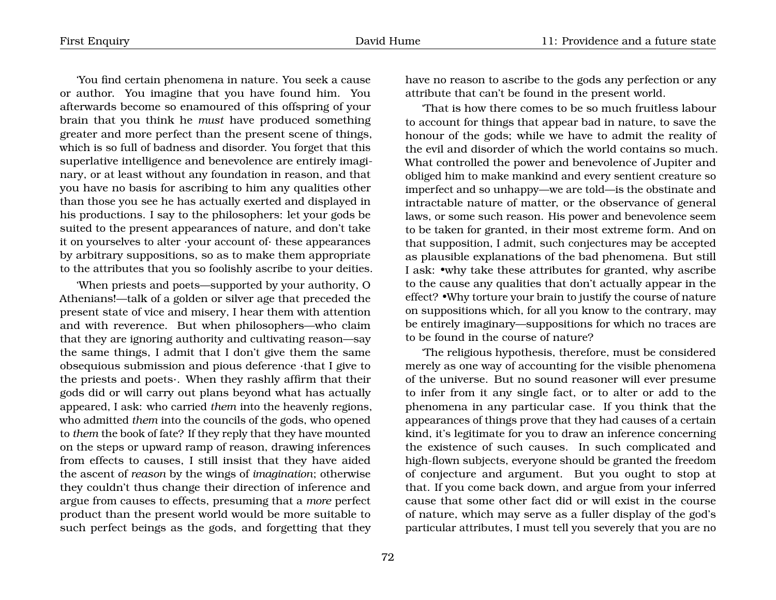'You find certain phenomena in nature. You seek a cause or author. You imagine that you have found him. You afterwards become so enamoured of this offspring of your brain that you think he *must* have produced something greater and more perfect than the present scene of things, which is so full of badness and disorder. You forget that this superlative intelligence and benevolence are entirely imaginary, or at least without any foundation in reason, and that you have no basis for ascribing to him any qualities other than those you see he has actually exerted and displayed in his productions. I say to the philosophers: let your gods be suited to the present appearances of nature, and don't take it on yourselves to alter ·your account of· these appearances by arbitrary suppositions, so as to make them appropriate to the attributes that you so foolishly ascribe to your deities.

'When priests and poets—supported by your authority, O Athenians!—talk of a golden or silver age that preceded the present state of vice and misery, I hear them with attention and with reverence. But when philosophers—who claim that they are ignoring authority and cultivating reason—say the same things, I admit that I don't give them the same obsequious submission and pious deference ·that I give to the priests and poets·. When they rashly affirm that their gods did or will carry out plans beyond what has actually appeared, I ask: who carried *them* into the heavenly regions, who admitted *them* into the councils of the gods, who opened to *them* the book of fate? If they reply that they have mounted on the steps or upward ramp of reason, drawing inferences from effects to causes, I still insist that they have aided the ascent of *reason* by the wings of *imagination*; otherwise they couldn't thus change their direction of inference and argue from causes to effects, presuming that a *more* perfect product than the present world would be more suitable to such perfect beings as the gods, and forgetting that they have no reason to ascribe to the gods any perfection or any attribute that can't be found in the present world.

'That is how there comes to be so much fruitless labour to account for things that appear bad in nature, to save the honour of the gods; while we have to admit the reality of the evil and disorder of which the world contains so much. What controlled the power and benevolence of Jupiter and obliged him to make mankind and every sentient creature so imperfect and so unhappy—we are told—is the obstinate and intractable nature of matter, or the observance of general laws, or some such reason. His power and benevolence seem to be taken for granted, in their most extreme form. And on that supposition, I admit, such conjectures may be accepted as plausible explanations of the bad phenomena. But still I ask: •why take these attributes for granted, why ascribe to the cause any qualities that don't actually appear in the effect? •Why torture your brain to justify the course of nature on suppositions which, for all you know to the contrary, may be entirely imaginary—suppositions for which no traces are to be found in the course of nature?

'The religious hypothesis, therefore, must be considered merely as one way of accounting for the visible phenomena of the universe. But no sound reasoner will ever presume to infer from it any single fact, or to alter or add to the phenomena in any particular case. If you think that the appearances of things prove that they had causes of a certain kind, it's legitimate for you to draw an inference concerning the existence of such causes. In such complicated and high-flown subjects, everyone should be granted the freedom of conjecture and argument. But you ought to stop at that. If you come back down, and argue from your inferred cause that some other fact did or will exist in the course of nature, which may serve as a fuller display of the god's particular attributes, I must tell you severely that you are no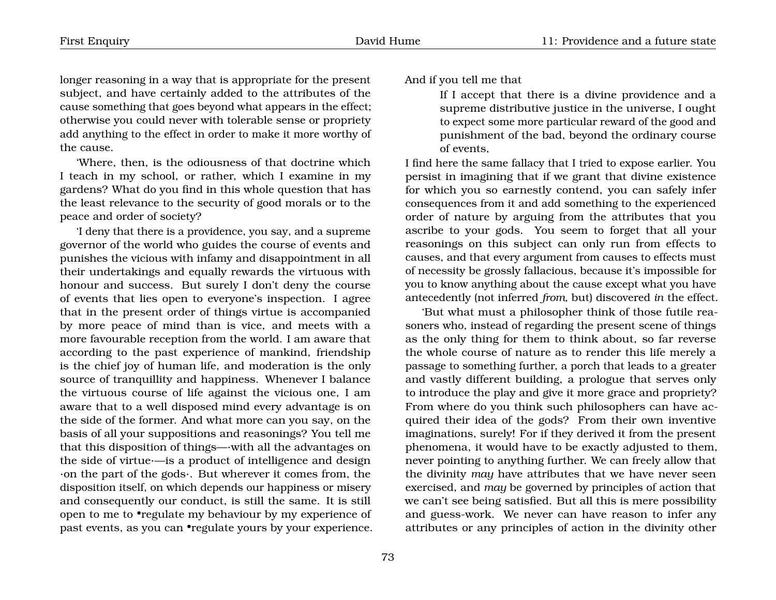longer reasoning in a way that is appropriate for the present subject, and have certainly added to the attributes of the cause something that goes beyond what appears in the effect; otherwise you could never with tolerable sense or propriety add anything to the effect in order to make it more worthy of the cause.

'Where, then, is the odiousness of that doctrine which I teach in my school, or rather, which I examine in my gardens? What do you find in this whole question that has the least relevance to the security of good morals or to the peace and order of society?

'I deny that there is a providence, you say, and a supreme governor of the world who guides the course of events and punishes the vicious with infamy and disappointment in all their undertakings and equally rewards the virtuous with honour and success. But surely I don't deny the course of events that lies open to everyone's inspection. I agree that in the present order of things virtue is accompanied by more peace of mind than is vice, and meets with a more favourable reception from the world. I am aware that according to the past experience of mankind, friendship is the chief joy of human life, and moderation is the only source of tranquillity and happiness. Whenever I balance the virtuous course of life against the vicious one, I am aware that to a well disposed mind every advantage is on the side of the former. And what more can you say, on the basis of all your suppositions and reasonings? You tell me that this disposition of things—·with all the advantages on the side of virtue·—is a product of intelligence and design ·on the part of the gods·. But wherever it comes from, the disposition itself, on which depends our happiness or misery and consequently our conduct, is still the same. It is still open to me to •regulate my behaviour by my experience of past events, as you can •regulate yours by your experience. And if you tell me that

If I accept that there is a divine providence and a supreme distributive justice in the universe, I ought to expect some more particular reward of the good and punishment of the bad, beyond the ordinary course of events,

I find here the same fallacy that I tried to expose earlier. You persist in imagining that if we grant that divine existence for which you so earnestly contend, you can safely infer consequences from it and add something to the experienced order of nature by arguing from the attributes that you ascribe to your gods. You seem to forget that all your reasonings on this subject can only run from effects to causes, and that every argument from causes to effects must of necessity be grossly fallacious, because it's impossible for you to know anything about the cause except what you have antecedently (not inferred *from*, but) discovered *in* the effect.

'But what must a philosopher think of those futile reasoners who, instead of regarding the present scene of things as the only thing for them to think about, so far reverse the whole course of nature as to render this life merely a passage to something further, a porch that leads to a greater and vastly different building, a prologue that serves only to introduce the play and give it more grace and propriety? From where do you think such philosophers can have acquired their idea of the gods? From their own inventive imaginations, surely! For if they derived it from the present phenomena, it would have to be exactly adjusted to them, never pointing to anything further. We can freely allow that the divinity *may* have attributes that we have never seen exercised, and *may* be governed by principles of action that we can't see being satisfied. But all this is mere possibility and guess-work. We never can have reason to infer any attributes or any principles of action in the divinity other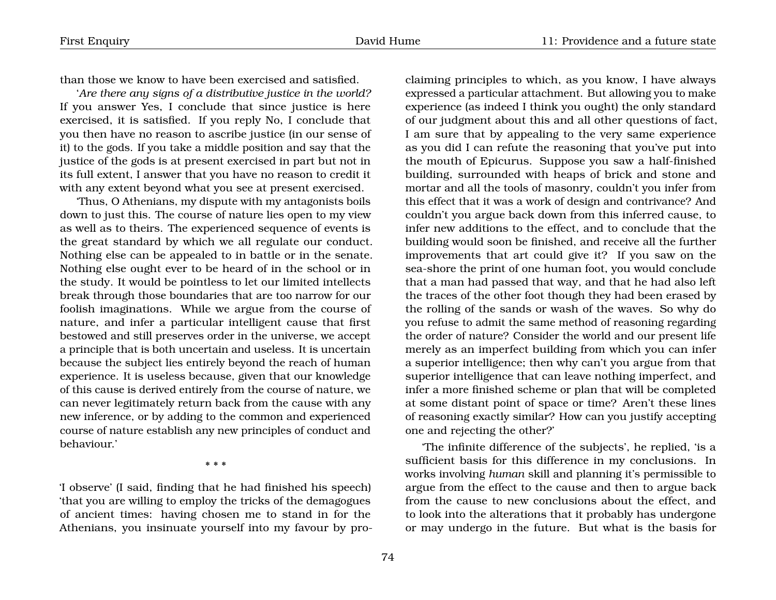than those we know to have been exercised and satisfied.

'*Are there any signs of a distributive justice in the world?* If you answer Yes, I conclude that since justice is here exercised, it is satisfied. If you reply No, I conclude that you then have no reason to ascribe justice (in our sense of it) to the gods. If you take a middle position and say that the justice of the gods is at present exercised in part but not in its full extent, I answer that you have no reason to credit it with any extent beyond what you see at present exercised.

'Thus, O Athenians, my dispute with my antagonists boils down to just this. The course of nature lies open to my view as well as to theirs. The experienced sequence of events is the great standard by which we all regulate our conduct. Nothing else can be appealed to in battle or in the senate. Nothing else ought ever to be heard of in the school or in the study. It would be pointless to let our limited intellects break through those boundaries that are too narrow for our foolish imaginations. While we argue from the course of nature, and infer a particular intelligent cause that first bestowed and still preserves order in the universe, we accept a principle that is both uncertain and useless. It is uncertain because the subject lies entirely beyond the reach of human experience. It is useless because, given that our knowledge of this cause is derived entirely from the course of nature, we can never legitimately return back from the cause with any new inference, or by adding to the common and experienced course of nature establish any new principles of conduct and behaviour.'

\* \* \*

'I observe' (I said, finding that he had finished his speech) 'that you are willing to employ the tricks of the demagogues of ancient times: having chosen me to stand in for the Athenians, you insinuate yourself into my favour by proclaiming principles to which, as you know, I have always expressed a particular attachment. But allowing you to make experience (as indeed I think you ought) the only standard of our judgment about this and all other questions of fact, I am sure that by appealing to the very same experience as you did I can refute the reasoning that you've put into the mouth of Epicurus. Suppose you saw a half-finished building, surrounded with heaps of brick and stone and mortar and all the tools of masonry, couldn't you infer from this effect that it was a work of design and contrivance? And couldn't you argue back down from this inferred cause, to infer new additions to the effect, and to conclude that the building would soon be finished, and receive all the further improvements that art could give it? If you saw on the sea-shore the print of one human foot, you would conclude that a man had passed that way, and that he had also left the traces of the other foot though they had been erased by the rolling of the sands or wash of the waves. So why do you refuse to admit the same method of reasoning regarding the order of nature? Consider the world and our present life merely as an imperfect building from which you can infer a superior intelligence; then why can't you argue from that superior intelligence that can leave nothing imperfect, and infer a more finished scheme or plan that will be completed at some distant point of space or time? Aren't these lines of reasoning exactly similar? How can you justify accepting one and rejecting the other?'

'The infinite difference of the subjects', he replied, 'is a sufficient basis for this difference in my conclusions. In works involving *human* skill and planning it's permissible to argue from the effect to the cause and then to argue back from the cause to new conclusions about the effect, and to look into the alterations that it probably has undergone or may undergo in the future. But what is the basis for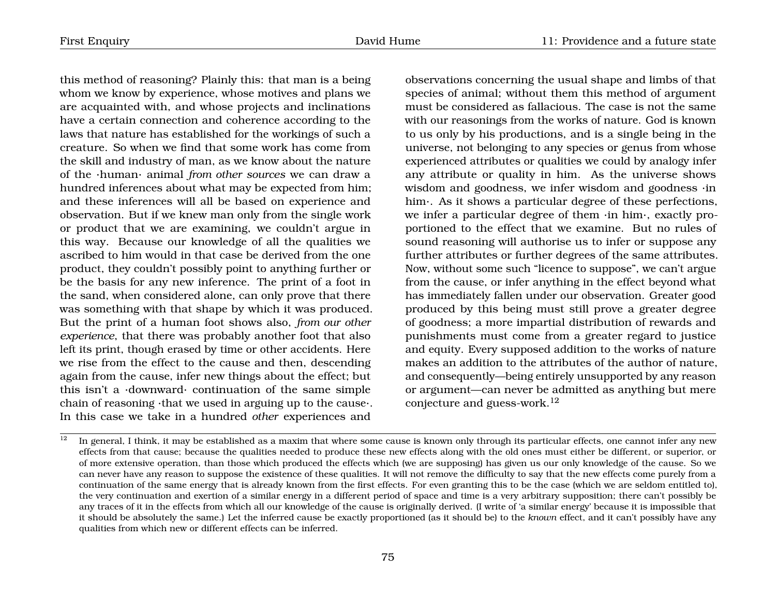this method of reasoning? Plainly this: that man is a being whom we know by experience, whose motives and plans we are acquainted with, and whose projects and inclinations have a certain connection and coherence according to the laws that nature has established for the workings of such a creature. So when we find that some work has come from the skill and industry of man, as we know about the nature of the ·human· animal *from other sources* we can draw a hundred inferences about what may be expected from him; and these inferences will all be based on experience and observation. But if we knew man only from the single work or product that we are examining, we couldn't argue in this way. Because our knowledge of all the qualities we ascribed to him would in that case be derived from the one product, they couldn't possibly point to anything further or be the basis for any new inference. The print of a foot in the sand, when considered alone, can only prove that there was something with that shape by which it was produced. But the print of a human foot shows also, *from our other experience*, that there was probably another foot that also left its print, though erased by time or other accidents. Here we rise from the effect to the cause and then, descending again from the cause, infer new things about the effect; but this isn't a ·downward· continuation of the same simple chain of reasoning ·that we used in arguing up to the cause·. In this case we take in a hundred *other* experiences and

observations concerning the usual shape and limbs of that species of animal; without them this method of argument must be considered as fallacious. The case is not the same with our reasonings from the works of nature. God is known to us only by his productions, and is a single being in the universe, not belonging to any species or genus from whose experienced attributes or qualities we could by analogy infer any attribute or quality in him. As the universe shows wisdom and goodness, we infer wisdom and goodness ·in him  $\cdot$ . As it shows a particular degree of these perfections, we infer a particular degree of them ·in him·, exactly proportioned to the effect that we examine. But no rules of sound reasoning will authorise us to infer or suppose any further attributes or further degrees of the same attributes. Now, without some such "licence to suppose", we can't argue from the cause, or infer anything in the effect beyond what has immediately fallen under our observation. Greater good produced by this being must still prove a greater degree of goodness; a more impartial distribution of rewards and punishments must come from a greater regard to justice and equity. Every supposed addition to the works of nature makes an addition to the attributes of the author of nature, and consequently—being entirely unsupported by any reason or argument—can never be admitted as anything but mere conjecture and guess-work.<sup>[12](#page-76-0)</sup>

<span id="page-76-0"></span> $12$  In general, I think, it may be established as a maxim that where some cause is known only through its particular effects, one cannot infer any new effects from that cause; because the qualities needed to produce these new effects along with the old ones must either be different, or superior, or of more extensive operation, than those which produced the effects which (we are supposing) has given us our only knowledge of the cause. So we can never have any reason to suppose the existence of these qualities. It will not remove the difficulty to say that the new effects come purely from a continuation of the same energy that is already known from the first effects. For even granting this to be the case (which we are seldom entitled to), the very continuation and exertion of a similar energy in a different period of space and time is a very arbitrary supposition; there can't possibly be any traces of it in the effects from which all our knowledge of the cause is originally derived. (I write of 'a similar energy' because it is impossible that it should be absolutely the same.) Let the inferred cause be exactly proportioned (as it should be) to the *known* effect, and it can't possibly have any qualities from which new or different effects can be inferred.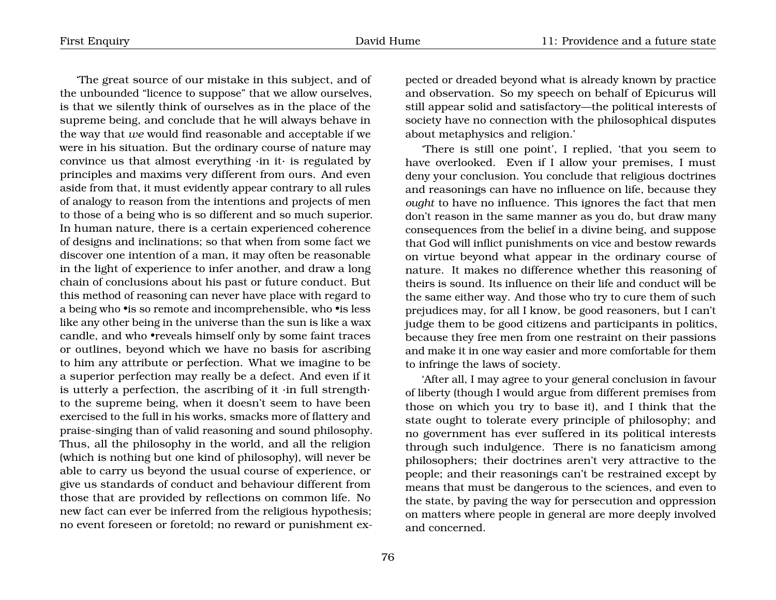'The great source of our mistake in this subject, and of the unbounded "licence to suppose" that we allow ourselves, is that we silently think of ourselves as in the place of the supreme being, and conclude that he will always behave in the way that *we* would find reasonable and acceptable if we were in his situation. But the ordinary course of nature may convince us that almost everything ·in it· is regulated by principles and maxims very different from ours. And even aside from that, it must evidently appear contrary to all rules of analogy to reason from the intentions and projects of men to those of a being who is so different and so much superior. In human nature, there is a certain experienced coherence of designs and inclinations; so that when from some fact we discover one intention of a man, it may often be reasonable in the light of experience to infer another, and draw a long chain of conclusions about his past or future conduct. But this method of reasoning can never have place with regard to a being who •is so remote and incomprehensible, who •is less like any other being in the universe than the sun is like a wax candle, and who •reveals himself only by some faint traces or outlines, beyond which we have no basis for ascribing to him any attribute or perfection. What we imagine to be a superior perfection may really be a defect. And even if it is utterly a perfection, the ascribing of it ·in full strength· to the supreme being, when it doesn't seem to have been exercised to the full in his works, smacks more of flattery and praise-singing than of valid reasoning and sound philosophy. Thus, all the philosophy in the world, and all the religion (which is nothing but one kind of philosophy), will never be able to carry us beyond the usual course of experience, or give us standards of conduct and behaviour different from those that are provided by reflections on common life. No new fact can ever be inferred from the religious hypothesis; no event foreseen or foretold; no reward or punishment expected or dreaded beyond what is already known by practice and observation. So my speech on behalf of Epicurus will still appear solid and satisfactory—the political interests of society have no connection with the philosophical disputes about metaphysics and religion.'

'There is still one point', I replied, 'that you seem to have overlooked. Even if I allow your premises, I must deny your conclusion. You conclude that religious doctrines and reasonings can have no influence on life, because they *ought* to have no influence. This ignores the fact that men don't reason in the same manner as you do, but draw many consequences from the belief in a divine being, and suppose that God will inflict punishments on vice and bestow rewards on virtue beyond what appear in the ordinary course of nature. It makes no difference whether this reasoning of theirs is sound. Its influence on their life and conduct will be the same either way. And those who try to cure them of such prejudices may, for all I know, be good reasoners, but I can't judge them to be good citizens and participants in politics, because they free men from one restraint on their passions and make it in one way easier and more comfortable for them to infringe the laws of society.

'After all, I may agree to your general conclusion in favour of liberty (though I would argue from different premises from those on which you try to base it), and I think that the state ought to tolerate every principle of philosophy; and no government has ever suffered in its political interests through such indulgence. There is no fanaticism among philosophers; their doctrines aren't very attractive to the people; and their reasonings can't be restrained except by means that must be dangerous to the sciences, and even to the state, by paving the way for persecution and oppression on matters where people in general are more deeply involved and concerned.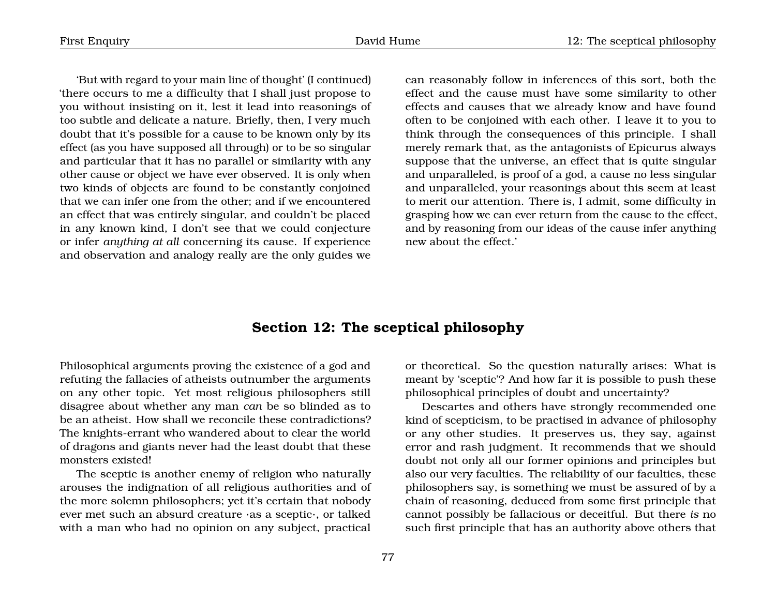'But with regard to your main line of thought' (I continued) 'there occurs to me a difficulty that I shall just propose to you without insisting on it, lest it lead into reasonings of too subtle and delicate a nature. Briefly, then, I very much doubt that it's possible for a cause to be known only by its effect (as you have supposed all through) or to be so singular and particular that it has no parallel or similarity with any other cause or object we have ever observed. It is only when two kinds of objects are found to be constantly conjoined that we can infer one from the other; and if we encountered an effect that was entirely singular, and couldn't be placed in any known kind, I don't see that we could conjecture or infer *anything at all* concerning its cause. If experience and observation and analogy really are the only guides we

can reasonably follow in inferences of this sort, both the effect and the cause must have some similarity to other effects and causes that we already know and have found often to be conjoined with each other. I leave it to you to think through the consequences of this principle. I shall merely remark that, as the antagonists of Epicurus always suppose that the universe, an effect that is quite singular and unparalleled, is proof of a god, a cause no less singular and unparalleled, your reasonings about this seem at least to merit our attention. There is, I admit, some difficulty in grasping how we can ever return from the cause to the effect, and by reasoning from our ideas of the cause infer anything new about the effect.'

## **Section 12: The sceptical philosophy**

Philosophical arguments proving the existence of a god and refuting the fallacies of atheists outnumber the arguments on any other topic. Yet most religious philosophers still disagree about whether any man *can* be so blinded as to be an atheist. How shall we reconcile these contradictions? The knights-errant who wandered about to clear the world of dragons and giants never had the least doubt that these monsters existed!

The sceptic is another enemy of religion who naturally arouses the indignation of all religious authorities and of the more solemn philosophers; yet it's certain that nobody ever met such an absurd creature ·as a sceptic·, or talked with a man who had no opinion on any subject, practical

or theoretical. So the question naturally arises: What is meant by 'sceptic'? And how far it is possible to push these philosophical principles of doubt and uncertainty?

Descartes and others have strongly recommended one kind of scepticism, to be practised in advance of philosophy or any other studies. It preserves us, they say, against error and rash judgment. It recommends that we should doubt not only all our former opinions and principles but also our very faculties. The reliability of our faculties, these philosophers say, is something we must be assured of by a chain of reasoning, deduced from some first principle that cannot possibly be fallacious or deceitful. But there *is* no such first principle that has an authority above others that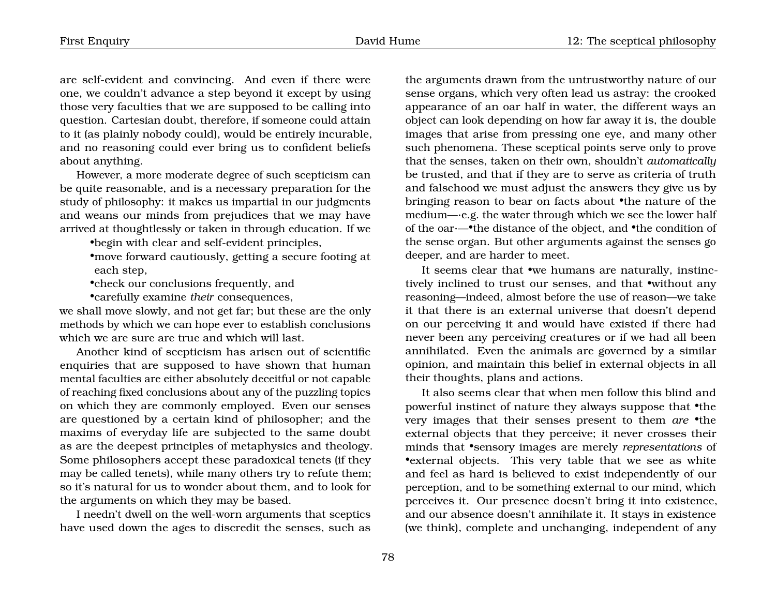are self-evident and convincing. And even if there were one, we couldn't advance a step beyond it except by using those very faculties that we are supposed to be calling into question. Cartesian doubt, therefore, if someone could attain to it (as plainly nobody could), would be entirely incurable, and no reasoning could ever bring us to confident beliefs about anything.

However, a more moderate degree of such scepticism can be quite reasonable, and is a necessary preparation for the study of philosophy: it makes us impartial in our judgments and weans our minds from prejudices that we may have arrived at thoughtlessly or taken in through education. If we

•begin with clear and self-evident principles,

•move forward cautiously, getting a secure footing at each step,

•check our conclusions frequently, and

•carefully examine *their* consequences,

we shall move slowly, and not get far; but these are the only methods by which we can hope ever to establish conclusions which we are sure are true and which will last.

Another kind of scepticism has arisen out of scientific enquiries that are supposed to have shown that human mental faculties are either absolutely deceitful or not capable of reaching fixed conclusions about any of the puzzling topics on which they are commonly employed. Even our senses are questioned by a certain kind of philosopher; and the maxims of everyday life are subjected to the same doubt as are the deepest principles of metaphysics and theology. Some philosophers accept these paradoxical tenets (if they may be called tenets), while many others try to refute them; so it's natural for us to wonder about them, and to look for the arguments on which they may be based.

I needn't dwell on the well-worn arguments that sceptics have used down the ages to discredit the senses, such as the arguments drawn from the untrustworthy nature of our sense organs, which very often lead us astray: the crooked appearance of an oar half in water, the different ways an object can look depending on how far away it is, the double images that arise from pressing one eye, and many other such phenomena. These sceptical points serve only to prove that the senses, taken on their own, shouldn't *automatically* be trusted, and that if they are to serve as criteria of truth and falsehood we must adjust the answers they give us by bringing reason to bear on facts about •the nature of the medium—·e.g. the water through which we see the lower half of the oar·—•the distance of the object, and •the condition of the sense organ. But other arguments against the senses go deeper, and are harder to meet.

It seems clear that •we humans are naturally, instinctively inclined to trust our senses, and that •without any reasoning—indeed, almost before the use of reason—we take it that there is an external universe that doesn't depend on our perceiving it and would have existed if there had never been any perceiving creatures or if we had all been annihilated. Even the animals are governed by a similar opinion, and maintain this belief in external objects in all their thoughts, plans and actions.

It also seems clear that when men follow this blind and powerful instinct of nature they always suppose that •the very images that their senses present to them *are* •the external objects that they perceive; it never crosses their minds that •sensory images are merely *representations* of •external objects. This very table that we see as white and feel as hard is believed to exist independently of our perception, and to be something external to our mind, which perceives it. Our presence doesn't bring it into existence, and our absence doesn't annihilate it. It stays in existence (we think), complete and unchanging, independent of any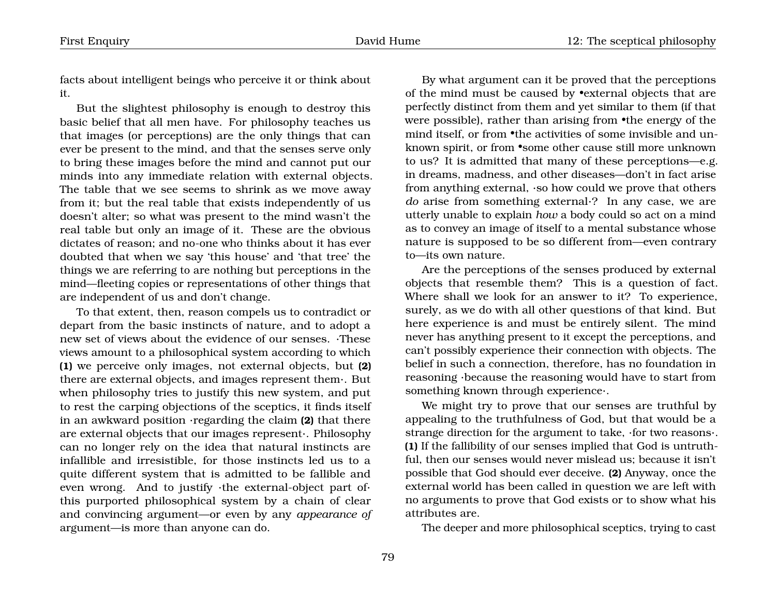facts about intelligent beings who perceive it or think about it.

But the slightest philosophy is enough to destroy this basic belief that all men have. For philosophy teaches us that images (or perceptions) are the only things that can ever be present to the mind, and that the senses serve only to bring these images before the mind and cannot put our minds into any immediate relation with external objects. The table that we see seems to shrink as we move away from it; but the real table that exists independently of us doesn't alter; so what was present to the mind wasn't the real table but only an image of it. These are the obvious dictates of reason; and no-one who thinks about it has ever doubted that when we say 'this house' and 'that tree' the things we are referring to are nothing but perceptions in the mind—fleeting copies or representations of other things that are independent of us and don't change.

To that extent, then, reason compels us to contradict or depart from the basic instincts of nature, and to adopt a new set of views about the evidence of our senses. ·These views amount to a philosophical system according to which **(1)** we perceive only images, not external objects, but **(2)** there are external objects, and images represent them·. But when philosophy tries to justify this new system, and put to rest the carping objections of the sceptics, it finds itself in an awkward position ·regarding the claim **(2)** that there are external objects that our images represent·. Philosophy can no longer rely on the idea that natural instincts are infallible and irresistible, for those instincts led us to a quite different system that is admitted to be fallible and even wrong. And to justify ·the external-object part of· this purported philosophical system by a chain of clear and convincing argument—or even by any *appearance of* argument—is more than anyone can do.

By what argument can it be proved that the perceptions of the mind must be caused by •external objects that are perfectly distinct from them and yet similar to them (if that were possible), rather than arising from •the energy of the mind itself, or from  $*$ the activities of some invisible and unknown spirit, or from •some other cause still more unknown to us? It is admitted that many of these perceptions—e.g. in dreams, madness, and other diseases—don't in fact arise from anything external, ·so how could we prove that others *do* arise from something external·? In any case, we are utterly unable to explain *how* a body could so act on a mind as to convey an image of itself to a mental substance whose nature is supposed to be so different from—even contrary to—its own nature.

Are the perceptions of the senses produced by external objects that resemble them? This is a question of fact. Where shall we look for an answer to it? To experience, surely, as we do with all other questions of that kind. But here experience is and must be entirely silent. The mind never has anything present to it except the perceptions, and can't possibly experience their connection with objects. The belief in such a connection, therefore, has no foundation in reasoning ·because the reasoning would have to start from something known through experience·.

We might try to prove that our senses are truthful by appealing to the truthfulness of God, but that would be a strange direction for the argument to take, ·for two reasons·. **(1)** If the fallibility of our senses implied that God is untruthful, then our senses would never mislead us; because it isn't possible that God should ever deceive. **(2)** Anyway, once the external world has been called in question we are left with no arguments to prove that God exists or to show what his attributes are.

The deeper and more philosophical sceptics, trying to cast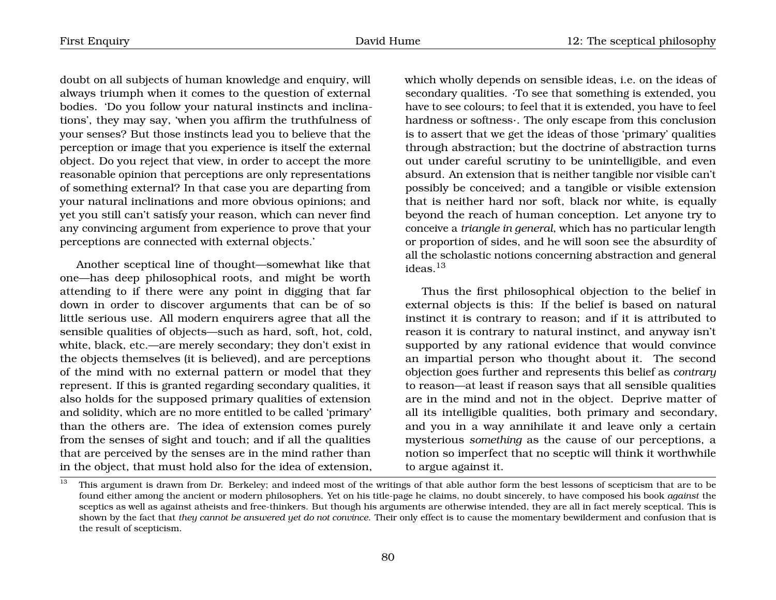doubt on all subjects of human knowledge and enquiry, will always triumph when it comes to the question of external bodies. 'Do you follow your natural instincts and inclinations', they may say, 'when you affirm the truthfulness of your senses? But those instincts lead you to believe that the perception or image that you experience is itself the external object. Do you reject that view, in order to accept the more reasonable opinion that perceptions are only representations of something external? In that case you are departing from your natural inclinations and more obvious opinions; and yet you still can't satisfy your reason, which can never find any convincing argument from experience to prove that your perceptions are connected with external objects.'

Another sceptical line of thought—somewhat like that one—has deep philosophical roots, and might be worth attending to if there were any point in digging that far down in order to discover arguments that can be of so little serious use. All modern enquirers agree that all the sensible qualities of objects—such as hard, soft, hot, cold, white, black, etc.—are merely secondary; they don't exist in the objects themselves (it is believed), and are perceptions of the mind with no external pattern or model that they represent. If this is granted regarding secondary qualities, it also holds for the supposed primary qualities of extension and solidity, which are no more entitled to be called 'primary' than the others are. The idea of extension comes purely from the senses of sight and touch; and if all the qualities that are perceived by the senses are in the mind rather than in the object, that must hold also for the idea of extension, which wholly depends on sensible ideas, i.e. on the ideas of secondary qualities. ·To see that something is extended, you have to see colours; to feel that it is extended, you have to feel hardness or softness·. The only escape from this conclusion is to assert that we get the ideas of those 'primary' qualities through abstraction; but the doctrine of abstraction turns out under careful scrutiny to be unintelligible, and even absurd. An extension that is neither tangible nor visible can't possibly be conceived; and a tangible or visible extension that is neither hard nor soft, black nor white, is equally beyond the reach of human conception. Let anyone try to conceive a *triangle in general*, which has no particular length or proportion of sides, and he will soon see the absurdity of all the scholastic notions concerning abstraction and general ideas.[13](#page-81-0)

Thus the first philosophical objection to the belief in external objects is this: If the belief is based on natural instinct it is contrary to reason; and if it is attributed to reason it is contrary to natural instinct, and anyway isn't supported by any rational evidence that would convince an impartial person who thought about it. The second objection goes further and represents this belief as *contrary* to reason—at least if reason says that all sensible qualities are in the mind and not in the object. Deprive matter of all its intelligible qualities, both primary and secondary, and you in a way annihilate it and leave only a certain mysterious *something* as the cause of our perceptions, a notion so imperfect that no sceptic will think it worthwhile to argue against it.

<span id="page-81-0"></span><sup>&</sup>lt;sup>13</sup> This argument is drawn from Dr. Berkeley; and indeed most of the writings of that able author form the best lessons of scepticism that are to be found either among the ancient or modern philosophers. Yet on his title-page he claims, no doubt sincerely, to have composed his book *against* the sceptics as well as against atheists and free-thinkers. But though his arguments are otherwise intended, they are all in fact merely sceptical. This is shown by the fact that *they cannot be answered yet do not convince*. Their only effect is to cause the momentary bewilderment and confusion that is the result of scepticism.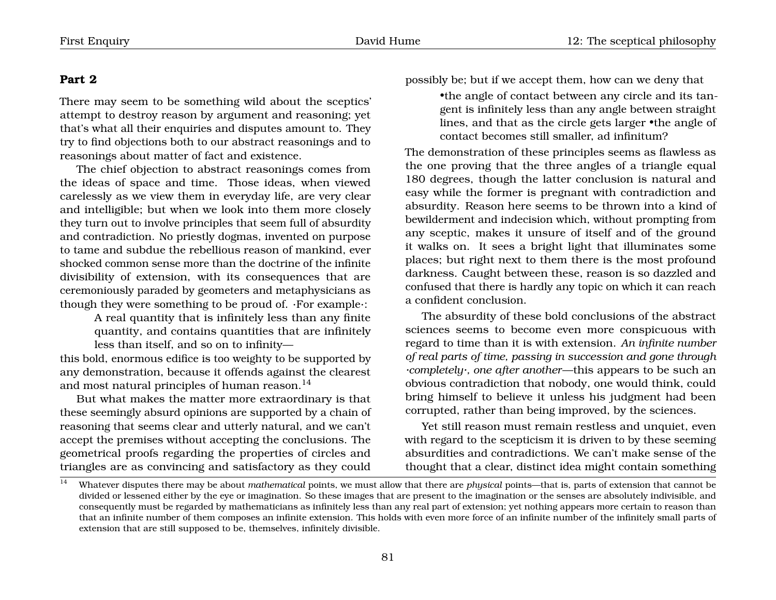## **Part 2**

There may seem to be something wild about the sceptics' attempt to destroy reason by argument and reasoning; yet that's what all their enquiries and disputes amount to. They try to find objections both to our abstract reasonings and to reasonings about matter of fact and existence.

The chief objection to abstract reasonings comes from the ideas of space and time. Those ideas, when viewed carelessly as we view them in everyday life, are very clear and intelligible; but when we look into them more closely they turn out to involve principles that seem full of absurdity and contradiction. No priestly dogmas, invented on purpose to tame and subdue the rebellious reason of mankind, ever shocked common sense more than the doctrine of the infinite divisibility of extension, with its consequences that are ceremoniously paraded by geometers and metaphysicians as though they were something to be proud of. ·For example·:

> A real quantity that is infinitely less than any finite quantity, and contains quantities that are infinitely less than itself, and so on to infinity—

this bold, enormous edifice is too weighty to be supported by any demonstration, because it offends against the clearest and most natural principles of human reason.<sup>[14](#page-82-0)</sup>

But what makes the matter more extraordinary is that these seemingly absurd opinions are supported by a chain of reasoning that seems clear and utterly natural, and we can't accept the premises without accepting the conclusions. The geometrical proofs regarding the properties of circles and triangles are as convincing and satisfactory as they could

possibly be; but if we accept them, how can we deny that

•the angle of contact between any circle and its tangent is infinitely less than any angle between straight lines, and that as the circle gets larger •the angle of contact becomes still smaller, ad infinitum?

The demonstration of these principles seems as flawless as the one proving that the three angles of a triangle equal 180 degrees, though the latter conclusion is natural and easy while the former is pregnant with contradiction and absurdity. Reason here seems to be thrown into a kind of bewilderment and indecision which, without prompting from any sceptic, makes it unsure of itself and of the ground it walks on. It sees a bright light that illuminates some places; but right next to them there is the most profound darkness. Caught between these, reason is so dazzled and confused that there is hardly any topic on which it can reach a confident conclusion.

The absurdity of these bold conclusions of the abstract sciences seems to become even more conspicuous with regard to time than it is with extension. *An infinite number of real parts of time, passing in succession and gone through ·completely·, one after another*—this appears to be such an obvious contradiction that nobody, one would think, could bring himself to believe it unless his judgment had been corrupted, rather than being improved, by the sciences.

Yet still reason must remain restless and unquiet, even with regard to the scepticism it is driven to by these seeming absurdities and contradictions. We can't make sense of the thought that a clear, distinct idea might contain something

<span id="page-82-0"></span><sup>14</sup> Whatever disputes there may be about *mathematical* points, we must allow that there are *physical* points—that is, parts of extension that cannot be divided or lessened either by the eye or imagination. So these images that are present to the imagination or the senses are absolutely indivisible, and consequently must be regarded by mathematicians as infinitely less than any real part of extension; yet nothing appears more certain to reason than that an infinite number of them composes an infinite extension. This holds with even more force of an infinite number of the infinitely small parts of extension that are still supposed to be, themselves, infinitely divisible.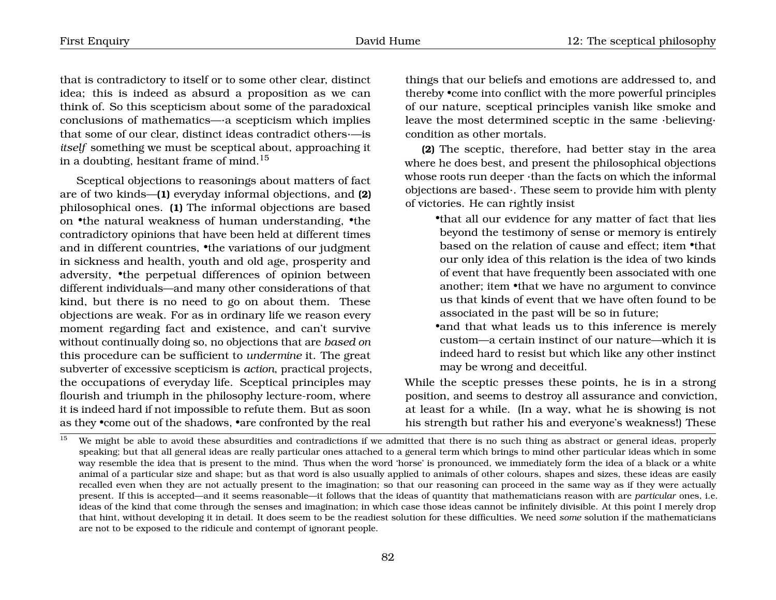that is contradictory to itself or to some other clear, distinct idea; this is indeed as absurd a proposition as we can think of. So this scepticism about some of the paradoxical conclusions of mathematics—·a scepticism which implies that some of our clear, distinct ideas contradict others·—is *itself* something we must be sceptical about, approaching it in a doubting, hesitant frame of mind.<sup>[15](#page-83-0)</sup>

Sceptical objections to reasonings about matters of fact are of two kinds—**(1)** everyday informal objections, and **(2)** philosophical ones. **(1)** The informal objections are based on •the natural weakness of human understanding, •the contradictory opinions that have been held at different times and in different countries, •the variations of our judgment in sickness and health, youth and old age, prosperity and adversity, •the perpetual differences of opinion between different individuals—and many other considerations of that kind, but there is no need to go on about them. These objections are weak. For as in ordinary life we reason every moment regarding fact and existence, and can't survive without continually doing so, no objections that are *based on* this procedure can be sufficient to *undermine* it. The great subverter of excessive scepticism is *action*, practical projects, the occupations of everyday life. Sceptical principles may flourish and triumph in the philosophy lecture-room, where it is indeed hard if not impossible to refute them. But as soon as they •come out of the shadows, •are confronted by the real

things that our beliefs and emotions are addressed to, and thereby •come into conflict with the more powerful principles of our nature, sceptical principles vanish like smoke and leave the most determined sceptic in the same ·believing· condition as other mortals.

**(2)** The sceptic, therefore, had better stay in the area where he does best, and present the philosophical objections whose roots run deeper ·than the facts on which the informal objections are based·. These seem to provide him with plenty of victories. He can rightly insist

•that all our evidence for any matter of fact that lies beyond the testimony of sense or memory is entirely based on the relation of cause and effect; item •that our only idea of this relation is the idea of two kinds of event that have frequently been associated with one another; item •that we have no argument to convince us that kinds of event that we have often found to be associated in the past will be so in future;

•and that what leads us to this inference is merely custom—a certain instinct of our nature—which it is indeed hard to resist but which like any other instinct may be wrong and deceitful.

While the sceptic presses these points, he is in a strong position, and seems to destroy all assurance and conviction, at least for a while. (In a way, what he is showing is not his strength but rather his and everyone's weakness!) These

<span id="page-83-0"></span><sup>&</sup>lt;sup>15</sup> We might be able to avoid these absurdities and contradictions if we admitted that there is no such thing as abstract or general ideas, properly speaking; but that all general ideas are really particular ones attached to a general term which brings to mind other particular ideas which in some way resemble the idea that is present to the mind. Thus when the word 'horse' is pronounced, we immediately form the idea of a black or a white animal of a particular size and shape; but as that word is also usually applied to animals of other colours, shapes and sizes, these ideas are easily recalled even when they are not actually present to the imagination; so that our reasoning can proceed in the same way as if they were actually present. If this is accepted—and it seems reasonable—it follows that the ideas of quantity that mathematicians reason with are *particular* ones, i.e. ideas of the kind that come through the senses and imagination; in which case those ideas cannot be infinitely divisible. At this point I merely drop that hint, without developing it in detail. It does seem to be the readiest solution for these difficulties. We need *some* solution if the mathematicians are not to be exposed to the ridicule and contempt of ignorant people.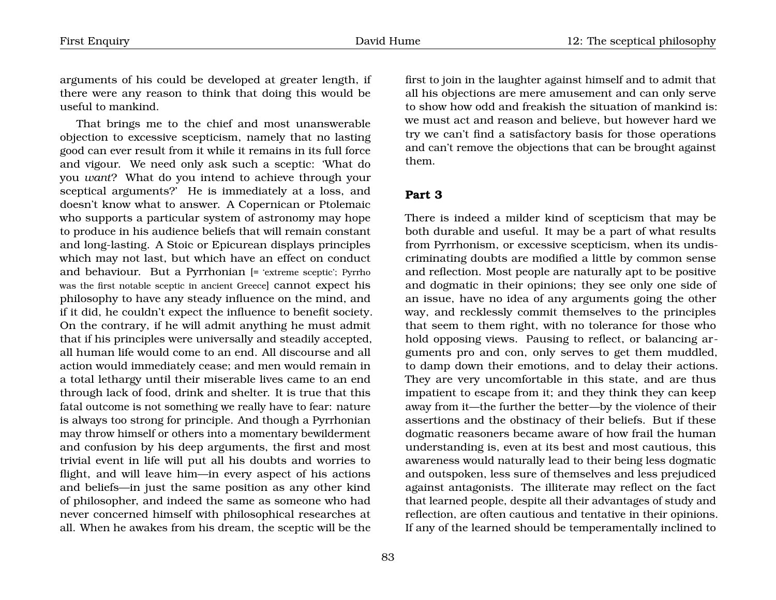arguments of his could be developed at greater length, if there were any reason to think that doing this would be useful to mankind.

That brings me to the chief and most unanswerable objection to excessive scepticism, namely that no lasting good can ever result from it while it remains in its full force and vigour. We need only ask such a sceptic: 'What do you *want*? What do you intend to achieve through your sceptical arguments?' He is immediately at a loss, and doesn't know what to answer. A Copernican or Ptolemaic who supports a particular system of astronomy may hope to produce in his audience beliefs that will remain constant and long-lasting. A Stoic or Epicurean displays principles which may not last, but which have an effect on conduct and behaviour. But a Pyrrhonian [= 'extreme sceptic'; Pyrrho was the first notable sceptic in ancient Greece] cannot expect his philosophy to have any steady influence on the mind, and if it did, he couldn't expect the influence to benefit society. On the contrary, if he will admit anything he must admit that if his principles were universally and steadily accepted, all human life would come to an end. All discourse and all action would immediately cease; and men would remain in a total lethargy until their miserable lives came to an end through lack of food, drink and shelter. It is true that this fatal outcome is not something we really have to fear: nature is always too strong for principle. And though a Pyrrhonian may throw himself or others into a momentary bewilderment and confusion by his deep arguments, the first and most trivial event in life will put all his doubts and worries to flight, and will leave him—in every aspect of his actions and beliefs—in just the same position as any other kind of philosopher, and indeed the same as someone who had never concerned himself with philosophical researches at all. When he awakes from his dream, the sceptic will be the

first to join in the laughter against himself and to admit that all his objections are mere amusement and can only serve to show how odd and freakish the situation of mankind is: we must act and reason and believe, but however hard we try we can't find a satisfactory basis for those operations and can't remove the objections that can be brought against them.

## **Part 3**

There is indeed a milder kind of scepticism that may be both durable and useful. It may be a part of what results from Pyrrhonism, or excessive scepticism, when its undiscriminating doubts are modified a little by common sense and reflection. Most people are naturally apt to be positive and dogmatic in their opinions; they see only one side of an issue, have no idea of any arguments going the other way, and recklessly commit themselves to the principles that seem to them right, with no tolerance for those who hold opposing views. Pausing to reflect, or balancing arguments pro and con, only serves to get them muddled, to damp down their emotions, and to delay their actions. They are very uncomfortable in this state, and are thus impatient to escape from it; and they think they can keep away from it—the further the better—by the violence of their assertions and the obstinacy of their beliefs. But if these dogmatic reasoners became aware of how frail the human understanding is, even at its best and most cautious, this awareness would naturally lead to their being less dogmatic and outspoken, less sure of themselves and less prejudiced against antagonists. The illiterate may reflect on the fact that learned people, despite all their advantages of study and reflection, are often cautious and tentative in their opinions. If any of the learned should be temperamentally inclined to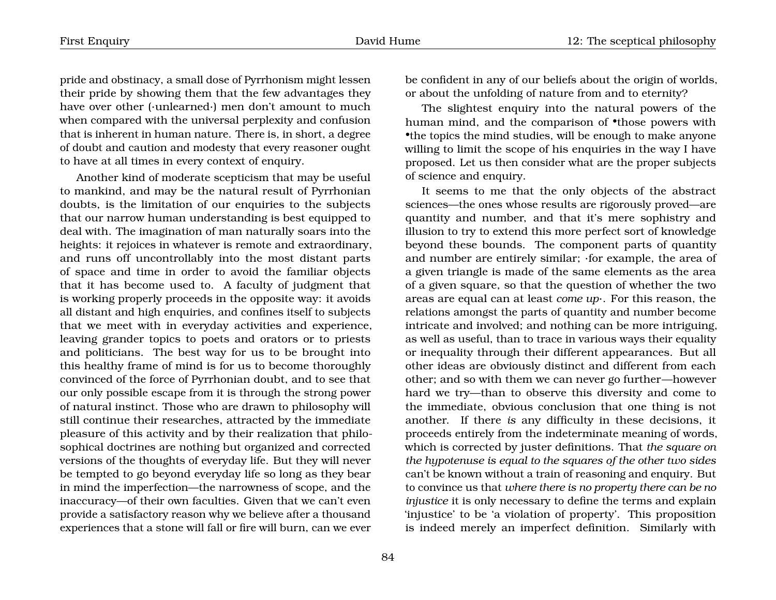pride and obstinacy, a small dose of Pyrrhonism might lessen their pride by showing them that the few advantages they have over other (·unlearned·) men don't amount to much when compared with the universal perplexity and confusion that is inherent in human nature. There is, in short, a degree of doubt and caution and modesty that every reasoner ought to have at all times in every context of enquiry.

Another kind of moderate scepticism that may be useful to mankind, and may be the natural result of Pyrrhonian doubts, is the limitation of our enquiries to the subjects that our narrow human understanding is best equipped to deal with. The imagination of man naturally soars into the heights: it rejoices in whatever is remote and extraordinary, and runs off uncontrollably into the most distant parts of space and time in order to avoid the familiar objects that it has become used to. A faculty of judgment that is working properly proceeds in the opposite way: it avoids all distant and high enquiries, and confines itself to subjects that we meet with in everyday activities and experience, leaving grander topics to poets and orators or to priests and politicians. The best way for us to be brought into this healthy frame of mind is for us to become thoroughly convinced of the force of Pyrrhonian doubt, and to see that our only possible escape from it is through the strong power of natural instinct. Those who are drawn to philosophy will still continue their researches, attracted by the immediate pleasure of this activity and by their realization that philosophical doctrines are nothing but organized and corrected versions of the thoughts of everyday life. But they will never be tempted to go beyond everyday life so long as they bear in mind the imperfection—the narrowness of scope, and the inaccuracy—of their own faculties. Given that we can't even provide a satisfactory reason why we believe after a thousand experiences that a stone will fall or fire will burn, can we ever

be confident in any of our beliefs about the origin of worlds, or about the unfolding of nature from and to eternity?

The slightest enquiry into the natural powers of the human mind, and the comparison of •those powers with •the topics the mind studies, will be enough to make anyone willing to limit the scope of his enquiries in the way I have proposed. Let us then consider what are the proper subjects of science and enquiry.

It seems to me that the only objects of the abstract sciences—the ones whose results are rigorously proved—are quantity and number, and that it's mere sophistry and illusion to try to extend this more perfect sort of knowledge beyond these bounds. The component parts of quantity and number are entirely similar; ·for example, the area of a given triangle is made of the same elements as the area of a given square, so that the question of whether the two areas are equal can at least *come up*·. For this reason, the relations amongst the parts of quantity and number become intricate and involved; and nothing can be more intriguing, as well as useful, than to trace in various ways their equality or inequality through their different appearances. But all other ideas are obviously distinct and different from each other; and so with them we can never go further—however hard we try—than to observe this diversity and come to the immediate, obvious conclusion that one thing is not another. If there *is* any difficulty in these decisions, it proceeds entirely from the indeterminate meaning of words, which is corrected by juster definitions. That *the square on the hypotenuse is equal to the squares of the other two sides* can't be known without a train of reasoning and enquiry. But to convince us that *where there is no property there can be no injustice* it is only necessary to define the terms and explain 'injustice' to be 'a violation of property'. This proposition is indeed merely an imperfect definition. Similarly with